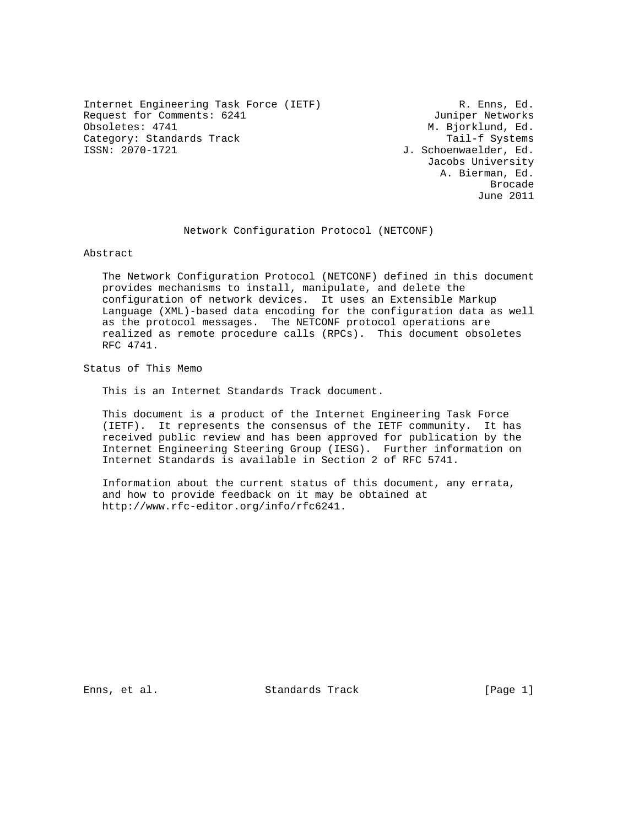Internet Engineering Task Force (IETF) R. Enns, Ed. Request for Comments: 6241 Juniper Networks<br>
Obsoletes: 4741 Juniper Networks Category: Standards Track Tail-f Systems<br>1970-1721 J. Schoenwaelder, Ed.

M. Bjorklund, Ed. J. Schoenwaelder, Ed. Jacobs University A. Bierman, Ed. de de la construcción de la construcción de la construcción de la construcción de la construcción de la construcción de la construcción de la construcción de la construcción de la construcción de la construcción de la cons June 2011

Network Configuration Protocol (NETCONF)

Abstract

 The Network Configuration Protocol (NETCONF) defined in this document provides mechanisms to install, manipulate, and delete the configuration of network devices. It uses an Extensible Markup Language (XML)-based data encoding for the configuration data as well as the protocol messages. The NETCONF protocol operations are realized as remote procedure calls (RPCs). This document obsoletes RFC 4741.

Status of This Memo

This is an Internet Standards Track document.

 This document is a product of the Internet Engineering Task Force (IETF). It represents the consensus of the IETF community. It has received public review and has been approved for publication by the Internet Engineering Steering Group (IESG). Further information on Internet Standards is available in Section 2 of RFC 5741.

 Information about the current status of this document, any errata, and how to provide feedback on it may be obtained at http://www.rfc-editor.org/info/rfc6241.

Enns, et al. Standards Track [Page 1]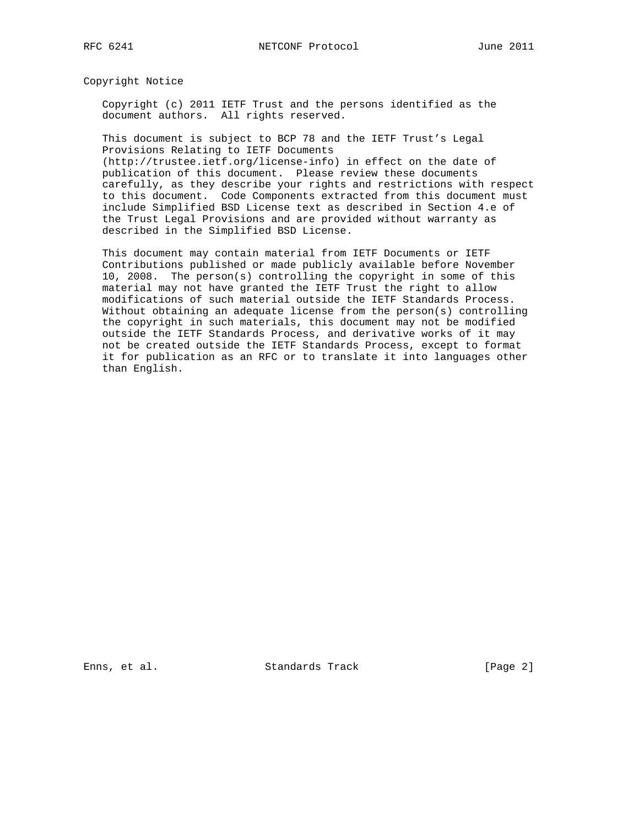Copyright Notice

 Copyright (c) 2011 IETF Trust and the persons identified as the document authors. All rights reserved.

 This document is subject to BCP 78 and the IETF Trust's Legal Provisions Relating to IETF Documents (http://trustee.ietf.org/license-info) in effect on the date of

 publication of this document. Please review these documents carefully, as they describe your rights and restrictions with respect to this document. Code Components extracted from this document must include Simplified BSD License text as described in Section 4.e of the Trust Legal Provisions and are provided without warranty as described in the Simplified BSD License.

 This document may contain material from IETF Documents or IETF Contributions published or made publicly available before November 10, 2008. The person(s) controlling the copyright in some of this material may not have granted the IETF Trust the right to allow modifications of such material outside the IETF Standards Process. Without obtaining an adequate license from the person(s) controlling the copyright in such materials, this document may not be modified outside the IETF Standards Process, and derivative works of it may not be created outside the IETF Standards Process, except to format it for publication as an RFC or to translate it into languages other than English.

Enns, et al. Standards Track [Page 2]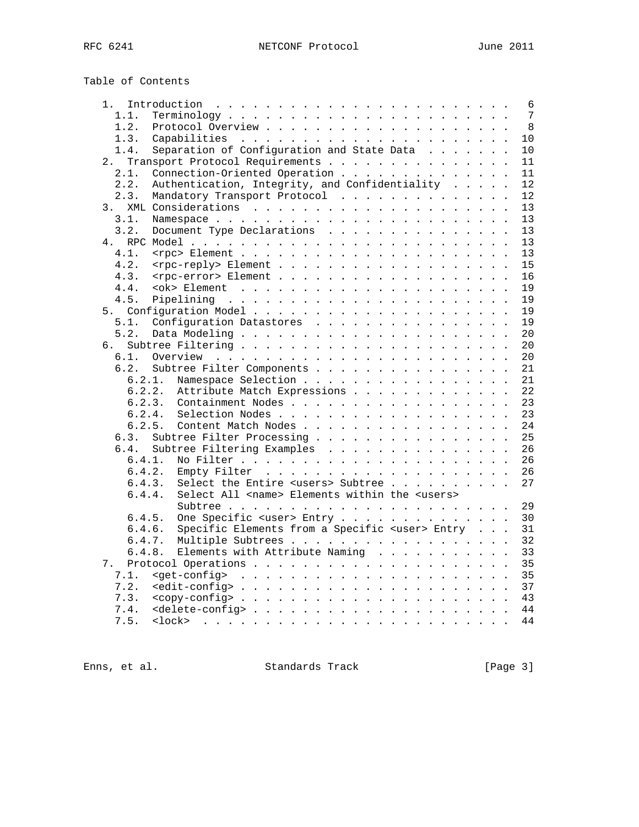| Table of Contents |  |
|-------------------|--|
|-------------------|--|

| 1.     | 6                                                            |
|--------|--------------------------------------------------------------|
| 1.1.   | 7                                                            |
| 1.2.   | 8                                                            |
| 1.3.   | 10                                                           |
| 1.4.   | Separation of Configuration and State Data<br>10             |
| 2.     | Transport Protocol Requirements<br>11                        |
| 2.1.   | Connection-Oriented Operation<br>11                          |
| 2.2.   | Authentication, Integrity, and Confidentiality<br>12         |
| 2.3.   | Mandatory Transport Protocol<br>12                           |
| 3.     | 13                                                           |
| 3.1.   | 13                                                           |
| 3.2.   | Document Type Declarations<br>13                             |
|        |                                                              |
| 4.     | 13                                                           |
| 4.1.   | 13                                                           |
| 4.2.   | <rpc-reply> Element<br/>15</rpc-reply>                       |
| 4.3.   | <rpc-error> Element<br/>16</rpc-error>                       |
| 4.4.   | 19                                                           |
| 4.5.   | 19                                                           |
|        | 19                                                           |
| 5.1.   | Configuration Datastores<br>19                               |
| 5.2.   | 20                                                           |
| б.     | 20                                                           |
| 6.1.   | 20                                                           |
| 6.2.   | Subtree Filter Components<br>21                              |
| 6.2.1. | Namespace Selection<br>21                                    |
| 6.2.2. | Attribute Match Expressions<br>22                            |
| 6.2.3. | Containment Nodes<br>23                                      |
| 6.2.4. | Selection Nodes<br>23                                        |
| 6.2.5. | Content Match Nodes<br>24                                    |
| 6.3.   | 25                                                           |
|        | Subtree Filter Processing                                    |
| 6.4.   | Subtree Filtering Examples<br>26                             |
| 6.4.1. | 26                                                           |
| 6.4.2. | 26                                                           |
| 6.4.3. | Select the Entire <users> Subtree<br/>27</users>             |
| 6.4.4. | Select All <name> Elements within the <users></users></name> |
|        | 29                                                           |
| 6.4.5. | One Specific <user> Entry<br/>30</user>                      |
| 6.4.6. | Specific Elements from a Specific <user> Entry<br/>31</user> |
| 6.4.7. | 32<br>Multiple Subtrees                                      |
| 6.4.8. | Elements with Attribute Naming<br>33                         |
| 7.     | 35                                                           |
| 7.1.   | 35                                                           |
| 7.2.   | 37                                                           |
| 7.3.   | 43                                                           |
| 7.4.   | 44                                                           |
| 7.5.   | 44                                                           |
|        |                                                              |

Enns, et al. Standards Track [Page 3]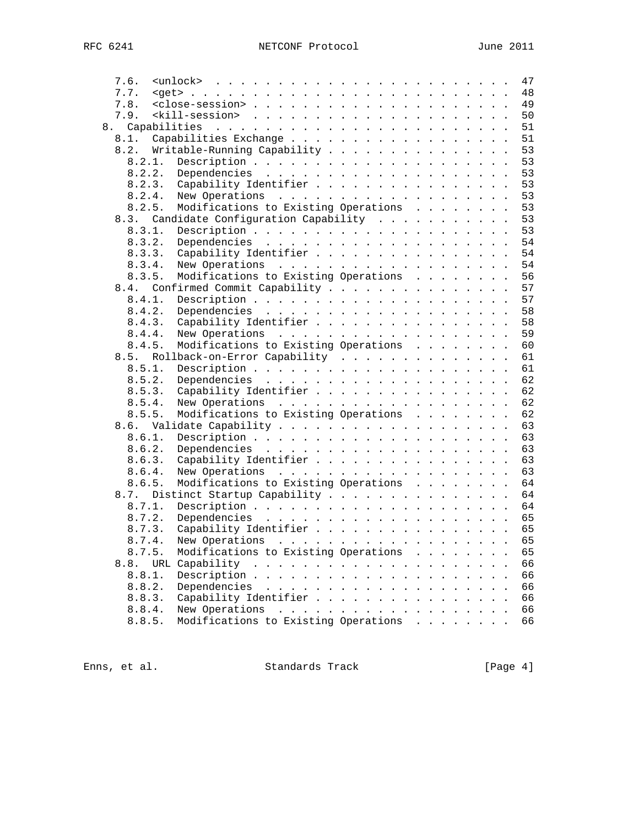| 7.6.   |                                                                                                                                                                                                                                                  |                                                                                                                                                                                                                               |  |  | 47 |
|--------|--------------------------------------------------------------------------------------------------------------------------------------------------------------------------------------------------------------------------------------------------|-------------------------------------------------------------------------------------------------------------------------------------------------------------------------------------------------------------------------------|--|--|----|
| 7.7.   | $\texttt{cget> +  +  +  +  +  +  +  +  + }$                                                                                                                                                                                                      |                                                                                                                                                                                                                               |  |  | 48 |
| 7.8.   |                                                                                                                                                                                                                                                  |                                                                                                                                                                                                                               |  |  | 49 |
| 7.9.   |                                                                                                                                                                                                                                                  |                                                                                                                                                                                                                               |  |  | 50 |
|        |                                                                                                                                                                                                                                                  |                                                                                                                                                                                                                               |  |  | 51 |
| 8.1.   | Capabilities Exchange                                                                                                                                                                                                                            |                                                                                                                                                                                                                               |  |  | 51 |
| 8.2.   | Writable-Running Capability                                                                                                                                                                                                                      |                                                                                                                                                                                                                               |  |  | 53 |
| 8.2.1. |                                                                                                                                                                                                                                                  |                                                                                                                                                                                                                               |  |  | 53 |
| 8.2.2. |                                                                                                                                                                                                                                                  |                                                                                                                                                                                                                               |  |  | 53 |
| 8.2.3. | Capability Identifier                                                                                                                                                                                                                            |                                                                                                                                                                                                                               |  |  | 53 |
| 8.2.4. |                                                                                                                                                                                                                                                  |                                                                                                                                                                                                                               |  |  | 53 |
| 8.2.5. | Modifications to Existing Operations                                                                                                                                                                                                             |                                                                                                                                                                                                                               |  |  | 53 |
|        | 8.3. Candidate Configuration Capability                                                                                                                                                                                                          |                                                                                                                                                                                                                               |  |  | 53 |
| 8.3.1. |                                                                                                                                                                                                                                                  |                                                                                                                                                                                                                               |  |  | 53 |
| 8.3.2. |                                                                                                                                                                                                                                                  |                                                                                                                                                                                                                               |  |  | 54 |
|        |                                                                                                                                                                                                                                                  |                                                                                                                                                                                                                               |  |  | 54 |
| 8.3.3. | Capability Identifier                                                                                                                                                                                                                            |                                                                                                                                                                                                                               |  |  |    |
| 8.3.4. |                                                                                                                                                                                                                                                  |                                                                                                                                                                                                                               |  |  | 54 |
| 8.3.5. | Modifications to Existing Operations                                                                                                                                                                                                             |                                                                                                                                                                                                                               |  |  | 56 |
| 8.4.   | Confirmed Commit Capability                                                                                                                                                                                                                      |                                                                                                                                                                                                                               |  |  | 57 |
| 8.4.1. |                                                                                                                                                                                                                                                  |                                                                                                                                                                                                                               |  |  | 57 |
| 8.4.2. |                                                                                                                                                                                                                                                  |                                                                                                                                                                                                                               |  |  | 58 |
| 8.4.3. | Capability Identifier                                                                                                                                                                                                                            |                                                                                                                                                                                                                               |  |  | 58 |
| 8.4.4. | New Operations                                                                                                                                                                                                                                   |                                                                                                                                                                                                                               |  |  | 59 |
| 8.4.5. | Modifications to Existing Operations                                                                                                                                                                                                             |                                                                                                                                                                                                                               |  |  | 60 |
| 8.5.   | Rollback-on-Error Capability                                                                                                                                                                                                                     |                                                                                                                                                                                                                               |  |  | 61 |
| 8.5.1. |                                                                                                                                                                                                                                                  |                                                                                                                                                                                                                               |  |  | 61 |
| 8.5.2. |                                                                                                                                                                                                                                                  |                                                                                                                                                                                                                               |  |  | 62 |
| 8.5.3. | Capability Identifier                                                                                                                                                                                                                            |                                                                                                                                                                                                                               |  |  | 62 |
| 8.5.4. |                                                                                                                                                                                                                                                  |                                                                                                                                                                                                                               |  |  | 62 |
| 8.5.5. | Modifications to Existing Operations                                                                                                                                                                                                             |                                                                                                                                                                                                                               |  |  | 62 |
| 8.6.   |                                                                                                                                                                                                                                                  |                                                                                                                                                                                                                               |  |  | 63 |
| 8.6.1. |                                                                                                                                                                                                                                                  |                                                                                                                                                                                                                               |  |  | 63 |
| 8.6.2. |                                                                                                                                                                                                                                                  |                                                                                                                                                                                                                               |  |  | 63 |
| 8.6.3. | Capability Identifier                                                                                                                                                                                                                            |                                                                                                                                                                                                                               |  |  | 63 |
| 8.6.4. |                                                                                                                                                                                                                                                  |                                                                                                                                                                                                                               |  |  | 63 |
| 8.6.5. | Modifications to Existing Operations                                                                                                                                                                                                             |                                                                                                                                                                                                                               |  |  | 64 |
| 8.7.   | Distinct Startup Capability                                                                                                                                                                                                                      |                                                                                                                                                                                                                               |  |  | 64 |
| 8.7.1. |                                                                                                                                                                                                                                                  |                                                                                                                                                                                                                               |  |  | 64 |
| 8.7.2. | Dependencies $\ldots$ , $\ldots$ , $\ldots$ , $\ldots$ , $\ldots$ , $\ldots$ , $\ldots$                                                                                                                                                          |                                                                                                                                                                                                                               |  |  | 65 |
| 8.7.3. | Capability Identifier                                                                                                                                                                                                                            |                                                                                                                                                                                                                               |  |  | 65 |
| 8.7.4. |                                                                                                                                                                                                                                                  |                                                                                                                                                                                                                               |  |  | 65 |
| 8.7.5. | Modifications to Existing Operations                                                                                                                                                                                                             |                                                                                                                                                                                                                               |  |  | 65 |
| 8.8.   | URL Capability<br>and the contract of the contract of the contract of the contract of the contract of the contract of the contract of the contract of the contract of the contract of the contract of the contract of the contract of the contra |                                                                                                                                                                                                                               |  |  | 66 |
|        |                                                                                                                                                                                                                                                  |                                                                                                                                                                                                                               |  |  |    |
| 8.8.1. |                                                                                                                                                                                                                                                  |                                                                                                                                                                                                                               |  |  | 66 |
| 8.8.2. | Dependencies                                                                                                                                                                                                                                     | and a construction of the construction of the construction of the construction of the construction of the construction of the construction of the construction of the construction of the construction of the construction of |  |  | 66 |
| 8.8.3. | Capability Identifier                                                                                                                                                                                                                            |                                                                                                                                                                                                                               |  |  | 66 |
| 8.8.4. | New Operations                                                                                                                                                                                                                                   | a construction of the construction of the construction of the construction of the construction of the construction of the construction of the construction of the construction of the construction of the construction of the |  |  | 66 |
| 8.8.5. | Modifications to Existing Operations                                                                                                                                                                                                             |                                                                                                                                                                                                                               |  |  | 66 |

Enns, et al. Standards Track [Page 4]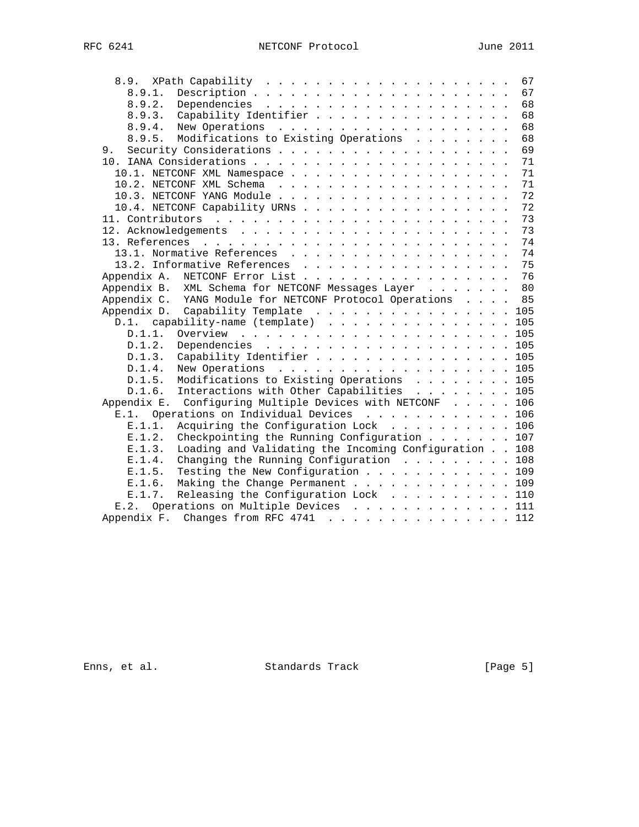|    |                                                                 | 67 |
|----|-----------------------------------------------------------------|----|
|    | 8.9.1.                                                          | 67 |
|    | 8.9.2.                                                          | 68 |
|    | Capability Identifier<br>8.9.3.                                 | 68 |
|    | 8.9.4.                                                          | 68 |
|    | Modifications to Existing Operations<br>8.9.5.                  | 68 |
| 9. |                                                                 | 69 |
|    |                                                                 | 71 |
|    |                                                                 | 71 |
|    |                                                                 | 71 |
|    |                                                                 | 72 |
|    | 10.4. NETCONF Capability URNs                                   | 72 |
|    |                                                                 | 73 |
|    |                                                                 | 73 |
|    |                                                                 | 74 |
|    | 13.1. Normative References                                      | 74 |
|    | 13.2. Informative References                                    | 75 |
|    | Appendix A.<br>NETCONF Error List                               | 76 |
|    | XML Schema for NETCONF Messages Layer 80<br>Appendix B.         |    |
|    | Appendix C. YANG Module for NETCONF Protocol Operations 85      |    |
|    | Appendix D. Capability Template 105                             |    |
|    | D.1. capability-name (template) 105                             |    |
|    | D.1.1.                                                          |    |
|    | D.1.2.<br>Dependencies 105                                      |    |
|    | D.1.3. Capability Identifier 105                                |    |
|    | New Operations 105<br>D.1.4.                                    |    |
|    | Modifications to Existing Operations 105<br>D.1.5.              |    |
|    | Interactions with Other Capabilities 105<br>D.1.6.              |    |
|    | Appendix E. Configuring Multiple Devices with NETCONF 106       |    |
|    | Operations on Individual Devices 106<br>E.1.                    |    |
|    | Acquiring the Configuration Lock 106<br>E.1.1.                  |    |
|    | Checkpointing the Running Configuration $\ldots$ 107<br>E.1.2.  |    |
|    | Loading and Validating the Incoming Configuration 108<br>E.1.3. |    |
|    | Changing the Running Configuration 108<br>E.1.4.                |    |
|    | Testing the New Configuration 109<br>E.1.5.                     |    |
|    | Making the Change Permanent 109<br>E.1.6.                       |    |
|    | Releasing the Configuration Lock 110<br>E.1.7.                  |    |
|    | E.2. Operations on Multiple Devices 111                         |    |
|    | Appendix F. Changes from RFC 4741 112                           |    |
|    |                                                                 |    |

Enns, et al. Standards Track [Page 5]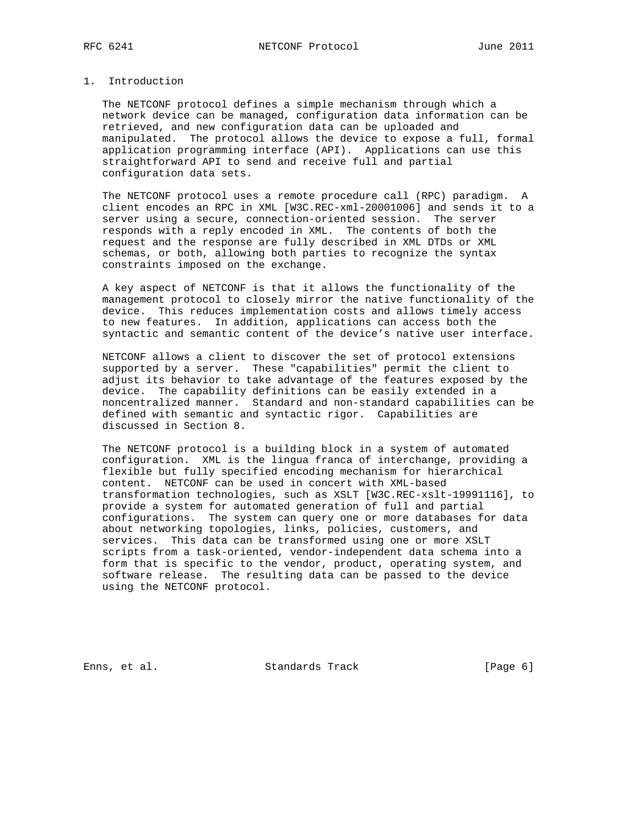## 1. Introduction

 The NETCONF protocol defines a simple mechanism through which a network device can be managed, configuration data information can be retrieved, and new configuration data can be uploaded and manipulated. The protocol allows the device to expose a full, formal application programming interface (API). Applications can use this straightforward API to send and receive full and partial configuration data sets.

 The NETCONF protocol uses a remote procedure call (RPC) paradigm. A client encodes an RPC in XML [W3C.REC-xml-20001006] and sends it to a server using a secure, connection-oriented session. The server responds with a reply encoded in XML. The contents of both the request and the response are fully described in XML DTDs or XML schemas, or both, allowing both parties to recognize the syntax constraints imposed on the exchange.

 A key aspect of NETCONF is that it allows the functionality of the management protocol to closely mirror the native functionality of the device. This reduces implementation costs and allows timely access to new features. In addition, applications can access both the syntactic and semantic content of the device's native user interface.

 NETCONF allows a client to discover the set of protocol extensions supported by a server. These "capabilities" permit the client to adjust its behavior to take advantage of the features exposed by the device. The capability definitions can be easily extended in a noncentralized manner. Standard and non-standard capabilities can be defined with semantic and syntactic rigor. Capabilities are discussed in Section 8.

 The NETCONF protocol is a building block in a system of automated configuration. XML is the lingua franca of interchange, providing a flexible but fully specified encoding mechanism for hierarchical content. NETCONF can be used in concert with XML-based transformation technologies, such as XSLT [W3C.REC-xslt-19991116], to provide a system for automated generation of full and partial configurations. The system can query one or more databases for data about networking topologies, links, policies, customers, and services. This data can be transformed using one or more XSLT scripts from a task-oriented, vendor-independent data schema into a form that is specific to the vendor, product, operating system, and software release. The resulting data can be passed to the device using the NETCONF protocol.

Enns, et al. Standards Track [Page 6]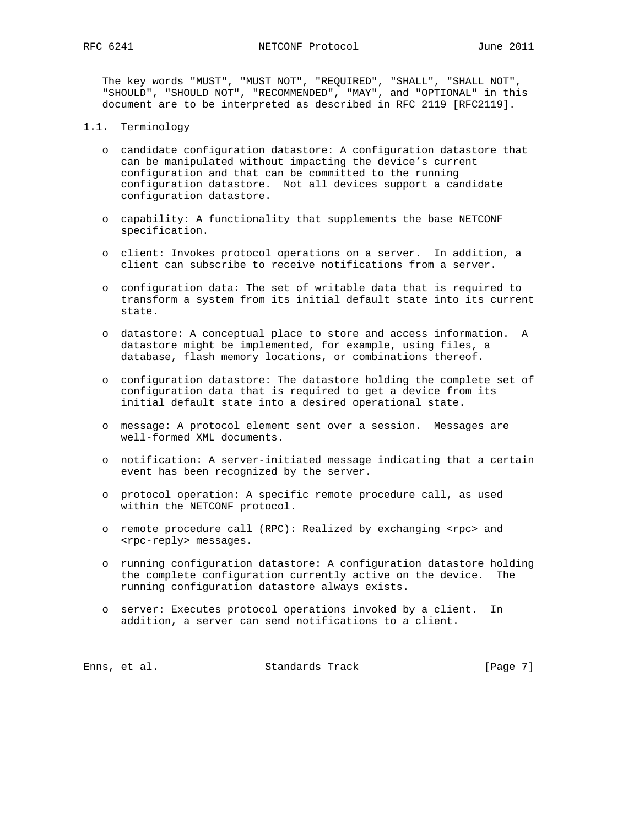The key words "MUST", "MUST NOT", "REQUIRED", "SHALL", "SHALL NOT", "SHOULD", "SHOULD NOT", "RECOMMENDED", "MAY", and "OPTIONAL" in this document are to be interpreted as described in RFC 2119 [RFC2119].

- 1.1. Terminology
	- o candidate configuration datastore: A configuration datastore that can be manipulated without impacting the device's current configuration and that can be committed to the running configuration datastore. Not all devices support a candidate configuration datastore.
	- o capability: A functionality that supplements the base NETCONF specification.
	- o client: Invokes protocol operations on a server. In addition, a client can subscribe to receive notifications from a server.
	- o configuration data: The set of writable data that is required to transform a system from its initial default state into its current state.
	- o datastore: A conceptual place to store and access information. A datastore might be implemented, for example, using files, a database, flash memory locations, or combinations thereof.
	- o configuration datastore: The datastore holding the complete set of configuration data that is required to get a device from its initial default state into a desired operational state.
	- o message: A protocol element sent over a session. Messages are well-formed XML documents.
	- o notification: A server-initiated message indicating that a certain event has been recognized by the server.
	- o protocol operation: A specific remote procedure call, as used within the NETCONF protocol.
	- o remote procedure call (RPC): Realized by exchanging <rpc> and <rpc-reply> messages.
	- o running configuration datastore: A configuration datastore holding the complete configuration currently active on the device. The running configuration datastore always exists.
	- o server: Executes protocol operations invoked by a client. In addition, a server can send notifications to a client.

Enns, et al. Standards Track [Page 7]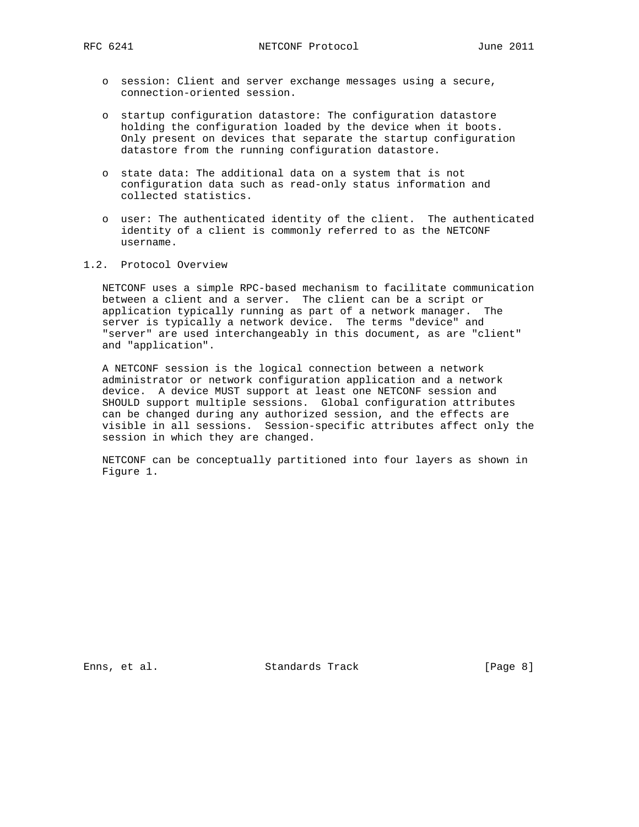- o session: Client and server exchange messages using a secure, connection-oriented session.
- o startup configuration datastore: The configuration datastore holding the configuration loaded by the device when it boots. Only present on devices that separate the startup configuration datastore from the running configuration datastore.
- o state data: The additional data on a system that is not configuration data such as read-only status information and collected statistics.
- o user: The authenticated identity of the client. The authenticated identity of a client is commonly referred to as the NETCONF username.
- 1.2. Protocol Overview

 NETCONF uses a simple RPC-based mechanism to facilitate communication between a client and a server. The client can be a script or application typically running as part of a network manager. The server is typically a network device. The terms "device" and "server" are used interchangeably in this document, as are "client" and "application".

 A NETCONF session is the logical connection between a network administrator or network configuration application and a network device. A device MUST support at least one NETCONF session and SHOULD support multiple sessions. Global configuration attributes can be changed during any authorized session, and the effects are visible in all sessions. Session-specific attributes affect only the session in which they are changed.

 NETCONF can be conceptually partitioned into four layers as shown in Figure 1.

Enns, et al. Standards Track [Page 8]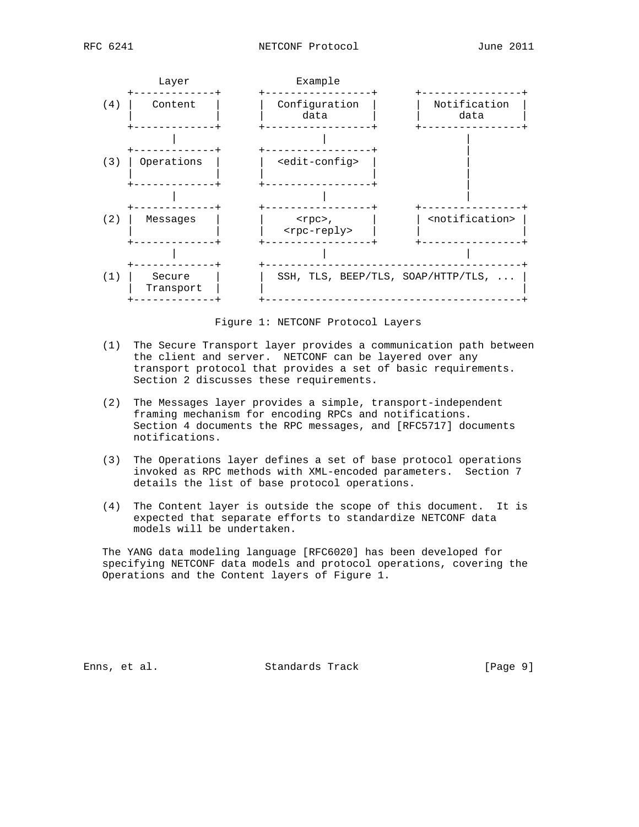



Figure 1: NETCONF Protocol Layers

- (1) The Secure Transport layer provides a communication path between the client and server. NETCONF can be layered over any transport protocol that provides a set of basic requirements. Section 2 discusses these requirements.
- (2) The Messages layer provides a simple, transport-independent framing mechanism for encoding RPCs and notifications. Section 4 documents the RPC messages, and [RFC5717] documents notifications.
- (3) The Operations layer defines a set of base protocol operations invoked as RPC methods with XML-encoded parameters. Section 7 details the list of base protocol operations.
- (4) The Content layer is outside the scope of this document. It is expected that separate efforts to standardize NETCONF data models will be undertaken.

 The YANG data modeling language [RFC6020] has been developed for specifying NETCONF data models and protocol operations, covering the Operations and the Content layers of Figure 1.

Enns, et al. Standards Track [Page 9]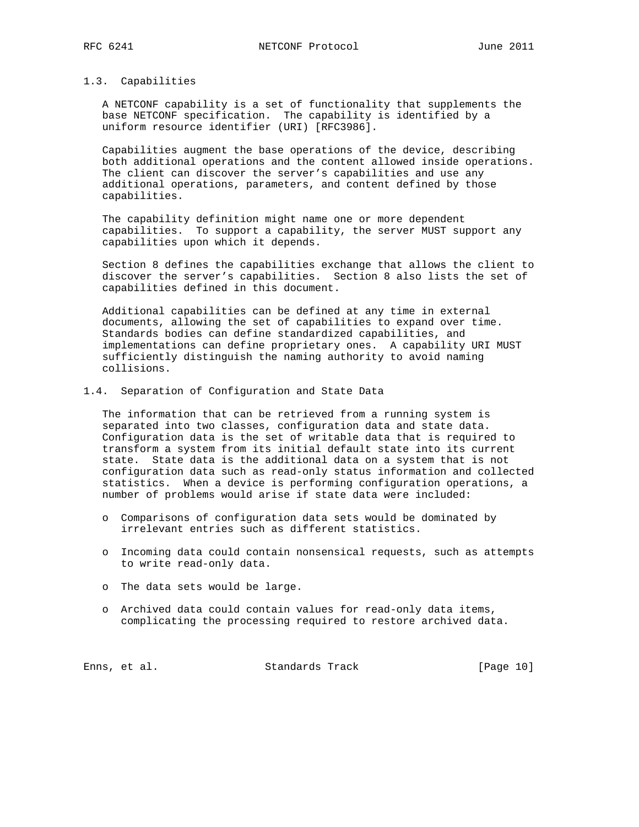1.3. Capabilities

 A NETCONF capability is a set of functionality that supplements the base NETCONF specification. The capability is identified by a uniform resource identifier (URI) [RFC3986].

 Capabilities augment the base operations of the device, describing both additional operations and the content allowed inside operations. The client can discover the server's capabilities and use any additional operations, parameters, and content defined by those capabilities.

 The capability definition might name one or more dependent capabilities. To support a capability, the server MUST support any capabilities upon which it depends.

 Section 8 defines the capabilities exchange that allows the client to discover the server's capabilities. Section 8 also lists the set of capabilities defined in this document.

 Additional capabilities can be defined at any time in external documents, allowing the set of capabilities to expand over time. Standards bodies can define standardized capabilities, and implementations can define proprietary ones. A capability URI MUST sufficiently distinguish the naming authority to avoid naming collisions.

1.4. Separation of Configuration and State Data

 The information that can be retrieved from a running system is separated into two classes, configuration data and state data. Configuration data is the set of writable data that is required to transform a system from its initial default state into its current state. State data is the additional data on a system that is not configuration data such as read-only status information and collected statistics. When a device is performing configuration operations, a number of problems would arise if state data were included:

- o Comparisons of configuration data sets would be dominated by irrelevant entries such as different statistics.
- o Incoming data could contain nonsensical requests, such as attempts to write read-only data.
- o The data sets would be large.
- o Archived data could contain values for read-only data items, complicating the processing required to restore archived data.

Enns, et al. Standards Track [Page 10]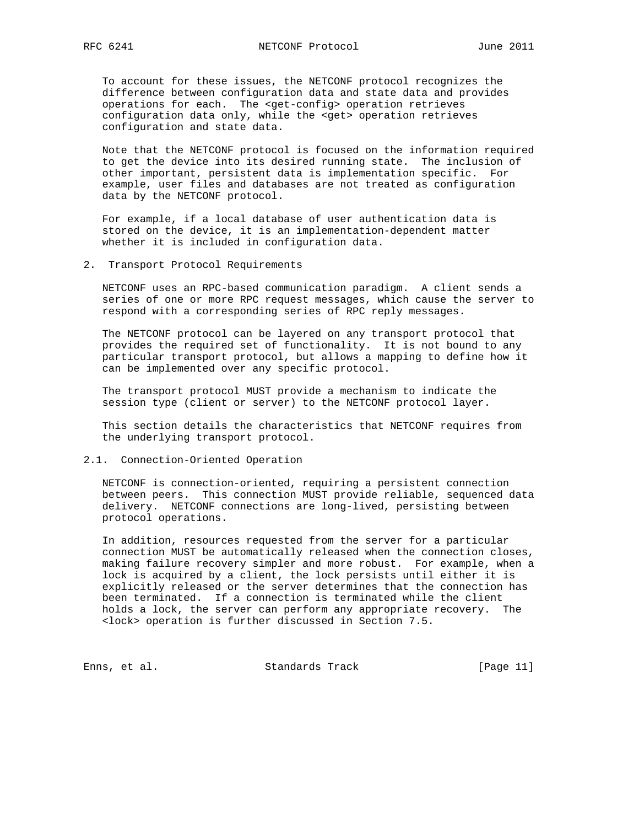To account for these issues, the NETCONF protocol recognizes the difference between configuration data and state data and provides operations for each. The <get-config> operation retrieves configuration data only, while the <get> operation retrieves configuration and state data.

 Note that the NETCONF protocol is focused on the information required to get the device into its desired running state. The inclusion of other important, persistent data is implementation specific. For example, user files and databases are not treated as configuration data by the NETCONF protocol.

 For example, if a local database of user authentication data is stored on the device, it is an implementation-dependent matter whether it is included in configuration data.

2. Transport Protocol Requirements

 NETCONF uses an RPC-based communication paradigm. A client sends a series of one or more RPC request messages, which cause the server to respond with a corresponding series of RPC reply messages.

 The NETCONF protocol can be layered on any transport protocol that provides the required set of functionality. It is not bound to any particular transport protocol, but allows a mapping to define how it can be implemented over any specific protocol.

 The transport protocol MUST provide a mechanism to indicate the session type (client or server) to the NETCONF protocol layer.

 This section details the characteristics that NETCONF requires from the underlying transport protocol.

## 2.1. Connection-Oriented Operation

 NETCONF is connection-oriented, requiring a persistent connection between peers. This connection MUST provide reliable, sequenced data delivery. NETCONF connections are long-lived, persisting between protocol operations.

 In addition, resources requested from the server for a particular connection MUST be automatically released when the connection closes, making failure recovery simpler and more robust. For example, when a lock is acquired by a client, the lock persists until either it is explicitly released or the server determines that the connection has been terminated. If a connection is terminated while the client holds a lock, the server can perform any appropriate recovery. The <lock> operation is further discussed in Section 7.5.

Enns, et al. Standards Track [Page 11]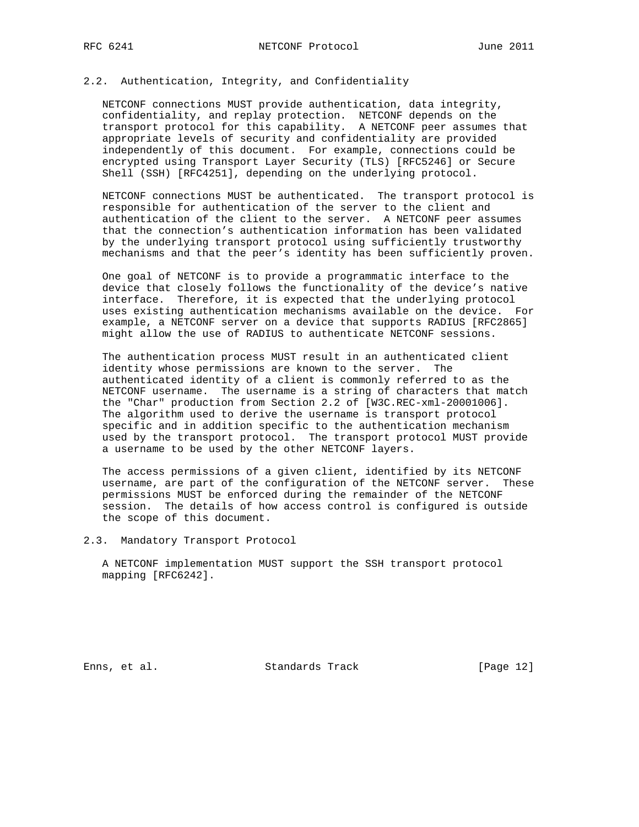# 2.2. Authentication, Integrity, and Confidentiality

 NETCONF connections MUST provide authentication, data integrity, confidentiality, and replay protection. NETCONF depends on the transport protocol for this capability. A NETCONF peer assumes that appropriate levels of security and confidentiality are provided independently of this document. For example, connections could be encrypted using Transport Layer Security (TLS) [RFC5246] or Secure Shell (SSH) [RFC4251], depending on the underlying protocol.

 NETCONF connections MUST be authenticated. The transport protocol is responsible for authentication of the server to the client and authentication of the client to the server. A NETCONF peer assumes that the connection's authentication information has been validated by the underlying transport protocol using sufficiently trustworthy mechanisms and that the peer's identity has been sufficiently proven.

 One goal of NETCONF is to provide a programmatic interface to the device that closely follows the functionality of the device's native interface. Therefore, it is expected that the underlying protocol uses existing authentication mechanisms available on the device. For example, a NETCONF server on a device that supports RADIUS [RFC2865] might allow the use of RADIUS to authenticate NETCONF sessions.

 The authentication process MUST result in an authenticated client identity whose permissions are known to the server. The authenticated identity of a client is commonly referred to as the NETCONF username. The username is a string of characters that match the "Char" production from Section 2.2 of [W3C.REC-xml-20001006]. The algorithm used to derive the username is transport protocol specific and in addition specific to the authentication mechanism used by the transport protocol. The transport protocol MUST provide a username to be used by the other NETCONF layers.

 The access permissions of a given client, identified by its NETCONF username, are part of the configuration of the NETCONF server. These permissions MUST be enforced during the remainder of the NETCONF session. The details of how access control is configured is outside the scope of this document.

2.3. Mandatory Transport Protocol

 A NETCONF implementation MUST support the SSH transport protocol mapping [RFC6242].

Enns, et al. Standards Track [Page 12]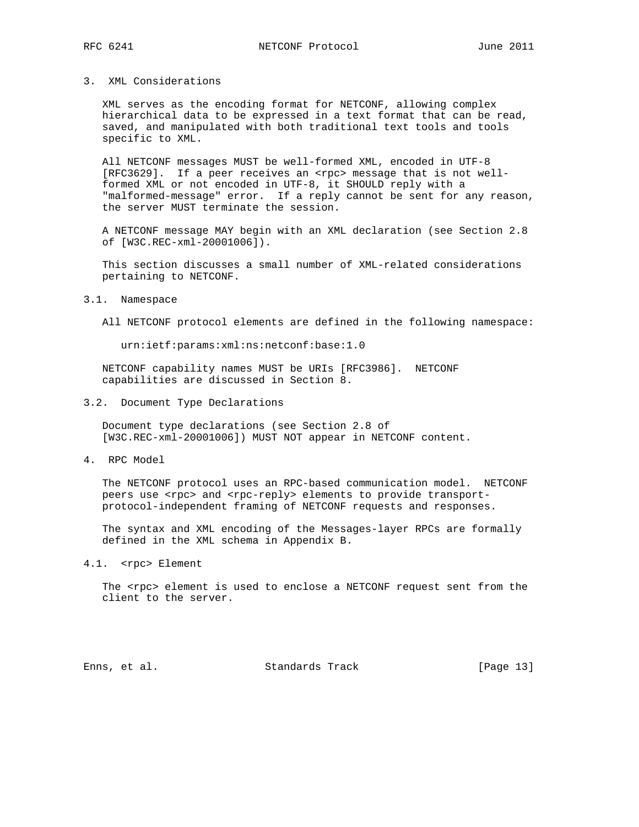#### 3. XML Considerations

 XML serves as the encoding format for NETCONF, allowing complex hierarchical data to be expressed in a text format that can be read, saved, and manipulated with both traditional text tools and tools specific to XML.

 All NETCONF messages MUST be well-formed XML, encoded in UTF-8 [RFC3629]. If a peer receives an <rpc> message that is not well formed XML or not encoded in UTF-8, it SHOULD reply with a "malformed-message" error. If a reply cannot be sent for any reason, the server MUST terminate the session.

 A NETCONF message MAY begin with an XML declaration (see Section 2.8 of [W3C.REC-xml-20001006]).

 This section discusses a small number of XML-related considerations pertaining to NETCONF.

#### 3.1. Namespace

All NETCONF protocol elements are defined in the following namespace:

urn:ietf:params:xml:ns:netconf:base:1.0

 NETCONF capability names MUST be URIs [RFC3986]. NETCONF capabilities are discussed in Section 8.

#### 3.2. Document Type Declarations

 Document type declarations (see Section 2.8 of [W3C.REC-xml-20001006]) MUST NOT appear in NETCONF content.

4. RPC Model

 The NETCONF protocol uses an RPC-based communication model. NETCONF peers use <rpc> and <rpc-reply> elements to provide transportprotocol-independent framing of NETCONF requests and responses.

 The syntax and XML encoding of the Messages-layer RPCs are formally defined in the XML schema in Appendix B.

4.1. <rpc> Element

The <rpc> element is used to enclose a NETCONF request sent from the client to the server.

Enns, et al. Standards Track [Page 13]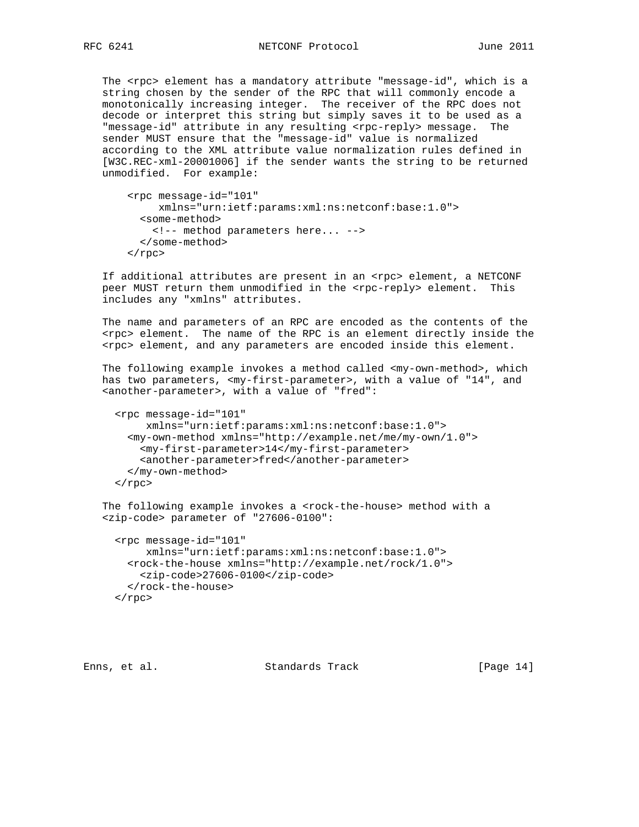The <rpc> element has a mandatory attribute "message-id", which is a string chosen by the sender of the RPC that will commonly encode a monotonically increasing integer. The receiver of the RPC does not decode or interpret this string but simply saves it to be used as a "message-id" attribute in any resulting <rpc-reply> message. The sender MUST ensure that the "message-id" value is normalized according to the XML attribute value normalization rules defined in [W3C.REC-xml-20001006] if the sender wants the string to be returned unmodified. For example:

```
 <rpc message-id="101"
     xmlns="urn:ietf:params:xml:ns:netconf:base:1.0">
   <some-method>
     <!-- method parameters here... -->
   </some-method>
\langle rpc>
```
If additional attributes are present in an <rpc> element, a NETCONF peer MUST return them unmodified in the <rpc-reply> element. This includes any "xmlns" attributes.

 The name and parameters of an RPC are encoded as the contents of the <rpc> element. The name of the RPC is an element directly inside the <rpc> element, and any parameters are encoded inside this element.

 The following example invokes a method called <my-own-method>, which has two parameters, <my-first-parameter>, with a value of "14", and <another-parameter>, with a value of "fred":

```
 <rpc message-id="101"
     xmlns="urn:ietf:params:xml:ns:netconf:base:1.0">
   <my-own-method xmlns="http://example.net/me/my-own/1.0">
    <my-first-parameter>14</my-first-parameter>
     <another-parameter>fred</another-parameter>
   </my-own-method>
\langle rpc>
```

```
The following example invokes a <rock-the-house> method with a
 <zip-code> parameter of "27606-0100":
```

```
 <rpc message-id="101"
      xmlns="urn:ietf:params:xml:ns:netconf:base:1.0">
   <rock-the-house xmlns="http://example.net/rock/1.0">
     <zip-code>27606-0100</zip-code>
   </rock-the-house>
\langle rpc>
```
Enns, et al. Standards Track [Page 14]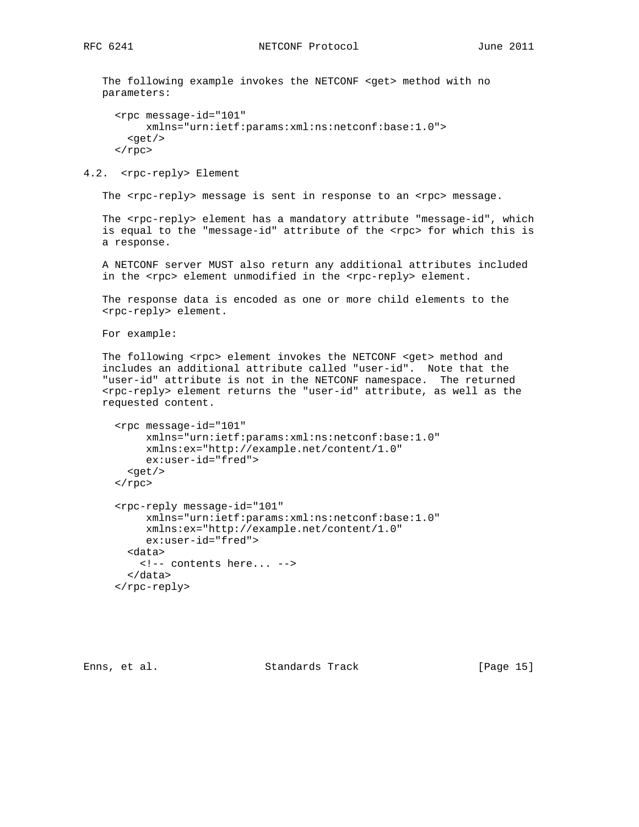The following example invokes the NETCONF <get> method with no parameters:

```
 <rpc message-id="101"
      xmlns="urn:ietf:params:xml:ns:netconf:base:1.0">
  <get/>
\langle rpc>
```
4.2. <rpc-reply> Element

The <rpc-reply> message is sent in response to an <rpc> message.

The <rpc-reply> element has a mandatory attribute "message-id", which is equal to the "message-id" attribute of the <rpc> for which this is a response.

 A NETCONF server MUST also return any additional attributes included in the <rpc> element unmodified in the <rpc-reply> element.

 The response data is encoded as one or more child elements to the <rpc-reply> element.

For example:

The following <rpc> element invokes the NETCONF <get> method and includes an additional attribute called "user-id". Note that the "user-id" attribute is not in the NETCONF namespace. The returned <rpc-reply> element returns the "user-id" attribute, as well as the requested content.

```
 <rpc message-id="101"
      xmlns="urn:ietf:params:xml:ns:netconf:base:1.0"
      xmlns:ex="http://example.net/content/1.0"
      ex:user-id="fred">
   <get/>
\langle rpc>
 <rpc-reply message-id="101"
      xmlns="urn:ietf:params:xml:ns:netconf:base:1.0"
      xmlns:ex="http://example.net/content/1.0"
      ex:user-id="fred">
   <data>
     <!-- contents here... -->
   </data>
 </rpc-reply>
```
Enns, et al. Standards Track [Page 15]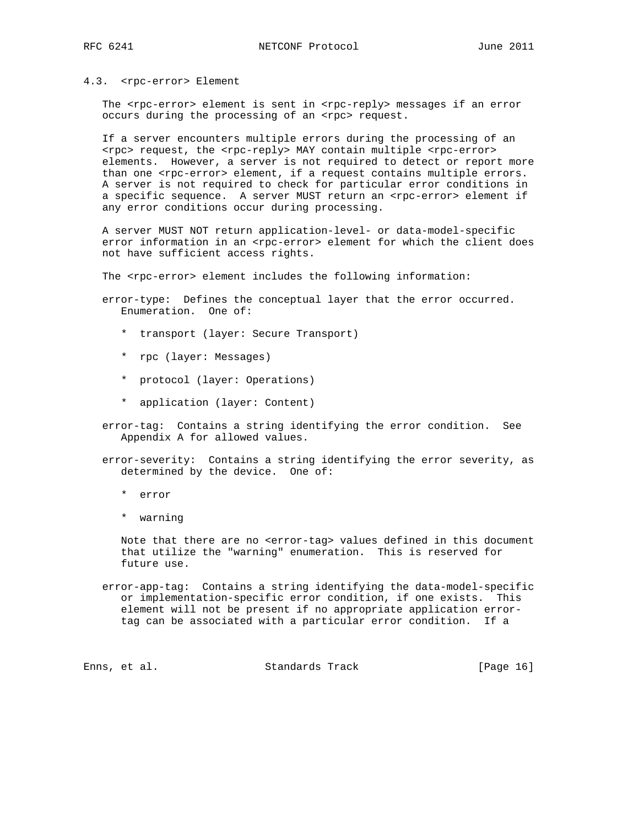#### 4.3. <rpc-error> Element

The <rpc-error> element is sent in <rpc-reply> messages if an error occurs during the processing of an <rpc> request.

 If a server encounters multiple errors during the processing of an <rpc> request, the <rpc-reply> MAY contain multiple <rpc-error> elements. However, a server is not required to detect or report more than one <rpc-error> element, if a request contains multiple errors. A server is not required to check for particular error conditions in a specific sequence. A server MUST return an <rpc-error> element if any error conditions occur during processing.

 A server MUST NOT return application-level- or data-model-specific error information in an <rpc-error> element for which the client does not have sufficient access rights.

The <rpc-error> element includes the following information:

 error-type: Defines the conceptual layer that the error occurred. Enumeration. One of:

- \* transport (layer: Secure Transport)
- \* rpc (layer: Messages)
- \* protocol (layer: Operations)
- \* application (layer: Content)

 error-tag: Contains a string identifying the error condition. See Appendix A for allowed values.

 error-severity: Contains a string identifying the error severity, as determined by the device. One of:

- \* error
- \* warning

 Note that there are no <error-tag> values defined in this document that utilize the "warning" enumeration. This is reserved for future use.

 error-app-tag: Contains a string identifying the data-model-specific or implementation-specific error condition, if one exists. This element will not be present if no appropriate application error tag can be associated with a particular error condition. If a

Enns, et al. Standards Track [Page 16]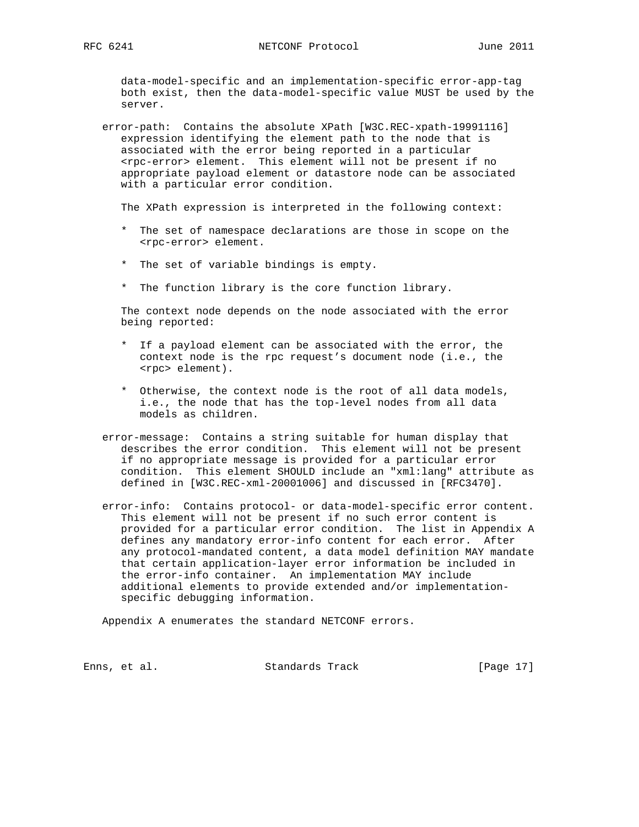data-model-specific and an implementation-specific error-app-tag both exist, then the data-model-specific value MUST be used by the server.

 error-path: Contains the absolute XPath [W3C.REC-xpath-19991116] expression identifying the element path to the node that is associated with the error being reported in a particular <rpc-error> element. This element will not be present if no appropriate payload element or datastore node can be associated with a particular error condition.

The XPath expression is interpreted in the following context:

- \* The set of namespace declarations are those in scope on the <rpc-error> element.
- \* The set of variable bindings is empty.
- \* The function library is the core function library.

 The context node depends on the node associated with the error being reported:

- \* If a payload element can be associated with the error, the context node is the rpc request's document node (i.e., the <rpc> element).
- \* Otherwise, the context node is the root of all data models, i.e., the node that has the top-level nodes from all data models as children.
- error-message: Contains a string suitable for human display that describes the error condition. This element will not be present if no appropriate message is provided for a particular error condition. This element SHOULD include an "xml:lang" attribute as defined in [W3C.REC-xml-20001006] and discussed in [RFC3470].
- error-info: Contains protocol- or data-model-specific error content. This element will not be present if no such error content is provided for a particular error condition. The list in Appendix A defines any mandatory error-info content for each error. After any protocol-mandated content, a data model definition MAY mandate that certain application-layer error information be included in the error-info container. An implementation MAY include additional elements to provide extended and/or implementation specific debugging information.

Appendix A enumerates the standard NETCONF errors.

Enns, et al. Standards Track [Page 17]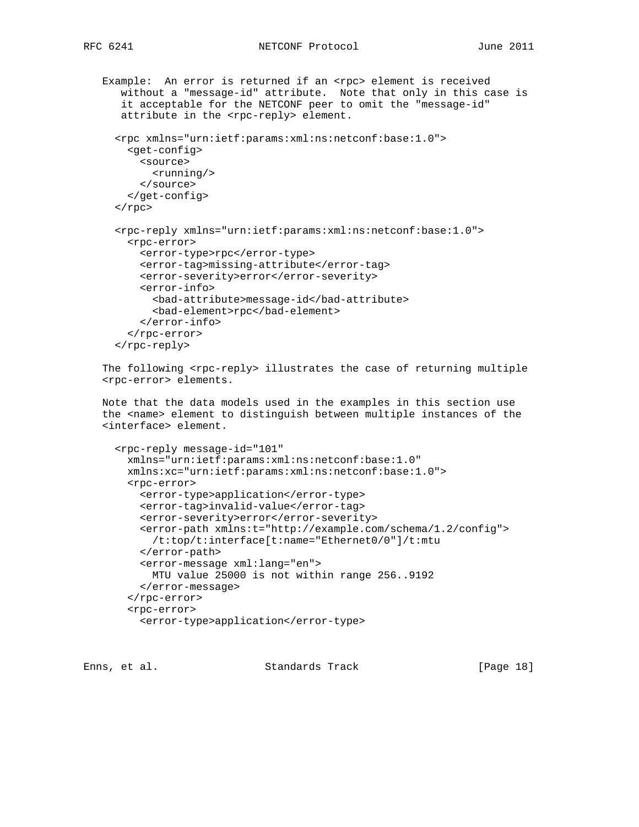```
Example: An error is returned if an <rpc> element is received
    without a "message-id" attribute. Note that only in this case is
    it acceptable for the NETCONF peer to omit the "message-id"
   attribute in the <rpc-reply> element.
   <rpc xmlns="urn:ietf:params:xml:ns:netconf:base:1.0">
     <get-config>
       <source>
         <running/>
       </source>
     </get-config>
  \langle rpc>
   <rpc-reply xmlns="urn:ietf:params:xml:ns:netconf:base:1.0">
     <rpc-error>
       <error-type>rpc</error-type>
       <error-tag>missing-attribute</error-tag>
       <error-severity>error</error-severity>
       <error-info>
         <bad-attribute>message-id</bad-attribute>
         <bad-element>rpc</bad-element>
       </error-info>
     </rpc-error>
   </rpc-reply>
The following <rpc-reply> illustrates the case of returning multiple
 <rpc-error> elements.
 Note that the data models used in the examples in this section use
 the <name> element to distinguish between multiple instances of the
 <interface> element.
   <rpc-reply message-id="101"
     xmlns="urn:ietf:params:xml:ns:netconf:base:1.0"
     xmlns:xc="urn:ietf:params:xml:ns:netconf:base:1.0">
     <rpc-error>
       <error-type>application</error-type>
       <error-tag>invalid-value</error-tag>
       <error-severity>error</error-severity>
       <error-path xmlns:t="http://example.com/schema/1.2/config">
         /t:top/t:interface[t:name="Ethernet0/0"]/t:mtu
       </error-path>
       <error-message xml:lang="en">
         MTU value 25000 is not within range 256..9192
       </error-message>
     </rpc-error>
     <rpc-error>
       <error-type>application</error-type>
```
Enns, et al. Standards Track [Page 18]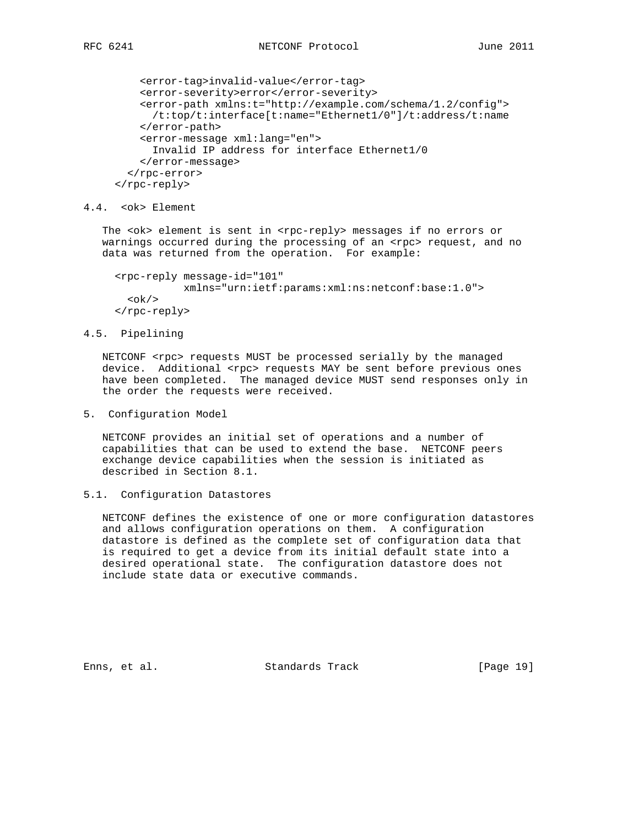```
 <error-tag>invalid-value</error-tag>
     <error-severity>error</error-severity>
    <error-path xmlns:t="http://example.com/schema/1.2/config">
       /t:top/t:interface[t:name="Ethernet1/0"]/t:address/t:name
     </error-path>
    <error-message xml:lang="en">
       Invalid IP address for interface Ethernet1/0
     </error-message>
   </rpc-error>
 </rpc-reply>
```
4.4. <ok> Element

The <ok> element is sent in <rpc-reply> messages if no errors or warnings occurred during the processing of an <rpc> request, and no data was returned from the operation. For example:

```
 <rpc-reply message-id="101"
            xmlns="urn:ietf:params:xml:ns:netconf:base:1.0">
  <ok/>
 </rpc-reply>
```
#### 4.5. Pipelining

NETCONF <rpc> requests MUST be processed serially by the managed device. Additional <rpc> requests MAY be sent before previous ones have been completed. The managed device MUST send responses only in the order the requests were received.

5. Configuration Model

 NETCONF provides an initial set of operations and a number of capabilities that can be used to extend the base. NETCONF peers exchange device capabilities when the session is initiated as described in Section 8.1.

## 5.1. Configuration Datastores

 NETCONF defines the existence of one or more configuration datastores and allows configuration operations on them. A configuration datastore is defined as the complete set of configuration data that is required to get a device from its initial default state into a desired operational state. The configuration datastore does not include state data or executive commands.

Enns, et al. Standards Track [Page 19]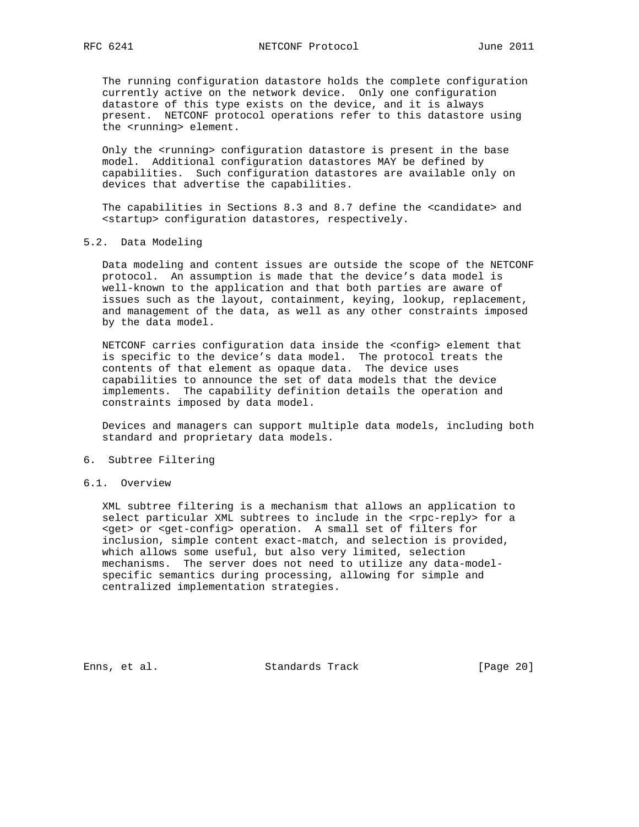The running configuration datastore holds the complete configuration currently active on the network device. Only one configuration datastore of this type exists on the device, and it is always present. NETCONF protocol operations refer to this datastore using the <running> element.

 Only the <running> configuration datastore is present in the base model. Additional configuration datastores MAY be defined by capabilities. Such configuration datastores are available only on devices that advertise the capabilities.

The capabilities in Sections 8.3 and 8.7 define the <candidate> and <startup> configuration datastores, respectively.

## 5.2. Data Modeling

 Data modeling and content issues are outside the scope of the NETCONF protocol. An assumption is made that the device's data model is well-known to the application and that both parties are aware of issues such as the layout, containment, keying, lookup, replacement, and management of the data, as well as any other constraints imposed by the data model.

 NETCONF carries configuration data inside the <config> element that is specific to the device's data model. The protocol treats the contents of that element as opaque data. The device uses capabilities to announce the set of data models that the device implements. The capability definition details the operation and constraints imposed by data model.

 Devices and managers can support multiple data models, including both standard and proprietary data models.

#### 6. Subtree Filtering

### 6.1. Overview

 XML subtree filtering is a mechanism that allows an application to select particular XML subtrees to include in the <rpc-reply> for a <get> or <get-config> operation. A small set of filters for inclusion, simple content exact-match, and selection is provided, which allows some useful, but also very limited, selection mechanisms. The server does not need to utilize any data-model specific semantics during processing, allowing for simple and centralized implementation strategies.

Enns, et al. Standards Track [Page 20]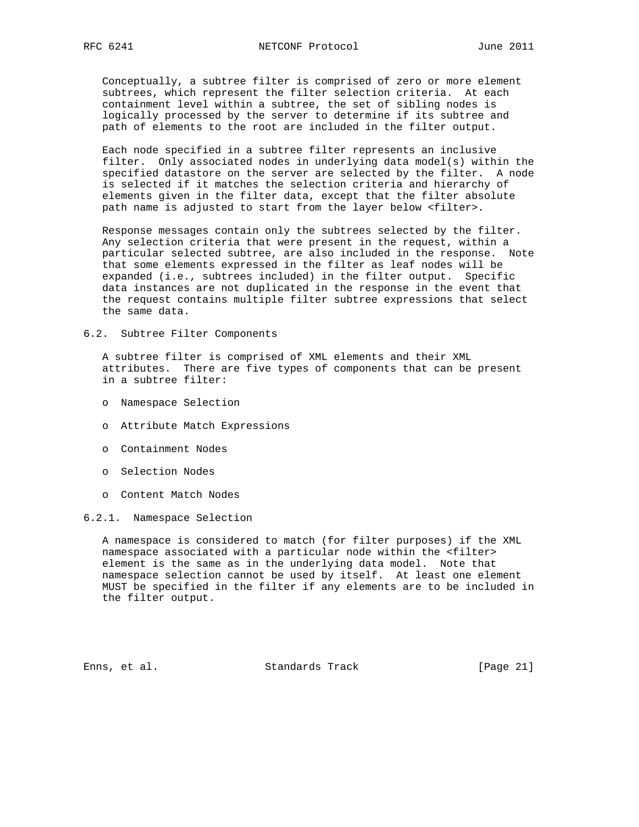Conceptually, a subtree filter is comprised of zero or more element subtrees, which represent the filter selection criteria. At each containment level within a subtree, the set of sibling nodes is logically processed by the server to determine if its subtree and path of elements to the root are included in the filter output.

 Each node specified in a subtree filter represents an inclusive filter. Only associated nodes in underlying data model(s) within the specified datastore on the server are selected by the filter. A node is selected if it matches the selection criteria and hierarchy of elements given in the filter data, except that the filter absolute path name is adjusted to start from the layer below <filter>.

 Response messages contain only the subtrees selected by the filter. Any selection criteria that were present in the request, within a particular selected subtree, are also included in the response. Note that some elements expressed in the filter as leaf nodes will be expanded (i.e., subtrees included) in the filter output. Specific data instances are not duplicated in the response in the event that the request contains multiple filter subtree expressions that select the same data.

6.2. Subtree Filter Components

 A subtree filter is comprised of XML elements and their XML attributes. There are five types of components that can be present in a subtree filter:

- o Namespace Selection
- o Attribute Match Expressions
- o Containment Nodes
- o Selection Nodes
- o Content Match Nodes

## 6.2.1. Namespace Selection

 A namespace is considered to match (for filter purposes) if the XML namespace associated with a particular node within the <filter> element is the same as in the underlying data model. Note that namespace selection cannot be used by itself. At least one element MUST be specified in the filter if any elements are to be included in the filter output.

Enns, et al. Standards Track [Page 21]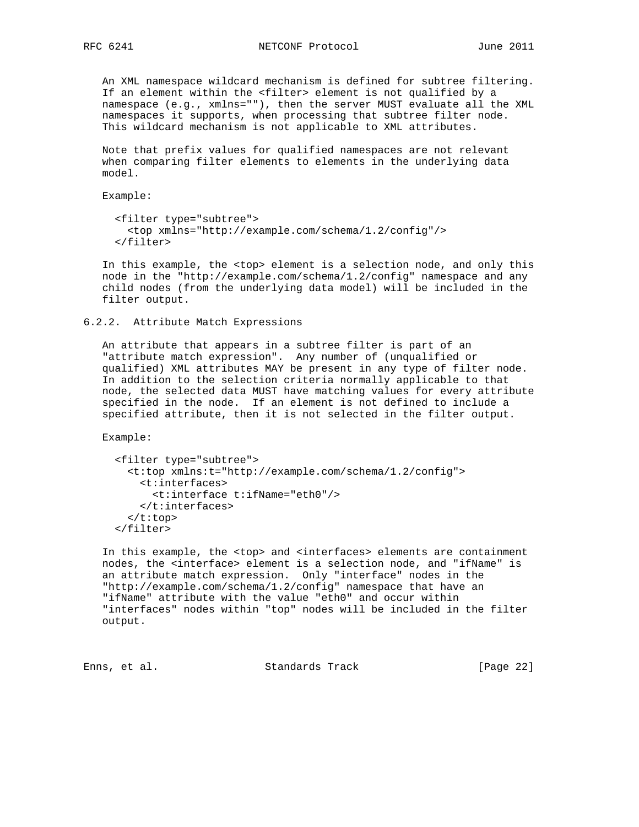An XML namespace wildcard mechanism is defined for subtree filtering. If an element within the <filter> element is not qualified by a namespace (e.g., xmlns=""), then the server MUST evaluate all the XML namespaces it supports, when processing that subtree filter node. This wildcard mechanism is not applicable to XML attributes.

 Note that prefix values for qualified namespaces are not relevant when comparing filter elements to elements in the underlying data model.

Example:

```
 <filter type="subtree">
   <top xmlns="http://example.com/schema/1.2/config"/>
 </filter>
```
 In this example, the <top> element is a selection node, and only this node in the "http://example.com/schema/1.2/config" namespace and any child nodes (from the underlying data model) will be included in the filter output.

6.2.2. Attribute Match Expressions

 An attribute that appears in a subtree filter is part of an "attribute match expression". Any number of (unqualified or qualified) XML attributes MAY be present in any type of filter node. In addition to the selection criteria normally applicable to that node, the selected data MUST have matching values for every attribute specified in the node. If an element is not defined to include a specified attribute, then it is not selected in the filter output.

Example:

```
 <filter type="subtree">
   <t:top xmlns:t="http://example.com/schema/1.2/config">
     <t:interfaces>
       <t:interface t:ifName="eth0"/>
     </t:interfaces>
  \langle t:top \rangle </filter>
```
 In this example, the <top> and <interfaces> elements are containment nodes, the <interface> element is a selection node, and "ifName" is an attribute match expression. Only "interface" nodes in the "http://example.com/schema/1.2/config" namespace that have an "ifName" attribute with the value "eth0" and occur within "interfaces" nodes within "top" nodes will be included in the filter output.

Enns, et al. Standards Track [Page 22]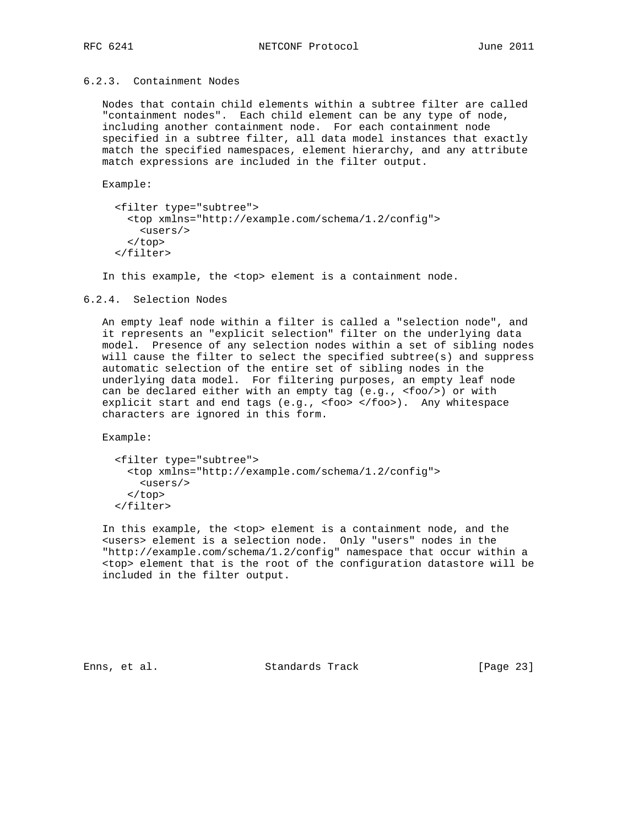## 6.2.3. Containment Nodes

 Nodes that contain child elements within a subtree filter are called "containment nodes". Each child element can be any type of node, including another containment node. For each containment node specified in a subtree filter, all data model instances that exactly match the specified namespaces, element hierarchy, and any attribute match expressions are included in the filter output.

Example:

```
 <filter type="subtree">
   <top xmlns="http://example.com/schema/1.2/config">
     <users/>
   </top>
 </filter>
```
In this example, the <top> element is a containment node.

#### 6.2.4. Selection Nodes

 An empty leaf node within a filter is called a "selection node", and it represents an "explicit selection" filter on the underlying data model. Presence of any selection nodes within a set of sibling nodes will cause the filter to select the specified subtree(s) and suppress automatic selection of the entire set of sibling nodes in the underlying data model. For filtering purposes, an empty leaf node can be declared either with an empty tag (e.g., <foo/>) or with explicit start and end tags (e.g., <foo> </foo>). Any whitespace characters are ignored in this form.

Example:

```
 <filter type="subtree">
   <top xmlns="http://example.com/schema/1.2/config">
     <users/>
   </top>
 </filter>
```
 In this example, the <top> element is a containment node, and the <users> element is a selection node. Only "users" nodes in the "http://example.com/schema/1.2/config" namespace that occur within a <top> element that is the root of the configuration datastore will be included in the filter output.

Enns, et al. Standards Track [Page 23]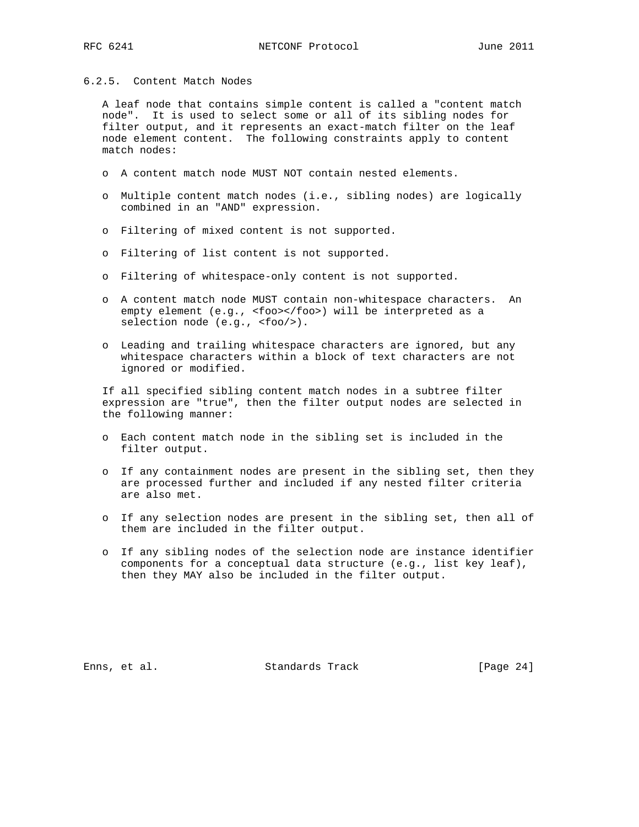## 6.2.5. Content Match Nodes

 A leaf node that contains simple content is called a "content match node". It is used to select some or all of its sibling nodes for filter output, and it represents an exact-match filter on the leaf node element content. The following constraints apply to content match nodes:

- o A content match node MUST NOT contain nested elements.
- o Multiple content match nodes (i.e., sibling nodes) are logically combined in an "AND" expression.
- o Filtering of mixed content is not supported.
- o Filtering of list content is not supported.
- o Filtering of whitespace-only content is not supported.
- o A content match node MUST contain non-whitespace characters. An empty element (e.g., <foo></foo>) will be interpreted as a selection node (e.g., <foo/>).
- o Leading and trailing whitespace characters are ignored, but any whitespace characters within a block of text characters are not ignored or modified.

 If all specified sibling content match nodes in a subtree filter expression are "true", then the filter output nodes are selected in the following manner:

- o Each content match node in the sibling set is included in the filter output.
- o If any containment nodes are present in the sibling set, then they are processed further and included if any nested filter criteria are also met.
- o If any selection nodes are present in the sibling set, then all of them are included in the filter output.
- o If any sibling nodes of the selection node are instance identifier components for a conceptual data structure (e.g., list key leaf), then they MAY also be included in the filter output.

Enns, et al. Standards Track [Page 24]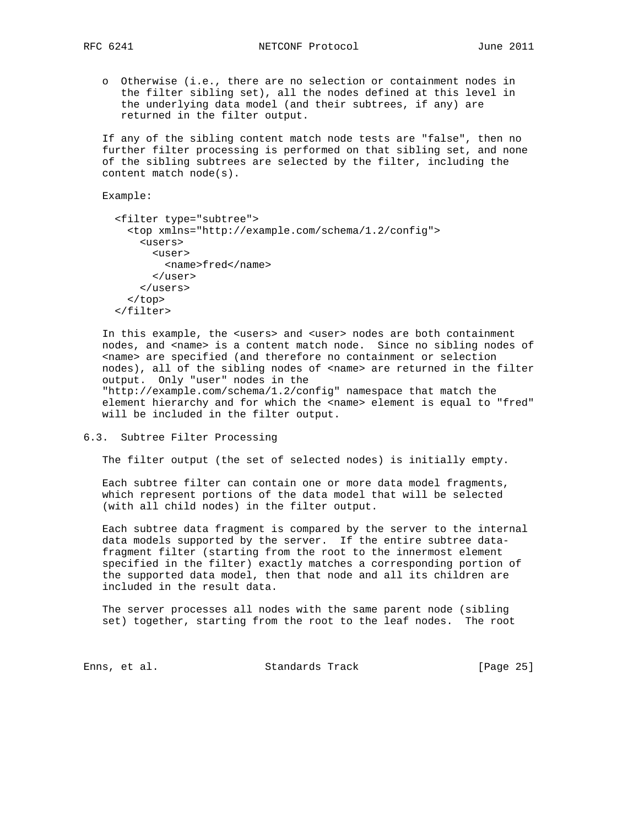- - o Otherwise (i.e., there are no selection or containment nodes in the filter sibling set), all the nodes defined at this level in the underlying data model (and their subtrees, if any) are returned in the filter output.

 If any of the sibling content match node tests are "false", then no further filter processing is performed on that sibling set, and none of the sibling subtrees are selected by the filter, including the content match node(s).

Example:

```
 <filter type="subtree">
   <top xmlns="http://example.com/schema/1.2/config">
     <users>
       <user>
         <name>fred</name>
      \langleluser>
     </users>
   </top>
 </filter>
```
 In this example, the <users> and <user> nodes are both containment nodes, and <name> is a content match node. Since no sibling nodes of <name> are specified (and therefore no containment or selection nodes), all of the sibling nodes of <name> are returned in the filter output. Only "user" nodes in the "http://example.com/schema/1.2/config" namespace that match the element hierarchy and for which the <name> element is equal to "fred" will be included in the filter output.

6.3. Subtree Filter Processing

The filter output (the set of selected nodes) is initially empty.

 Each subtree filter can contain one or more data model fragments, which represent portions of the data model that will be selected (with all child nodes) in the filter output.

 Each subtree data fragment is compared by the server to the internal data models supported by the server. If the entire subtree data fragment filter (starting from the root to the innermost element specified in the filter) exactly matches a corresponding portion of the supported data model, then that node and all its children are included in the result data.

 The server processes all nodes with the same parent node (sibling set) together, starting from the root to the leaf nodes. The root

Enns, et al. Standards Track [Page 25]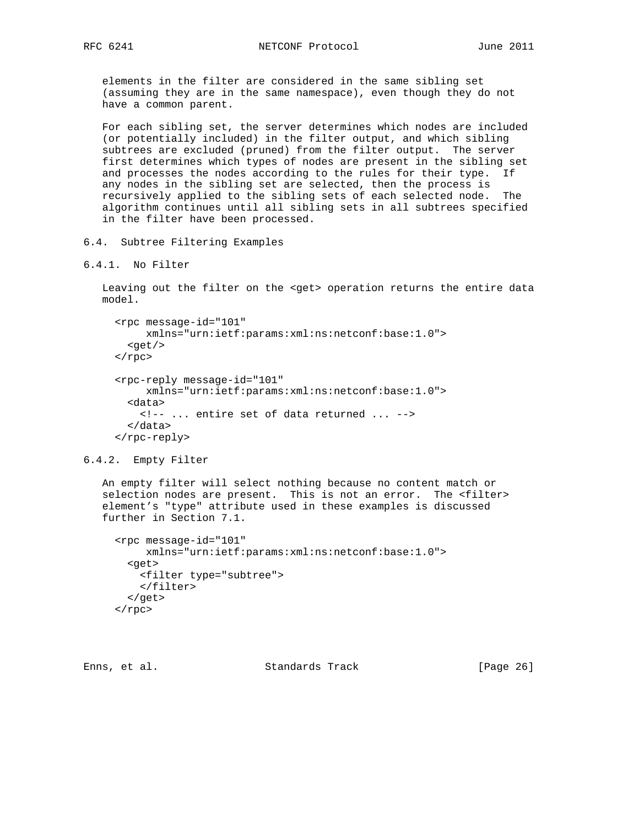elements in the filter are considered in the same sibling set (assuming they are in the same namespace), even though they do not have a common parent.

 For each sibling set, the server determines which nodes are included (or potentially included) in the filter output, and which sibling subtrees are excluded (pruned) from the filter output. The server first determines which types of nodes are present in the sibling set and processes the nodes according to the rules for their type. If any nodes in the sibling set are selected, then the process is recursively applied to the sibling sets of each selected node. The algorithm continues until all sibling sets in all subtrees specified in the filter have been processed.

- 6.4. Subtree Filtering Examples
- 6.4.1. No Filter

 Leaving out the filter on the <get> operation returns the entire data model.

```
 <rpc message-id="101"
      xmlns="urn:ietf:params:xml:ns:netconf:base:1.0">
  <get/>
\langle rpc>
 <rpc-reply message-id="101"
      xmlns="urn:ietf:params:xml:ns:netconf:base:1.0">
   <data>
    <!-- ... entire set of data returned ... -->
   </data>
 </rpc-reply>
```

```
6.4.2. Empty Filter
```
 An empty filter will select nothing because no content match or selection nodes are present. This is not an error. The <filter> element's "type" attribute used in these examples is discussed further in Section 7.1.

```
 <rpc message-id="101"
     xmlns="urn:ietf:params:xml:ns:netconf:base:1.0">
   <get>
    <filter type="subtree">
    </filter>
  </get>
 </rpc>
```

```
Enns, et al. Standards Track [Page 26]
```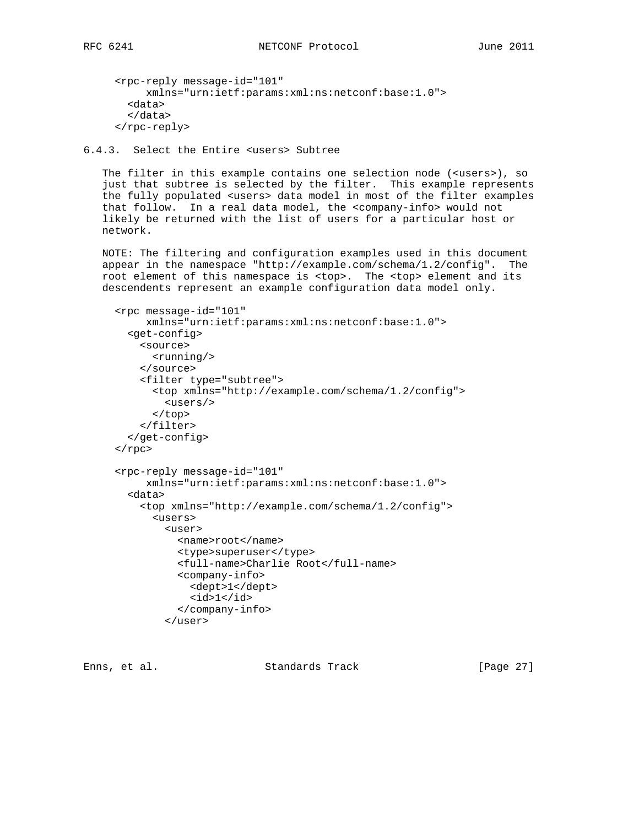```
 <rpc-reply message-id="101"
      xmlns="urn:ietf:params:xml:ns:netconf:base:1.0">
   <data>
  </data>
 </rpc-reply>
```
6.4.3. Select the Entire <users> Subtree

The filter in this example contains one selection node (<users>), so just that subtree is selected by the filter. This example represents the fully populated <users> data model in most of the filter examples that follow. In a real data model, the <company-info> would not likely be returned with the list of users for a particular host or network.

 NOTE: The filtering and configuration examples used in this document appear in the namespace "http://example.com/schema/1.2/config". The root element of this namespace is <top>. The <top> element and its descendents represent an example configuration data model only.

```
 <rpc message-id="101"
      xmlns="urn:ietf:params:xml:ns:netconf:base:1.0">
   <get-config>
     <source>
       <running/>
     </source>
     <filter type="subtree">
       <top xmlns="http://example.com/schema/1.2/config">
         <users/>
       </top>
     </filter>
   </get-config>
\langle rpc>
 <rpc-reply message-id="101"
      xmlns="urn:ietf:params:xml:ns:netconf:base:1.0">
   <data>
     <top xmlns="http://example.com/schema/1.2/config">
       <users>
         <user>
           <name>root</name>
           <type>superuser</type>
           <full-name>Charlie Root</full-name>
           <company-info>
             <dept>1</dept>
            <id>1</id>
           </company-info>
         </user>
```
Enns, et al. Standards Track [Page 27]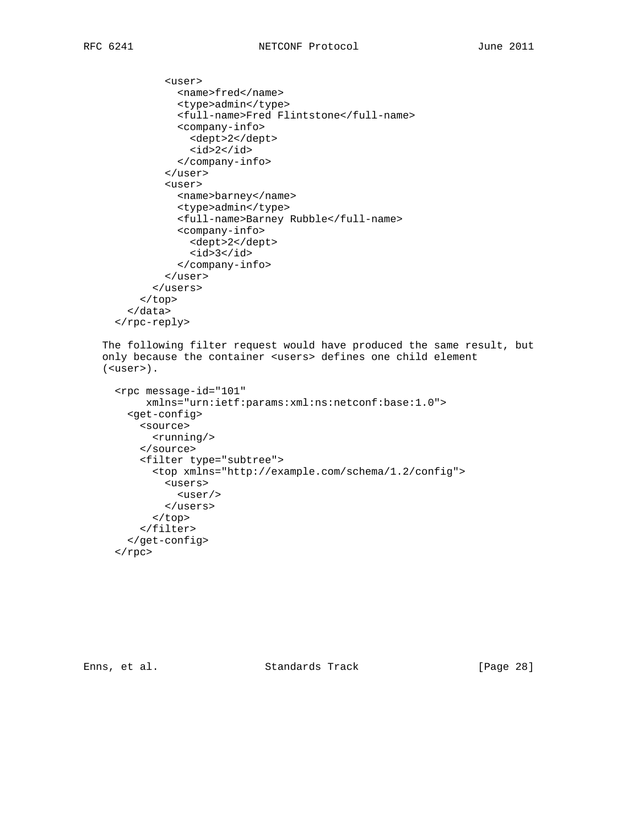```
 <user>
           <name>fred</name>
           <type>admin</type>
           <full-name>Fred Flintstone</full-name>
           <company-info>
             <dept>2</dept>
            <id>2</id>
           </company-info>
         </user>
         <user>
           <name>barney</name>
           <type>admin</type>
           <full-name>Barney Rubble</full-name>
           <company-info>
              <dept>2</dept>
             <id>3</id>
           </company-info>
         </user>
       </users>
     </top>
   </data>
 </rpc-reply>
```
 The following filter request would have produced the same result, but only because the container <users> defines one child element (<user>).

```
 <rpc message-id="101"
      xmlns="urn:ietf:params:xml:ns:netconf:base:1.0">
   <get-config>
     <source>
       <running/>
     </source>
     <filter type="subtree">
       <top xmlns="http://example.com/schema/1.2/config">
         <users>
           <user/>
         </users>
       </top>
     </filter>
   </get-config>
\langle rpc>
```
Enns, et al. Standards Track [Page 28]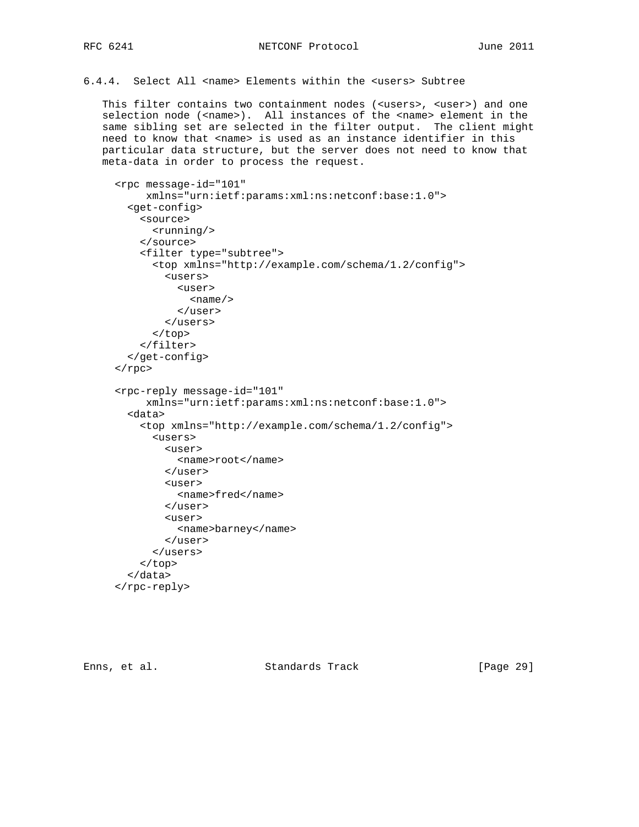6.4.4. Select All <name> Elements within the <users> Subtree

 This filter contains two containment nodes (<users>, <user>) and one selection node (<name>). All instances of the <name> element in the same sibling set are selected in the filter output. The client might need to know that <name> is used as an instance identifier in this particular data structure, but the server does not need to know that meta-data in order to process the request.

```
 <rpc message-id="101"
      xmlns="urn:ietf:params:xml:ns:netconf:base:1.0">
   <get-config>
     <source>
       <running/>
     </source>
     <filter type="subtree">
       <top xmlns="http://example.com/schema/1.2/config">
         <users>
           <user>
             <name/>
           </user>
         </users>
      \langle /top>
     </filter>
   </get-config>
\langle rpc>
 <rpc-reply message-id="101"
      xmlns="urn:ietf:params:xml:ns:netconf:base:1.0">
   <data>
     <top xmlns="http://example.com/schema/1.2/config">
       <users>
         <user>
           <name>root</name>
         </user>
        \langleuser>
           <name>fred</name>
         </user>
         <user>
           <name>barney</name>
         </user>
       </users>
     </top>
   </data>
 </rpc-reply>
```
Enns, et al. Standards Track [Page 29]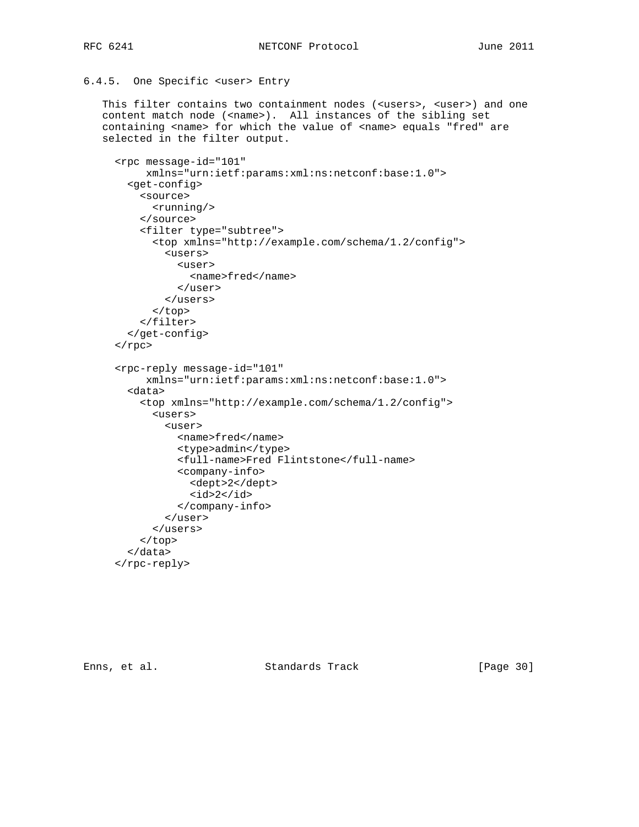### RFC 6241 **NETCONF** Protocol June 2011

# 6.4.5. One Specific <user> Entry

 This filter contains two containment nodes (<users>, <user>) and one content match node (<name>). All instances of the sibling set containing <name> for which the value of <name> equals "fred" are selected in the filter output.

```
 <rpc message-id="101"
      xmlns="urn:ietf:params:xml:ns:netconf:base:1.0">
   <get-config>
     <source>
       <running/>
     </source>
     <filter type="subtree">
       <top xmlns="http://example.com/schema/1.2/config">
         <users>
           <user>
             <name>fred</name>
           </user>
         </users>
       </top>
     </filter>
   </get-config>
\langle rpc>
 <rpc-reply message-id="101"
      xmlns="urn:ietf:params:xml:ns:netconf:base:1.0">
   <data>
     <top xmlns="http://example.com/schema/1.2/config">
       <users>
         <user>
           <name>fred</name>
           <type>admin</type>
           <full-name>Fred Flintstone</full-name>
           <company-info>
             <dept>2</dept>
            <id>2</id>
           </company-info>
         </user>
       </users>
     </top>
   </data>
 </rpc-reply>
```
Enns, et al. Standards Track [Page 30]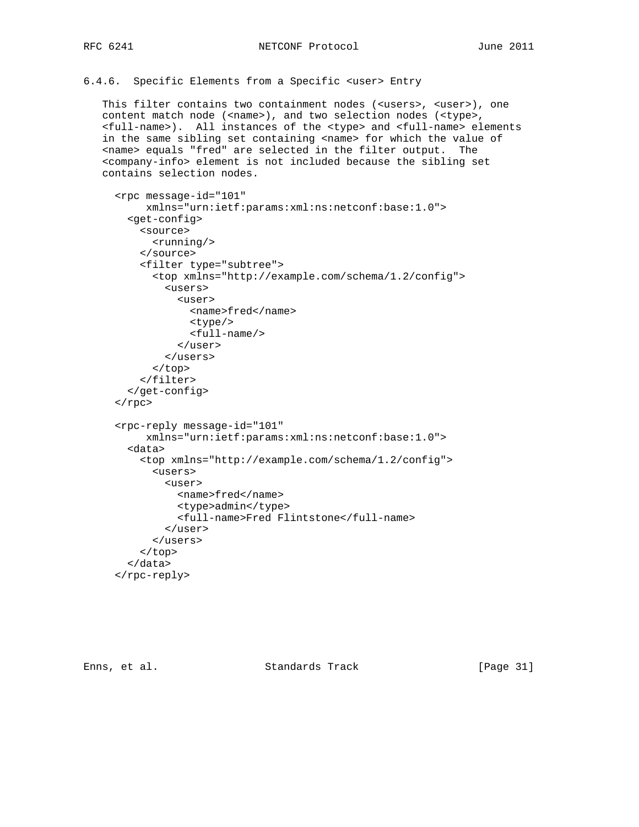6.4.6. Specific Elements from a Specific <user> Entry

 This filter contains two containment nodes (<users>, <user>), one content match node (<name>), and two selection nodes (<type>, <full-name>). All instances of the <type> and <full-name> elements in the same sibling set containing <name> for which the value of <name> equals "fred" are selected in the filter output. The <company-info> element is not included because the sibling set contains selection nodes.

```
 <rpc message-id="101"
      xmlns="urn:ietf:params:xml:ns:netconf:base:1.0">
   <get-config>
     <source>
       <running/>
     </source>
     <filter type="subtree">
       <top xmlns="http://example.com/schema/1.2/config">
         <users>
           <user>
              <name>fred</name>
              <type/>
              <full-name/>
           </user>
         </users>
       </top>
     </filter>
   </get-config>
\langlerpc\rangle <rpc-reply message-id="101"
      xmlns="urn:ietf:params:xml:ns:netconf:base:1.0">
   <data>
     <top xmlns="http://example.com/schema/1.2/config">
       <users>
        \langleuser>
           <name>fred</name>
            <type>admin</type>
            <full-name>Fred Flintstone</full-name>
         </user>
       </users>
     </top>
   </data>
 </rpc-reply>
```
Enns, et al. Standards Track [Page 31]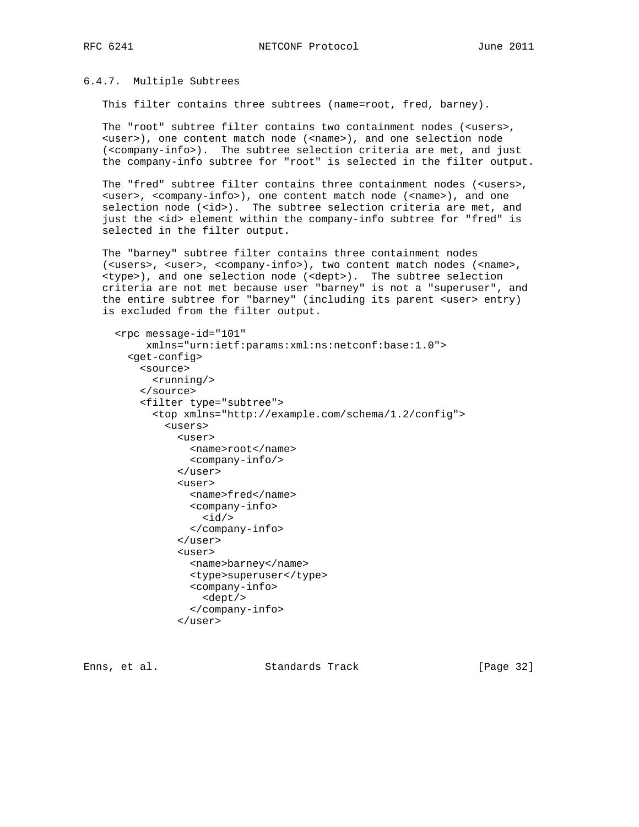## 6.4.7. Multiple Subtrees

This filter contains three subtrees (name=root, fred, barney).

 The "root" subtree filter contains two containment nodes (<users>, <user>), one content match node (<name>), and one selection node (<company-info>). The subtree selection criteria are met, and just the company-info subtree for "root" is selected in the filter output.

The "fred" subtree filter contains three containment nodes (<users>, <user>, <company-info>), one content match node (<name>), and one selection node (<id>). The subtree selection criteria are met, and just the <id> element within the company-info subtree for "fred" is selected in the filter output.

 The "barney" subtree filter contains three containment nodes (<users>, <user>, <company-info>), two content match nodes (<name>, <type>), and one selection node (<dept>). The subtree selection criteria are not met because user "barney" is not a "superuser", and the entire subtree for "barney" (including its parent <user> entry) is excluded from the filter output.

```
 <rpc message-id="101"
      xmlns="urn:ietf:params:xml:ns:netconf:base:1.0">
   <get-config>
     <source>
       <running/>
     </source>
     <filter type="subtree">
       <top xmlns="http://example.com/schema/1.2/config">
         <users>
           <user>
              <name>root</name>
             <company-info/>
           </user>
           \langleuser>
              <name>fred</name>
             <company-info>

              </company-info>
            </user>
            <user>
             <name>barney</name>
              <type>superuser</type>
              <company-info>
                <dept/>
              </company-info>
           \langleluser>
```
Enns, et al. Standards Track [Page 32]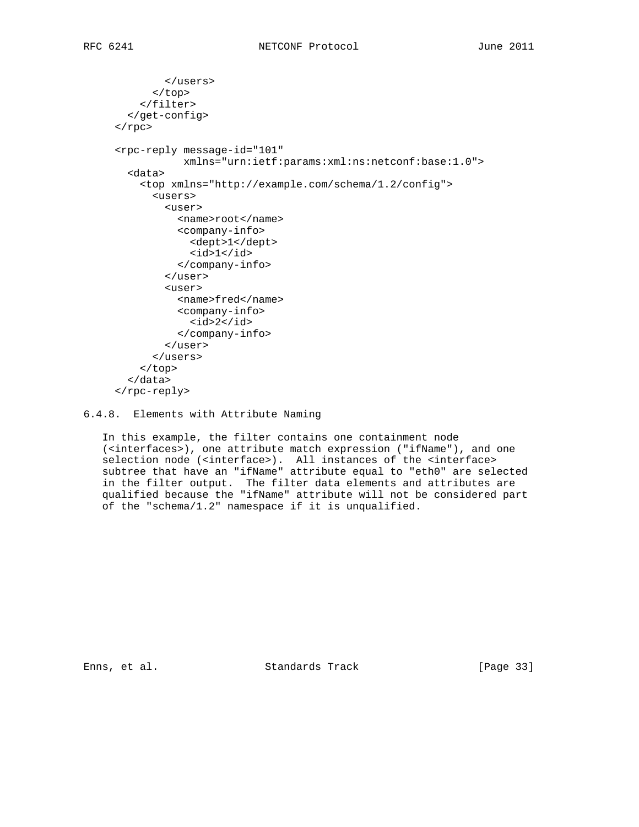```
 </users>
       </top>
     </filter>
   </get-config>
\langle rpc>
 <rpc-reply message-id="101"
            xmlns="urn:ietf:params:xml:ns:netconf:base:1.0">
   <data>
     <top xmlns="http://example.com/schema/1.2/config">
       <users>
         <user>
           <name>root</name>
           <company-info>
             <dept>1</dept>
            <id>1</id>
           </company-info>
         </user>
         <user>
           <name>fred</name>
           <company-info>
            <id>2</id>
           </company-info>
         </user>
       </users>
     </top>
   </data>
 </rpc-reply>
```
6.4.8. Elements with Attribute Naming

 In this example, the filter contains one containment node (<interfaces>), one attribute match expression ("ifName"), and one selection node (<interface>). All instances of the <interface> subtree that have an "ifName" attribute equal to "eth0" are selected in the filter output. The filter data elements and attributes are qualified because the "ifName" attribute will not be considered part of the "schema/1.2" namespace if it is unqualified.

Enns, et al. Standards Track [Page 33]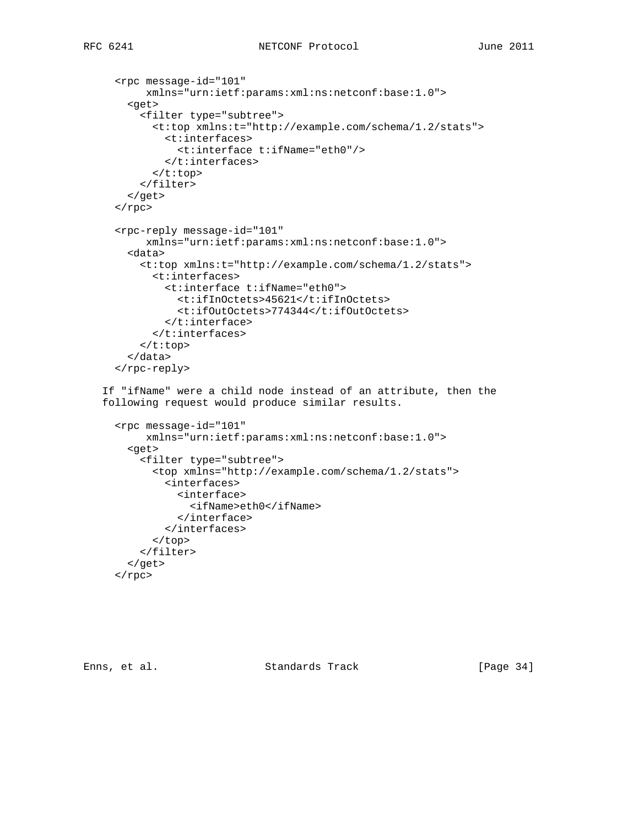```
 <rpc message-id="101"
      xmlns="urn:ietf:params:xml:ns:netconf:base:1.0">
   <get>
     <filter type="subtree">
       <t:top xmlns:t="http://example.com/schema/1.2/stats">
         <t:interfaces>
            <t:interface t:ifName="eth0"/>
         </t:interfaces>
      \langle t:top \rangle </filter>
   </get>
\langle rpc>
 <rpc-reply message-id="101"
      xmlns="urn:ietf:params:xml:ns:netconf:base:1.0">
   <data>
     <t:top xmlns:t="http://example.com/schema/1.2/stats">
       <t:interfaces>
         <t:interface t:ifName="eth0">
            <t:ifInOctets>45621</t:ifInOctets>
            <t:ifOutOctets>774344</t:ifOutOctets>
        \langle t:interface \rangle </t:interfaces>
    \langle t:top \rangle </data>
 </rpc-reply>
```
 If "ifName" were a child node instead of an attribute, then the following request would produce similar results.

```
 <rpc message-id="101"
     xmlns="urn:ietf:params:xml:ns:netconf:base:1.0">
   <get>
     <filter type="subtree">
       <top xmlns="http://example.com/schema/1.2/stats">
         <interfaces>
           <interface>
              <ifName>eth0</ifName>
           </interface>
         </interfaces>
       </top>
     </filter>
   </get>
\langle rpc>
```
Enns, et al. Standards Track [Page 34]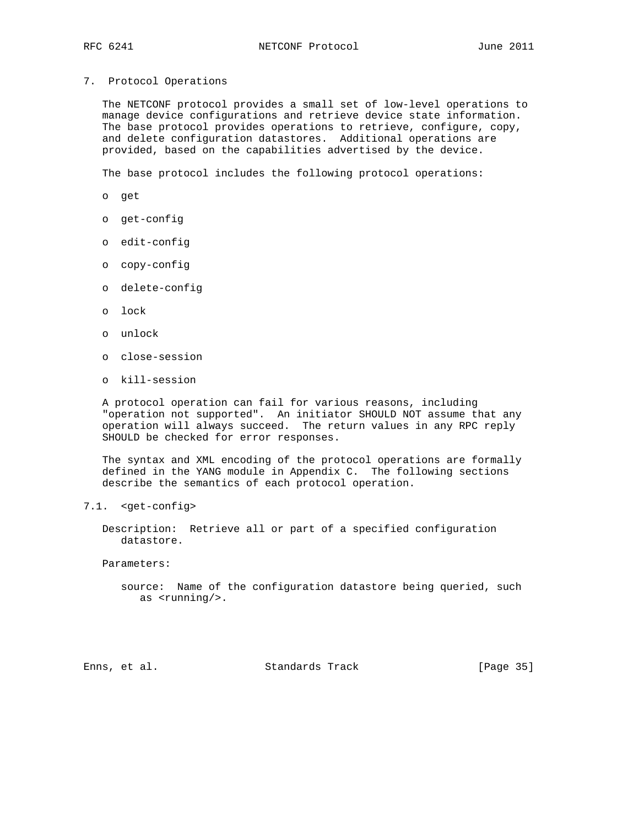7. Protocol Operations

 The NETCONF protocol provides a small set of low-level operations to manage device configurations and retrieve device state information. The base protocol provides operations to retrieve, configure, copy, and delete configuration datastores. Additional operations are provided, based on the capabilities advertised by the device.

The base protocol includes the following protocol operations:

- o get
- o get-config
- o edit-config
- o copy-config
- o delete-config
- o lock
- o unlock
- o close-session
- o kill-session

 A protocol operation can fail for various reasons, including "operation not supported". An initiator SHOULD NOT assume that any operation will always succeed. The return values in any RPC reply SHOULD be checked for error responses.

 The syntax and XML encoding of the protocol operations are formally defined in the YANG module in Appendix C. The following sections describe the semantics of each protocol operation.

7.1. <get-config>

 Description: Retrieve all or part of a specified configuration datastore.

Parameters:

 source: Name of the configuration datastore being queried, such as <running/>.

Enns, et al. Standards Track [Page 35]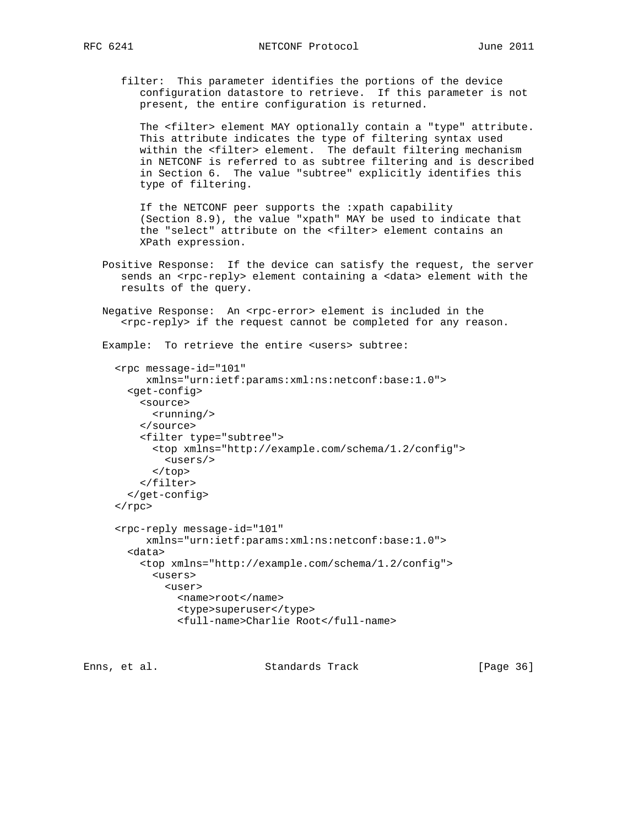filter: This parameter identifies the portions of the device configuration datastore to retrieve. If this parameter is not present, the entire configuration is returned.

 The <filter> element MAY optionally contain a "type" attribute. This attribute indicates the type of filtering syntax used within the <filter> element. The default filtering mechanism in NETCONF is referred to as subtree filtering and is described in Section 6. The value "subtree" explicitly identifies this type of filtering.

 If the NETCONF peer supports the :xpath capability (Section 8.9), the value "xpath" MAY be used to indicate that the "select" attribute on the <filter> element contains an XPath expression.

- Positive Response: If the device can satisfy the request, the server sends an <rpc-reply> element containing a <data> element with the results of the query.
- Negative Response: An <rpc-error> element is included in the <rpc-reply> if the request cannot be completed for any reason.

Example: To retrieve the entire <users> subtree:

```
 <rpc message-id="101"
      xmlns="urn:ietf:params:xml:ns:netconf:base:1.0">
   <get-config>
    <source>
       <running/>
     </source>
     <filter type="subtree">
       <top xmlns="http://example.com/schema/1.2/config">
         <users/>
       </top>
     </filter>
   </get-config>
\langle rpc>
 <rpc-reply message-id="101"
      xmlns="urn:ietf:params:xml:ns:netconf:base:1.0">
   <data>
     <top xmlns="http://example.com/schema/1.2/config">
       <users>
         <user>
           <name>root</name>
           <type>superuser</type>
           <full-name>Charlie Root</full-name>
```
Enns, et al. Standards Track [Page 36]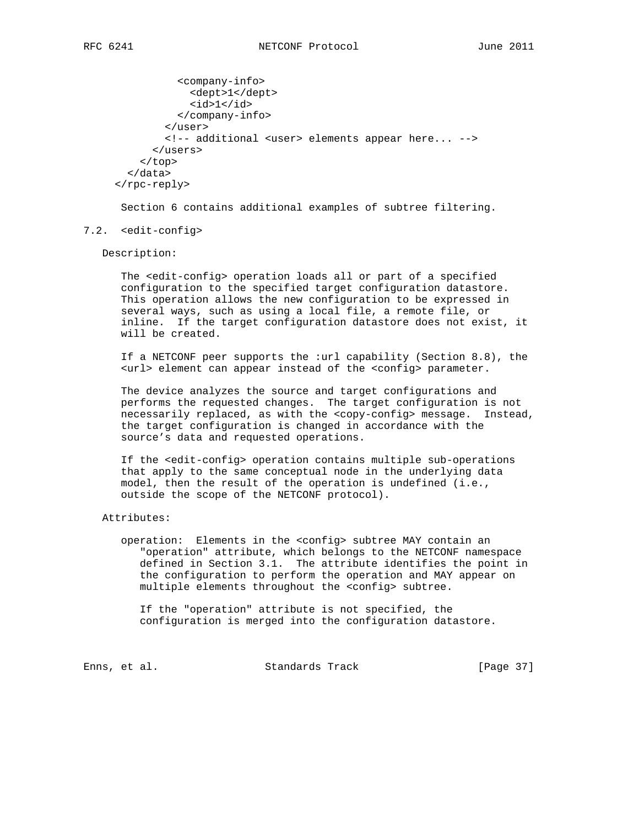```
 <company-info>
             <dept>1</dept>
            <id>1</id>
           </company-info>
         </user>
         <!-- additional <user> elements appear here... -->
       </users>
     </top>
   </data>
 </rpc-reply>
```
Section 6 contains additional examples of subtree filtering.

#### 7.2. <edit-config>

Description:

 The <edit-config> operation loads all or part of a specified configuration to the specified target configuration datastore. This operation allows the new configuration to be expressed in several ways, such as using a local file, a remote file, or inline. If the target configuration datastore does not exist, it will be created.

 If a NETCONF peer supports the :url capability (Section 8.8), the <url> element can appear instead of the <config> parameter.

 The device analyzes the source and target configurations and performs the requested changes. The target configuration is not necessarily replaced, as with the <copy-config> message. Instead, the target configuration is changed in accordance with the source's data and requested operations.

 If the <edit-config> operation contains multiple sub-operations that apply to the same conceptual node in the underlying data model, then the result of the operation is undefined (i.e., outside the scope of the NETCONF protocol).

#### Attributes:

 operation: Elements in the <config> subtree MAY contain an "operation" attribute, which belongs to the NETCONF namespace defined in Section 3.1. The attribute identifies the point in the configuration to perform the operation and MAY appear on multiple elements throughout the <config> subtree.

 If the "operation" attribute is not specified, the configuration is merged into the configuration datastore.

Enns, et al. Standards Track [Page 37]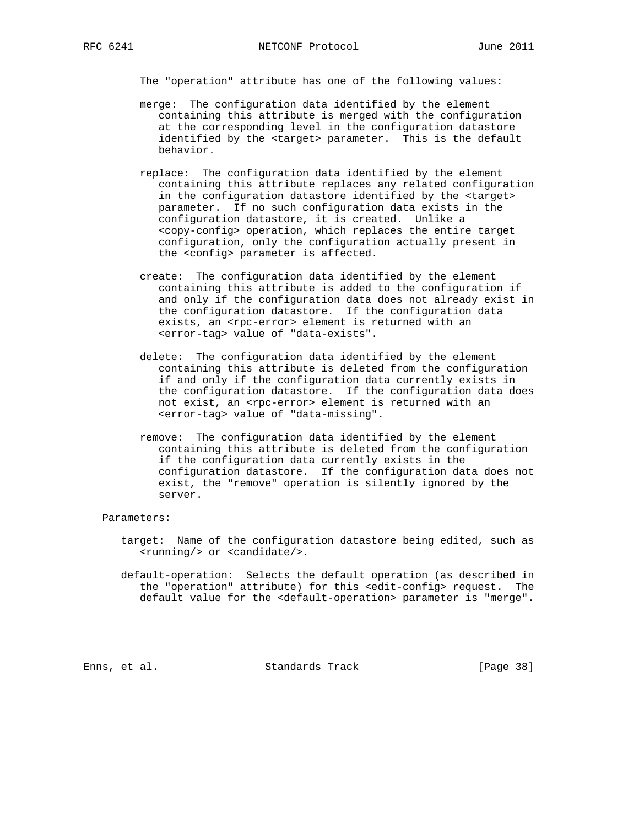The "operation" attribute has one of the following values:

- merge: The configuration data identified by the element containing this attribute is merged with the configuration at the corresponding level in the configuration datastore identified by the <target> parameter. This is the default behavior.
- replace: The configuration data identified by the element containing this attribute replaces any related configuration in the configuration datastore identified by the <target> parameter. If no such configuration data exists in the configuration datastore, it is created. Unlike a <copy-config> operation, which replaces the entire target configuration, only the configuration actually present in the <config> parameter is affected.
- create: The configuration data identified by the element containing this attribute is added to the configuration if and only if the configuration data does not already exist in the configuration datastore. If the configuration data exists, an <rpc-error> element is returned with an <error-tag> value of "data-exists".
- delete: The configuration data identified by the element containing this attribute is deleted from the configuration if and only if the configuration data currently exists in the configuration datastore. If the configuration data does not exist, an <rpc-error> element is returned with an <error-tag> value of "data-missing".
- remove: The configuration data identified by the element containing this attribute is deleted from the configuration if the configuration data currently exists in the configuration datastore. If the configuration data does not exist, the "remove" operation is silently ignored by the server.

#### Parameters:

- target: Name of the configuration datastore being edited, such as <running/> or <candidate/>.
- default-operation: Selects the default operation (as described in the "operation" attribute) for this <edit-config> request. The default value for the <default-operation> parameter is "merge".

Enns, et al. Standards Track [Page 38]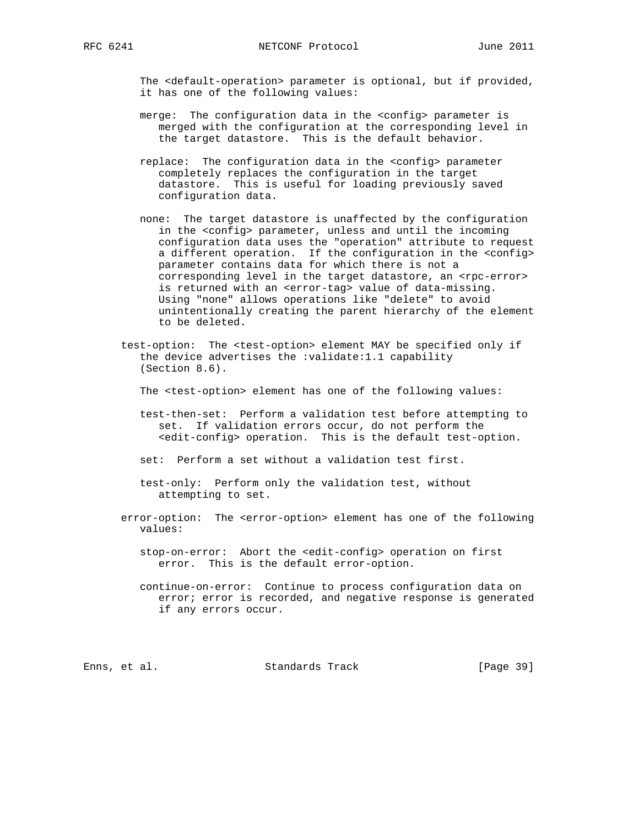The <default-operation> parameter is optional, but if provided, it has one of the following values:

- merge: The configuration data in the <config> parameter is merged with the configuration at the corresponding level in the target datastore. This is the default behavior.
- replace: The configuration data in the <config> parameter completely replaces the configuration in the target datastore. This is useful for loading previously saved configuration data.
- none: The target datastore is unaffected by the configuration in the <config> parameter, unless and until the incoming configuration data uses the "operation" attribute to request a different operation. If the configuration in the <config> parameter contains data for which there is not a corresponding level in the target datastore, an <rpc-error> is returned with an <error-tag> value of data-missing. Using "none" allows operations like "delete" to avoid unintentionally creating the parent hierarchy of the element to be deleted.
- test-option: The <test-option> element MAY be specified only if the device advertises the :validate:1.1 capability (Section 8.6).

The <test-option> element has one of the following values:

- test-then-set: Perform a validation test before attempting to set. If validation errors occur, do not perform the <edit-config> operation. This is the default test-option.
- set: Perform a set without a validation test first.
- test-only: Perform only the validation test, without attempting to set.
- error-option: The <error-option> element has one of the following values:
	- stop-on-error: Abort the <edit-config> operation on first error. This is the default error-option.
	- continue-on-error: Continue to process configuration data on error; error is recorded, and negative response is generated if any errors occur.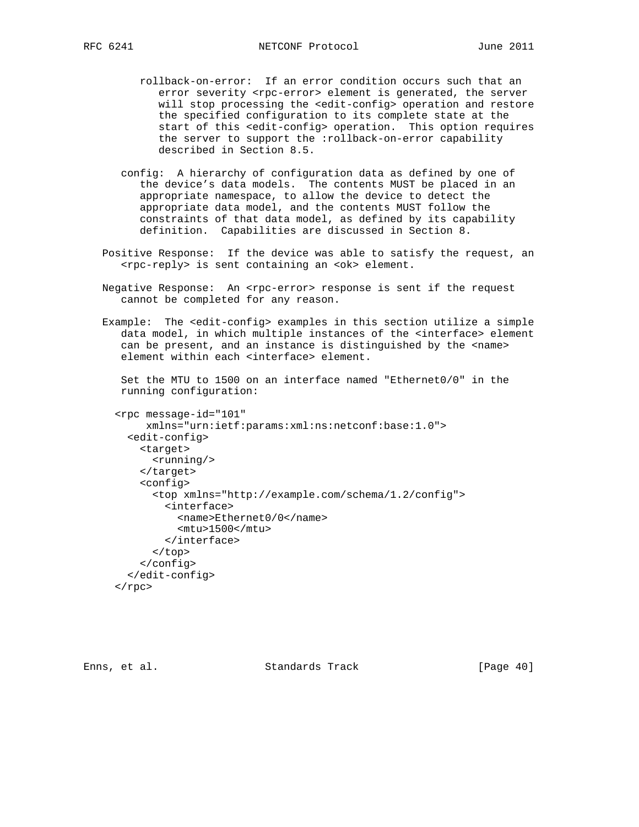- rollback-on-error: If an error condition occurs such that an error severity <rpc-error> element is generated, the server will stop processing the <edit-config> operation and restore the specified configuration to its complete state at the start of this <edit-config> operation. This option requires the server to support the :rollback-on-error capability described in Section 8.5.
- config: A hierarchy of configuration data as defined by one of the device's data models. The contents MUST be placed in an appropriate namespace, to allow the device to detect the appropriate data model, and the contents MUST follow the constraints of that data model, as defined by its capability definition. Capabilities are discussed in Section 8.
- Positive Response: If the device was able to satisfy the request, an <rpc-reply> is sent containing an <ok> element.
- Negative Response: An <rpc-error> response is sent if the request cannot be completed for any reason.
- Example: The <edit-config> examples in this section utilize a simple data model, in which multiple instances of the <interface> element can be present, and an instance is distinguished by the <name> element within each <interface> element.

 Set the MTU to 1500 on an interface named "Ethernet0/0" in the running configuration:

```
 <rpc message-id="101"
     xmlns="urn:ietf:params:xml:ns:netconf:base:1.0">
   <edit-config>
     <target>
       <running/>
     </target>
     <config>
       <top xmlns="http://example.com/schema/1.2/config">
         <interface>
           <name>Ethernet0/0</name>
           <mtu>1500</mtu>
         </interface>
       </top>
     </config>
   </edit-config>
\langle rpc>
```
Enns, et al. Standards Track [Page 40]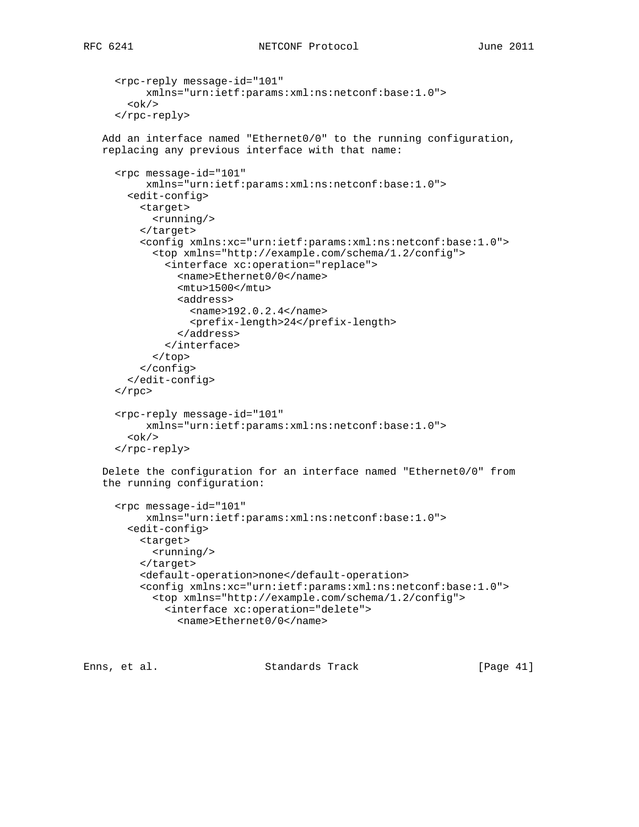```
RFC 6241 NETCONF Protocol June 2011
```

```
 <rpc-reply message-id="101"
        xmlns="urn:ietf:params:xml:ns:netconf:base:1.0">

   </rpc-reply>
 Add an interface named "Ethernet0/0" to the running configuration,
 replacing any previous interface with that name:
   <rpc message-id="101"
        xmlns="urn:ietf:params:xml:ns:netconf:base:1.0">
     <edit-config>
       <target>
         <running/>
       </target>
       <config xmlns:xc="urn:ietf:params:xml:ns:netconf:base:1.0">
         <top xmlns="http://example.com/schema/1.2/config">
           <interface xc:operation="replace">
             <name>Ethernet0/0</name>
             <mtu>1500</mtu>
             <address>
               <name>192.0.2.4</name>
               <prefix-length>24</prefix-length>
             </address>
           </interface>
         </top>
       </config>
     </edit-config>
  \langle rpc>
   <rpc-reply message-id="101"
        xmlns="urn:ietf:params:xml:ns:netconf:base:1.0">

   </rpc-reply>
 Delete the configuration for an interface named "Ethernet0/0" from
 the running configuration:
   <rpc message-id="101"
        xmlns="urn:ietf:params:xml:ns:netconf:base:1.0">
     <edit-config>
       <target>
         <running/>
       </target>
       <default-operation>none</default-operation>
       <config xmlns:xc="urn:ietf:params:xml:ns:netconf:base:1.0">
         <top xmlns="http://example.com/schema/1.2/config">
           <interface xc:operation="delete">
             <name>Ethernet0/0</name>
```
Enns, et al. Standards Track [Page 41]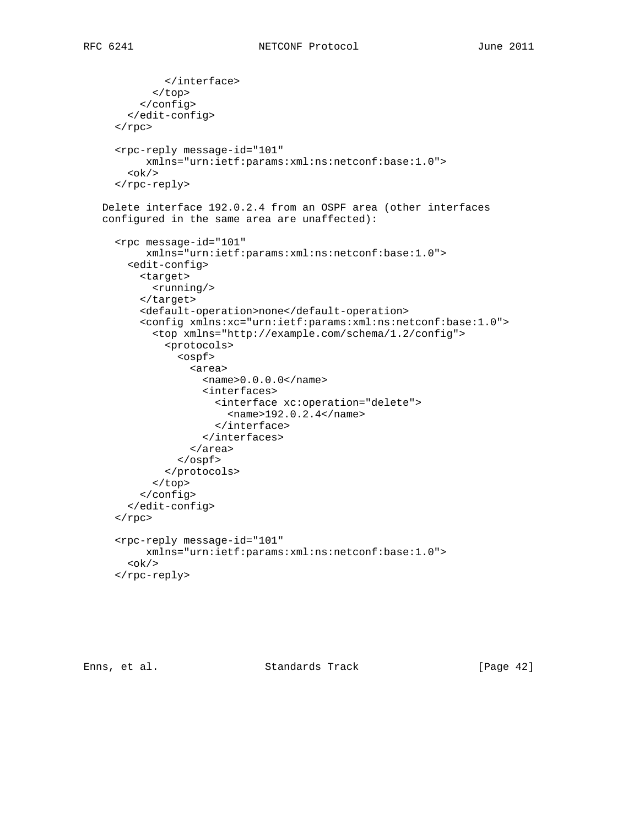```
 </interface>
         </top>
       </config>
     </edit-config>
  \langle rpc>
   <rpc-reply message-id="101"
        xmlns="urn:ietf:params:xml:ns:netconf:base:1.0">

   </rpc-reply>
 Delete interface 192.0.2.4 from an OSPF area (other interfaces
 configured in the same area are unaffected):
   <rpc message-id="101"
        xmlns="urn:ietf:params:xml:ns:netconf:base:1.0">
     <edit-config>
       <target>
         <running/>
       </target>
       <default-operation>none</default-operation>
       <config xmlns:xc="urn:ietf:params:xml:ns:netconf:base:1.0">
         <top xmlns="http://example.com/schema/1.2/config">
           <protocols>
             <ospf>
                <area>
                  <name>0.0.0.0</name>
                  <interfaces>
                   <interface xc:operation="delete">
                      <name>192.0.2.4</name>
                    </interface>
                  </interfaces>
                </area>
             </ospf>
           </protocols>
         </top>
       </config>
     </edit-config>
  \langle rpc>
   <rpc-reply message-id="101"
        xmlns="urn:ietf:params:xml:ns:netconf:base:1.0">

   </rpc-reply>
```
Enns, et al. Standards Track [Page 42]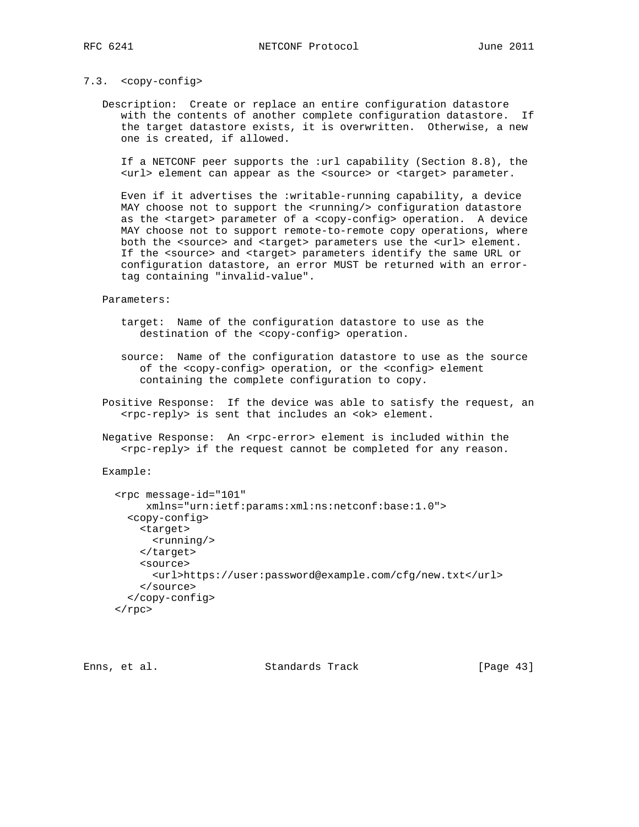#### 7.3. <copy-config>

 Description: Create or replace an entire configuration datastore with the contents of another complete configuration datastore. If the target datastore exists, it is overwritten. Otherwise, a new one is created, if allowed.

 If a NETCONF peer supports the :url capability (Section 8.8), the <url> element can appear as the <source> or <target> parameter.

 Even if it advertises the :writable-running capability, a device MAY choose not to support the <running/> configuration datastore as the <target> parameter of a <copy-config> operation. A device MAY choose not to support remote-to-remote copy operations, where both the <source> and <target> parameters use the <url> element. If the <source> and <target> parameters identify the same URL or configuration datastore, an error MUST be returned with an error tag containing "invalid-value".

Parameters:

- target: Name of the configuration datastore to use as the destination of the <copy-config> operation.
- source: Name of the configuration datastore to use as the source of the <copy-config> operation, or the <config> element containing the complete configuration to copy.
- Positive Response: If the device was able to satisfy the request, an <rpc-reply> is sent that includes an <ok> element.
- Negative Response: An <rpc-error> element is included within the <rpc-reply> if the request cannot be completed for any reason.

Example:

```
 <rpc message-id="101"
     xmlns="urn:ietf:params:xml:ns:netconf:base:1.0">
   <copy-config>
    <target>
       <running/>
     </target>
     <source>
       <url>https://user:password@example.com/cfg/new.txt</url>
     </source>
   </copy-config>
\langle rpc>
```
Enns, et al. Standards Track [Page 43]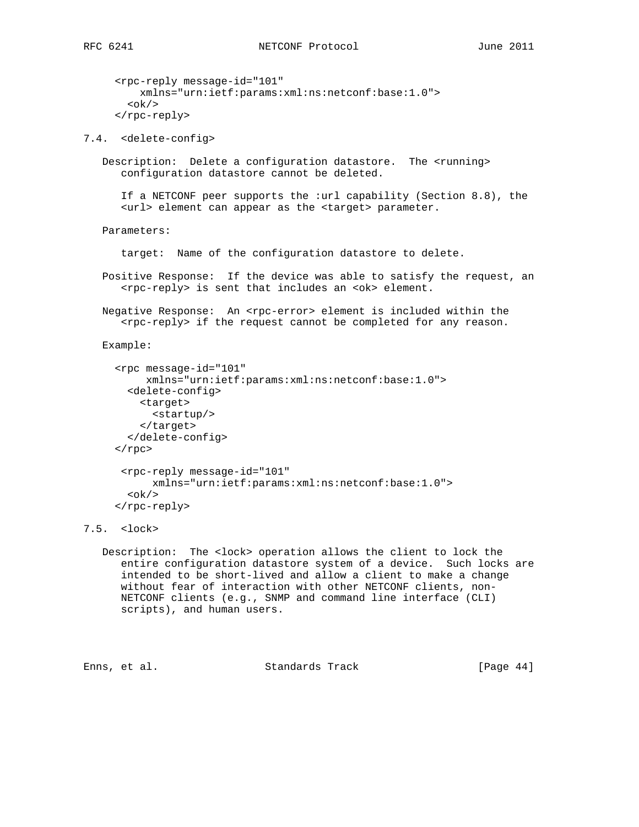```
RFC 6241 NETCONF Protocol June 2011
```

```
 <rpc-reply message-id="101"
          xmlns="urn:ietf:params:xml:ns:netconf:base:1.0">

      </rpc-reply>
7.4. <delete-config>
   Description: Delete a configuration datastore. The <running>
       configuration datastore cannot be deleted.
       If a NETCONF peer supports the :url capability (Section 8.8), the
       <url> element can appear as the <target> parameter.
    Parameters:
       target: Name of the configuration datastore to delete.
    Positive Response: If the device was able to satisfy the request, an
       <rpc-reply> is sent that includes an <ok> element.
   Negative Response: An <rpc-error> element is included within the
       <rpc-reply> if the request cannot be completed for any reason.
    Example:
      <rpc message-id="101"
           xmlns="urn:ietf:params:xml:ns:netconf:base:1.0">
        <delete-config>
          <target>
            <startup/>
          </target>
        </delete-config>
     \langle rpc>
       <rpc-reply message-id="101"
            xmlns="urn:ietf:params:xml:ns:netconf:base:1.0">
       \langle \text{ok}/\rangle </rpc-reply>
7.5. <lock>
    Description: The <lock> operation allows the client to lock the
       entire configuration datastore system of a device. Such locks are
       intended to be short-lived and allow a client to make a change
       without fear of interaction with other NETCONF clients, non-
```
 NETCONF clients (e.g., SNMP and command line interface (CLI) scripts), and human users.

Enns, et al. Standards Track [Page 44]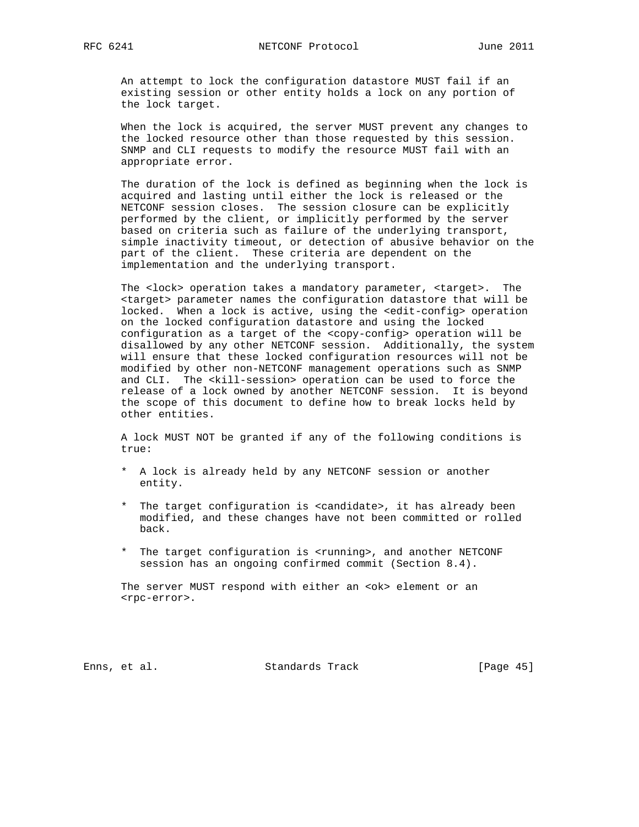An attempt to lock the configuration datastore MUST fail if an existing session or other entity holds a lock on any portion of the lock target.

 When the lock is acquired, the server MUST prevent any changes to the locked resource other than those requested by this session. SNMP and CLI requests to modify the resource MUST fail with an appropriate error.

 The duration of the lock is defined as beginning when the lock is acquired and lasting until either the lock is released or the NETCONF session closes. The session closure can be explicitly performed by the client, or implicitly performed by the server based on criteria such as failure of the underlying transport, simple inactivity timeout, or detection of abusive behavior on the part of the client. These criteria are dependent on the implementation and the underlying transport.

 The <lock> operation takes a mandatory parameter, <target>. The <target> parameter names the configuration datastore that will be locked. When a lock is active, using the <edit-config> operation on the locked configuration datastore and using the locked configuration as a target of the <copy-config> operation will be disallowed by any other NETCONF session. Additionally, the system will ensure that these locked configuration resources will not be modified by other non-NETCONF management operations such as SNMP and CLI. The <kill-session> operation can be used to force the release of a lock owned by another NETCONF session. It is beyond the scope of this document to define how to break locks held by other entities.

 A lock MUST NOT be granted if any of the following conditions is true:

- \* A lock is already held by any NETCONF session or another entity.
- \* The target configuration is <candidate>, it has already been modified, and these changes have not been committed or rolled back.
- \* The target configuration is <running>, and another NETCONF session has an ongoing confirmed commit (Section 8.4).

The server MUST respond with either an <ok> element or an <rpc-error>.

Enns, et al. Standards Track [Page 45]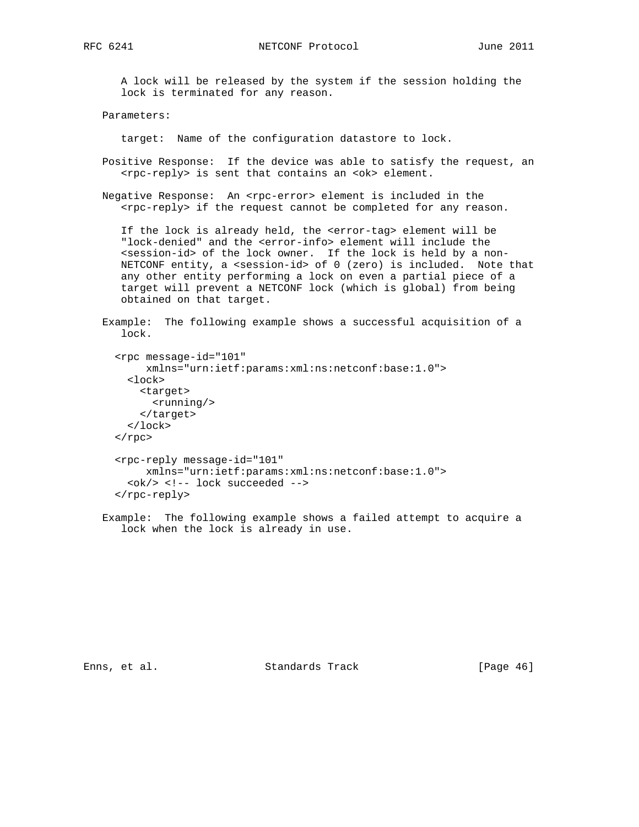RFC 6241 **NETCONF** Protocol June 2011

 A lock will be released by the system if the session holding the lock is terminated for any reason.

Parameters:

target: Name of the configuration datastore to lock.

- Positive Response: If the device was able to satisfy the request, an <rpc-reply> is sent that contains an <ok> element.
- Negative Response: An <rpc-error> element is included in the <rpc-reply> if the request cannot be completed for any reason.

 If the lock is already held, the <error-tag> element will be "lock-denied" and the <error-info> element will include the <session-id> of the lock owner. If the lock is held by a non- NETCONF entity, a <session-id> of 0 (zero) is included. Note that any other entity performing a lock on even a partial piece of a target will prevent a NETCONF lock (which is global) from being obtained on that target.

```
 Example: The following example shows a successful acquisition of a
   lock.
```

```
 <rpc message-id="101"
      xmlns="urn:ietf:params:xml:ns:netconf:base:1.0">
   <lock>
    <target>
       <running/>
     </target>
   </lock>
\langle rpc>
 <rpc-reply message-id="101"
      xmlns="urn:ietf:params:xml:ns:netconf:base:1.0">
   <ok/> <!-- lock succeeded -->
 </rpc-reply>
```
 Example: The following example shows a failed attempt to acquire a lock when the lock is already in use.

Enns, et al. Standards Track [Page 46]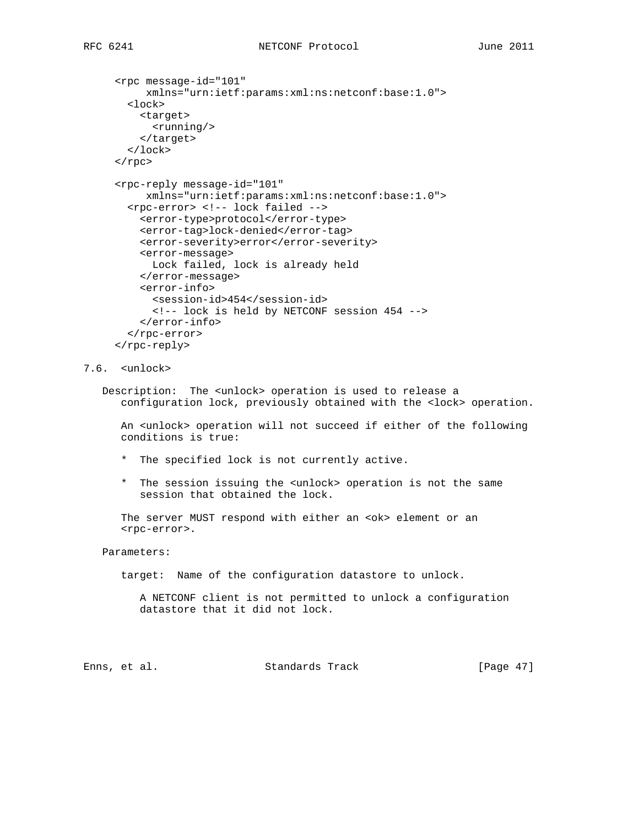```
 <rpc message-id="101"
      xmlns="urn:ietf:params:xml:ns:netconf:base:1.0">
   <lock>
     <target>
       <running/>
     </target>
   </lock>
\langle rpc>
 <rpc-reply message-id="101"
      xmlns="urn:ietf:params:xml:ns:netconf:base:1.0">
   <rpc-error> <!-- lock failed -->
     <error-type>protocol</error-type>
     <error-tag>lock-denied</error-tag>
     <error-severity>error</error-severity>
     <error-message>
      Lock failed, lock is already held
     </error-message>
     <error-info>
       <session-id>454</session-id>
       <!-- lock is held by NETCONF session 454 -->
     </error-info>
   </rpc-error>
 </rpc-reply>
```
# 7.6. <unlock>

 Description: The <unlock> operation is used to release a configuration lock, previously obtained with the <lock> operation.

 An <unlock> operation will not succeed if either of the following conditions is true:

- \* The specified lock is not currently active.
- \* The session issuing the <unlock> operation is not the same session that obtained the lock.

The server MUST respond with either an <ok> element or an <rpc-error>.

## Parameters:

target: Name of the configuration datastore to unlock.

```
 A NETCONF client is not permitted to unlock a configuration
 datastore that it did not lock.
```
Enns, et al. Standards Track [Page 47]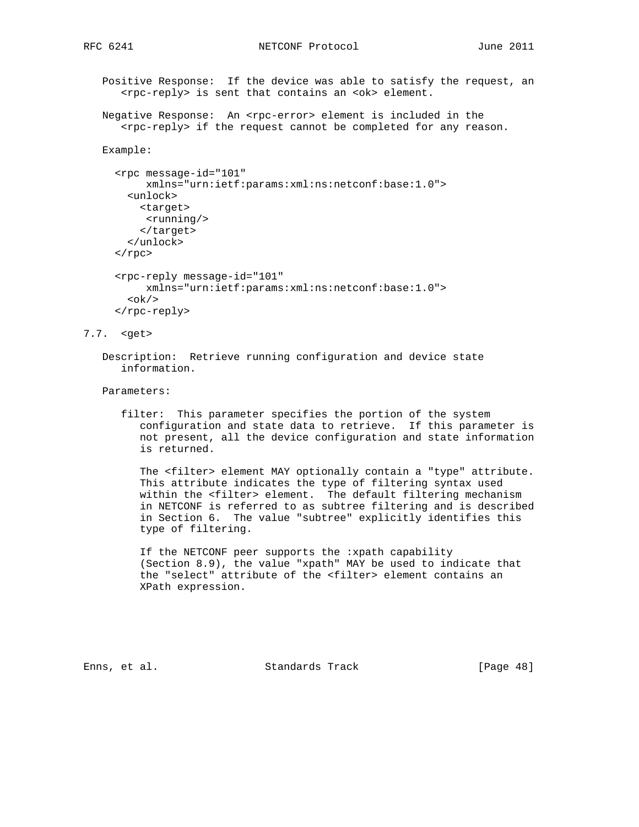Positive Response: If the device was able to satisfy the request, an <rpc-reply> is sent that contains an <ok> element.

Negative Response: An <rpc-error> element is included in the <rpc-reply> if the request cannot be completed for any reason.

## Example:

```
 <rpc message-id="101"
     xmlns="urn:ietf:params:xml:ns:netconf:base:1.0">
  <unlock>
    <target>
      <running/>
     </target>
   </unlock>
\langle rpc>
 <rpc-reply message-id="101"
     xmlns="urn:ietf:params:xml:ns:netconf:base:1.0">

 </rpc-reply>
```
#### 7.7. <get>

 Description: Retrieve running configuration and device state information.

Parameters:

 filter: This parameter specifies the portion of the system configuration and state data to retrieve. If this parameter is not present, all the device configuration and state information is returned.

 The <filter> element MAY optionally contain a "type" attribute. This attribute indicates the type of filtering syntax used within the <filter> element. The default filtering mechanism in NETCONF is referred to as subtree filtering and is described in Section 6. The value "subtree" explicitly identifies this type of filtering.

 If the NETCONF peer supports the :xpath capability (Section 8.9), the value "xpath" MAY be used to indicate that the "select" attribute of the <filter> element contains an XPath expression.

Enns, et al. Standards Track [Page 48]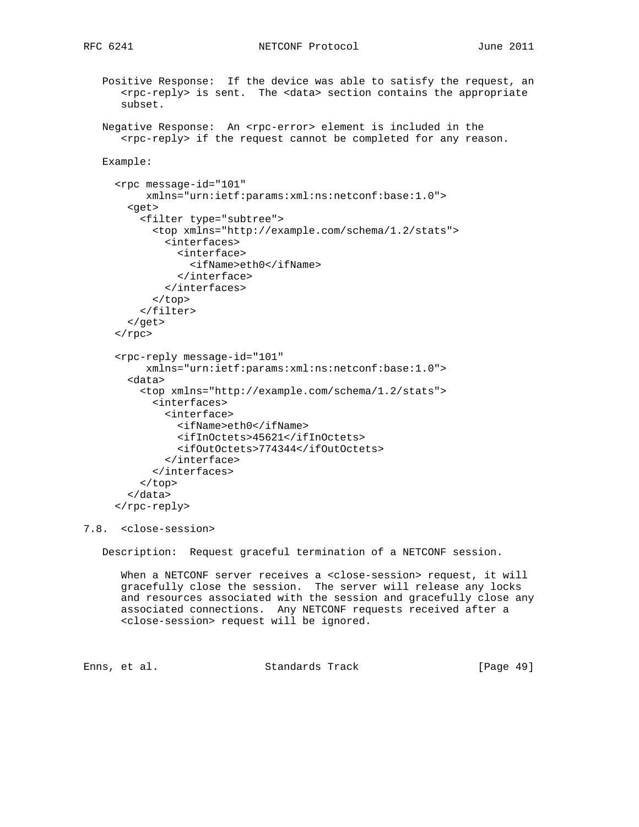# RFC 6241 **NETCONF** Protocol June 2011

 Positive Response: If the device was able to satisfy the request, an <rpc-reply> is sent. The <data> section contains the appropriate subset.

```
Negative Response: An <rpc-error> element is included in the
    <rpc-reply> if the request cannot be completed for any reason.
```

```
 Example:
```

```
 <rpc message-id="101"
      xmlns="urn:ietf:params:xml:ns:netconf:base:1.0">
   <get>
     <filter type="subtree">
       <top xmlns="http://example.com/schema/1.2/stats">
         <interfaces>
           <interface>
             <ifName>eth0</ifName>
           </interface>
         </interfaces>
       </top>
     </filter>
   </get>
\langle rpc>
 <rpc-reply message-id="101"
      xmlns="urn:ietf:params:xml:ns:netconf:base:1.0">
   <data>
     <top xmlns="http://example.com/schema/1.2/stats">
       <interfaces>
         <interface>
           <ifName>eth0</ifName>
           <ifInOctets>45621</ifInOctets>
           <ifOutOctets>774344</ifOutOctets>
         </interface>
       </interfaces>
     </top>
   </data>
 </rpc-reply>
```
7.8. <close-session>

Description: Request graceful termination of a NETCONF session.

When a NETCONF server receives a <close-session> request, it will gracefully close the session. The server will release any locks and resources associated with the session and gracefully close any associated connections. Any NETCONF requests received after a <close-session> request will be ignored.

Enns, et al. Standards Track [Page 49]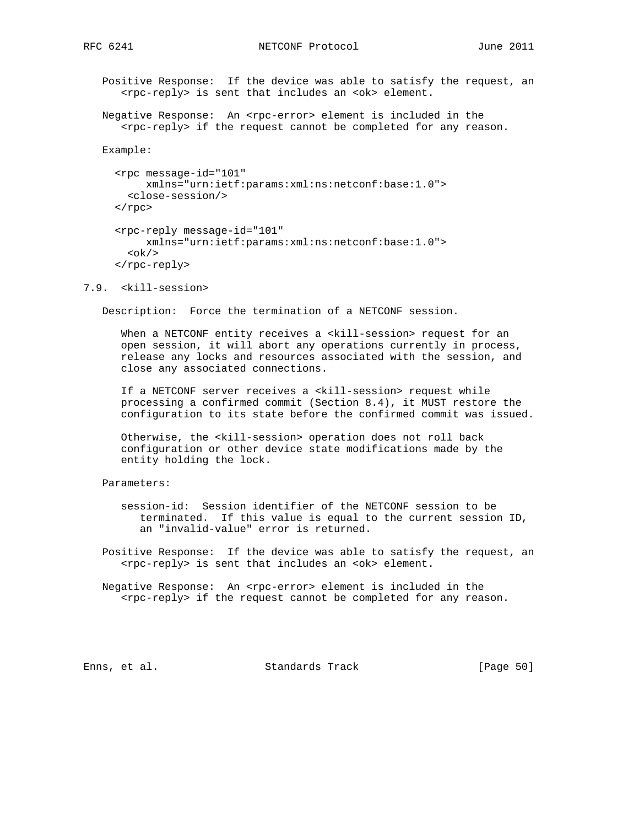Positive Response: If the device was able to satisfy the request, an <rpc-reply> is sent that includes an <ok> element.

Negative Response: An <rpc-error> element is included in the <rpc-reply> if the request cannot be completed for any reason.

Example:

```
 <rpc message-id="101"
     xmlns="urn:ietf:params:xml:ns:netconf:base:1.0">
   <close-session/>
\langle rpc>
 <rpc-reply message-id="101"
      xmlns="urn:ietf:params:xml:ns:netconf:base:1.0">

 </rpc-reply>
```
7.9. <kill-session>

Description: Force the termination of a NETCONF session.

When a NETCONF entity receives a <kill-session> request for an open session, it will abort any operations currently in process, release any locks and resources associated with the session, and close any associated connections.

 If a NETCONF server receives a <kill-session> request while processing a confirmed commit (Section 8.4), it MUST restore the configuration to its state before the confirmed commit was issued.

 Otherwise, the <kill-session> operation does not roll back configuration or other device state modifications made by the entity holding the lock.

Parameters:

 session-id: Session identifier of the NETCONF session to be terminated. If this value is equal to the current session ID, an "invalid-value" error is returned.

 Positive Response: If the device was able to satisfy the request, an <rpc-reply> is sent that includes an <ok> element.

Negative Response: An <rpc-error> element is included in the <rpc-reply> if the request cannot be completed for any reason.

Enns, et al. Standards Track [Page 50]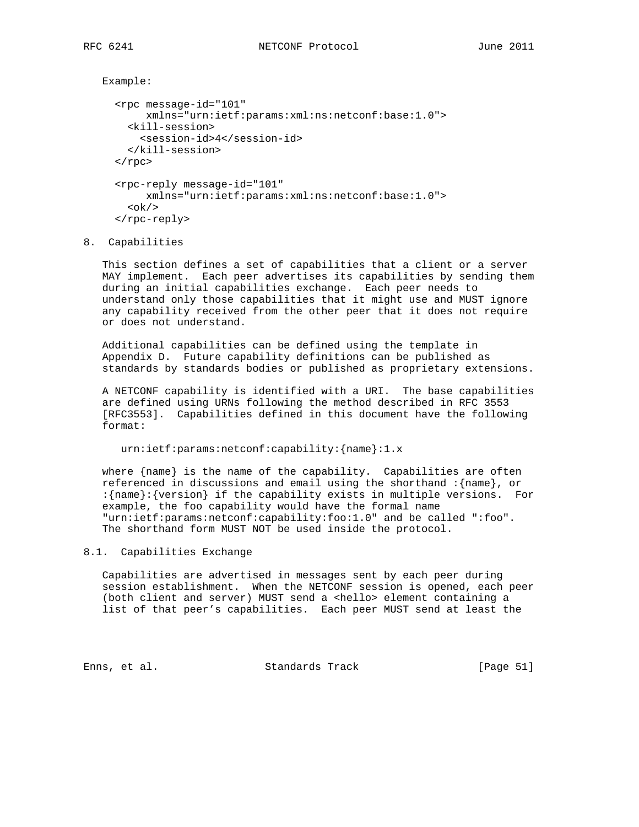```
 Example:
   <rpc message-id="101"
        xmlns="urn:ietf:params:xml:ns:netconf:base:1.0">
     <kill-session>
       <session-id>4</session-id>
     </kill-session>
  \langle rpc>
   <rpc-reply message-id="101"
        xmlns="urn:ietf:params:xml:ns:netconf:base:1.0">
    \langle \text{ok}/\rangle </rpc-reply>
```
8. Capabilities

 This section defines a set of capabilities that a client or a server MAY implement. Each peer advertises its capabilities by sending them during an initial capabilities exchange. Each peer needs to understand only those capabilities that it might use and MUST ignore any capability received from the other peer that it does not require or does not understand.

 Additional capabilities can be defined using the template in Appendix D. Future capability definitions can be published as standards by standards bodies or published as proprietary extensions.

 A NETCONF capability is identified with a URI. The base capabilities are defined using URNs following the method described in RFC 3553 [RFC3553]. Capabilities defined in this document have the following format:

urn:ietf:params:netconf:capability:{name}:1.x

 where {name} is the name of the capability. Capabilities are often referenced in discussions and email using the shorthand :{name}, or :{name}:{version} if the capability exists in multiple versions. For example, the foo capability would have the formal name "urn:ietf:params:netconf:capability:foo:1.0" and be called ":foo". The shorthand form MUST NOT be used inside the protocol.

# 8.1. Capabilities Exchange

 Capabilities are advertised in messages sent by each peer during session establishment. When the NETCONF session is opened, each peer (both client and server) MUST send a <hello> element containing a list of that peer's capabilities. Each peer MUST send at least the

Enns, et al. Standards Track [Page 51]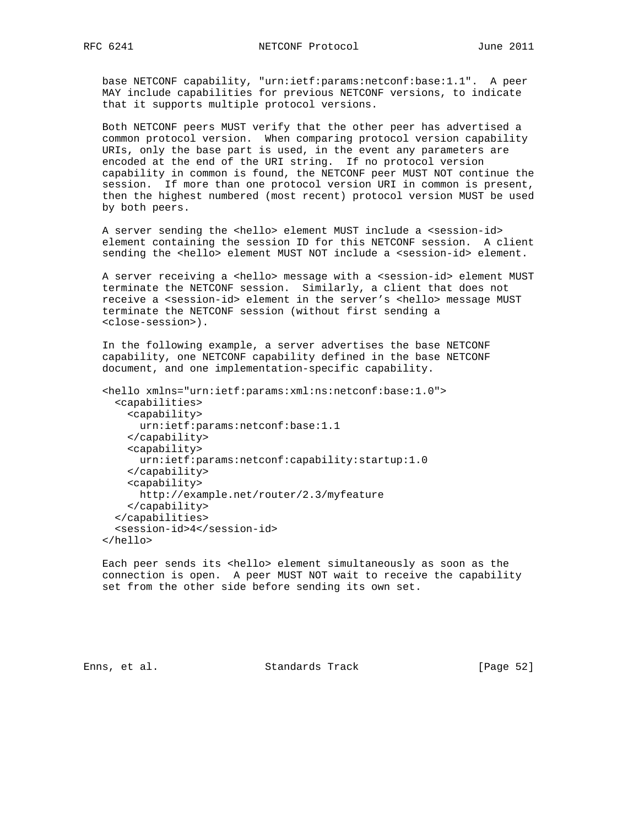base NETCONF capability, "urn:ietf:params:netconf:base:1.1". A peer MAY include capabilities for previous NETCONF versions, to indicate that it supports multiple protocol versions.

 Both NETCONF peers MUST verify that the other peer has advertised a common protocol version. When comparing protocol version capability URIs, only the base part is used, in the event any parameters are encoded at the end of the URI string. If no protocol version capability in common is found, the NETCONF peer MUST NOT continue the session. If more than one protocol version URI in common is present, then the highest numbered (most recent) protocol version MUST be used by both peers.

A server sending the <hello> element MUST include a <session-id> element containing the session ID for this NETCONF session. A client sending the <hello> element MUST NOT include a <session-id> element.

A server receiving a <hello> message with a <session-id> element MUST terminate the NETCONF session. Similarly, a client that does not receive a <session-id> element in the server's <hello> message MUST terminate the NETCONF session (without first sending a <close-session>).

 In the following example, a server advertises the base NETCONF capability, one NETCONF capability defined in the base NETCONF document, and one implementation-specific capability.

```
 <hello xmlns="urn:ietf:params:xml:ns:netconf:base:1.0">
   <capabilities>
     <capability>
      urn:ietf:params:netconf:base:1.1
     </capability>
     <capability>
      urn:ietf:params:netconf:capability:startup:1.0
     </capability>
     <capability>
       http://example.net/router/2.3/myfeature
     </capability>
   </capabilities>
   <session-id>4</session-id>
 </hello>
```
Each peer sends its <hello> element simultaneously as soon as the connection is open. A peer MUST NOT wait to receive the capability set from the other side before sending its own set.

Enns, et al. Standards Track [Page 52]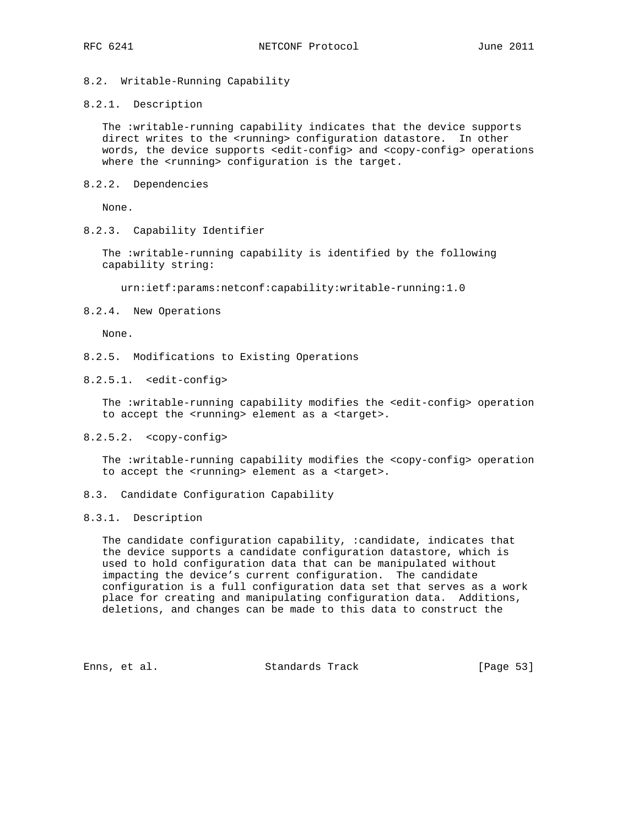# 8.2. Writable-Running Capability

#### 8.2.1. Description

 The :writable-running capability indicates that the device supports direct writes to the <running> configuration datastore. In other words, the device supports <edit-config> and <copy-config> operations where the <running> configuration is the target.

8.2.2. Dependencies

None.

8.2.3. Capability Identifier

 The :writable-running capability is identified by the following capability string:

urn:ietf:params:netconf:capability:writable-running:1.0

8.2.4. New Operations

None.

- 8.2.5. Modifications to Existing Operations
- 8.2.5.1. <edit-config>

The :writable-running capability modifies the <edit-config> operation to accept the <running> element as a <target>.

8.2.5.2. <copy-config>

 The :writable-running capability modifies the <copy-config> operation to accept the <running> element as a <target>.

8.3. Candidate Configuration Capability

## 8.3.1. Description

 The candidate configuration capability, :candidate, indicates that the device supports a candidate configuration datastore, which is used to hold configuration data that can be manipulated without impacting the device's current configuration. The candidate configuration is a full configuration data set that serves as a work place for creating and manipulating configuration data. Additions, deletions, and changes can be made to this data to construct the

Enns, et al. Standards Track [Page 53]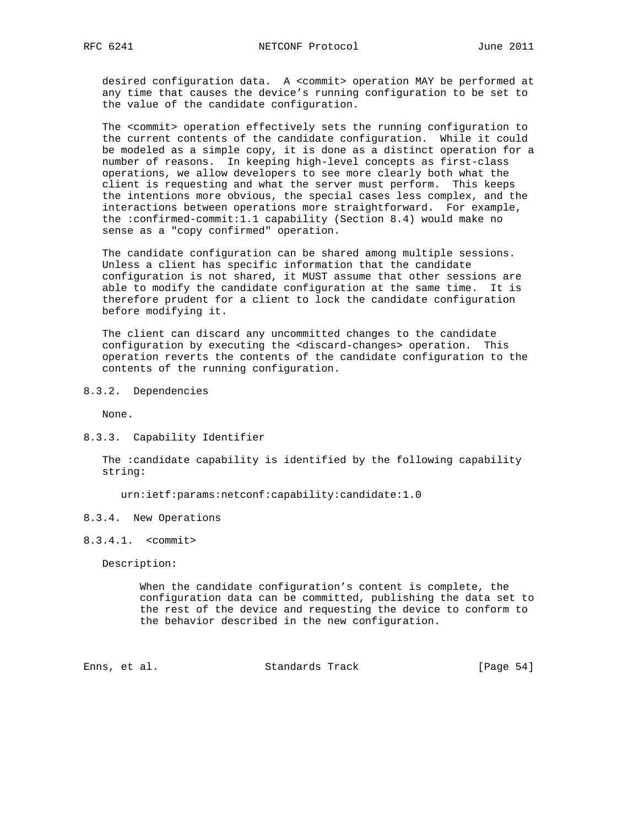desired configuration data. A <commit> operation MAY be performed at any time that causes the device's running configuration to be set to the value of the candidate configuration.

 The <commit> operation effectively sets the running configuration to the current contents of the candidate configuration. While it could be modeled as a simple copy, it is done as a distinct operation for a number of reasons. In keeping high-level concepts as first-class operations, we allow developers to see more clearly both what the client is requesting and what the server must perform. This keeps the intentions more obvious, the special cases less complex, and the interactions between operations more straightforward. For example, the :confirmed-commit:1.1 capability (Section 8.4) would make no sense as a "copy confirmed" operation.

 The candidate configuration can be shared among multiple sessions. Unless a client has specific information that the candidate configuration is not shared, it MUST assume that other sessions are able to modify the candidate configuration at the same time. It is therefore prudent for a client to lock the candidate configuration before modifying it.

 The client can discard any uncommitted changes to the candidate configuration by executing the <discard-changes> operation. This operation reverts the contents of the candidate configuration to the contents of the running configuration.

8.3.2. Dependencies

None.

8.3.3. Capability Identifier

 The :candidate capability is identified by the following capability string:

urn:ietf:params:netconf:capability:candidate:1.0

- 8.3.4. New Operations
- 8.3.4.1. <commit>

Description:

 When the candidate configuration's content is complete, the configuration data can be committed, publishing the data set to the rest of the device and requesting the device to conform to the behavior described in the new configuration.

Enns, et al. Standards Track [Page 54]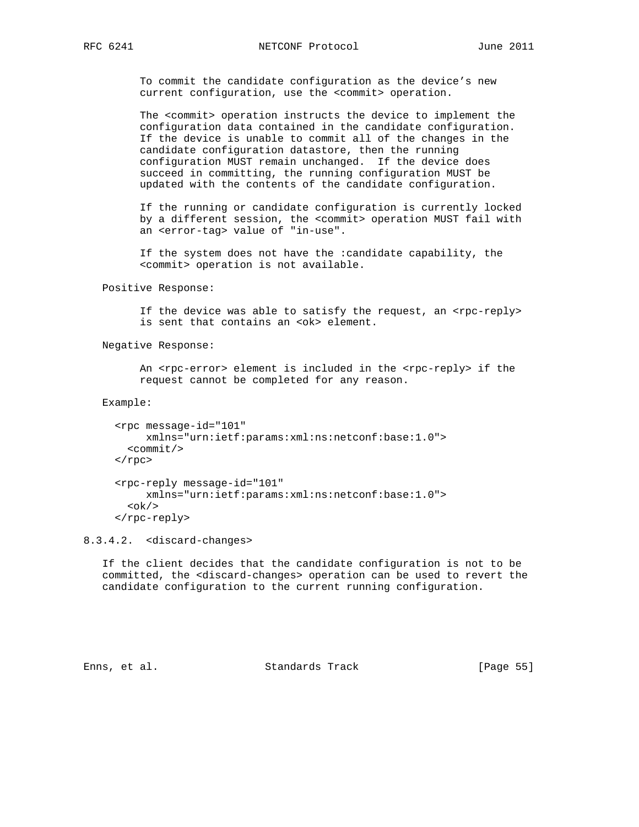To commit the candidate configuration as the device's new current configuration, use the <commit> operation.

 The <commit> operation instructs the device to implement the configuration data contained in the candidate configuration. If the device is unable to commit all of the changes in the candidate configuration datastore, then the running configuration MUST remain unchanged. If the device does succeed in committing, the running configuration MUST be updated with the contents of the candidate configuration.

 If the running or candidate configuration is currently locked by a different session, the <commit> operation MUST fail with an <error-tag> value of "in-use".

 If the system does not have the :candidate capability, the <commit> operation is not available.

Positive Response:

If the device was able to satisfy the request, an <rpc-reply> is sent that contains an <ok> element.

Negative Response:

An <rpc-error> element is included in the <rpc-reply> if the request cannot be completed for any reason.

Example:

```
 <rpc message-id="101"
     xmlns="urn:ietf:params:xml:ns:netconf:base:1.0">
   <commit/>
 </rpc>
 <rpc-reply message-id="101"
     xmlns="urn:ietf:params:xml:ns:netconf:base:1.0">

 </rpc-reply>
```
8.3.4.2. <discard-changes>

 If the client decides that the candidate configuration is not to be committed, the <discard-changes> operation can be used to revert the candidate configuration to the current running configuration.

Enns, et al. Standards Track [Page 55]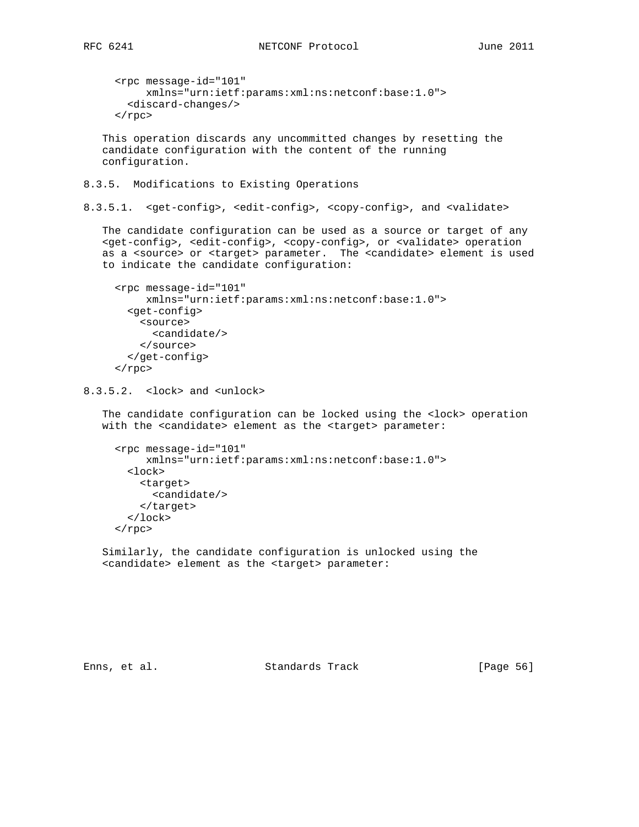```
 <rpc message-id="101"
      xmlns="urn:ietf:params:xml:ns:netconf:base:1.0">
   <discard-changes/>
\langle rpc>
```
 This operation discards any uncommitted changes by resetting the candidate configuration with the content of the running configuration.

8.3.5. Modifications to Existing Operations

8.3.5.1. <get-config>, <edit-config>, <copy-config>, and <validate>

 The candidate configuration can be used as a source or target of any <get-config>, <edit-config>, <copy-config>, or <validate> operation as a <source> or <target> parameter. The <candidate> element is used to indicate the candidate configuration:

```
 <rpc message-id="101"
      xmlns="urn:ietf:params:xml:ns:netconf:base:1.0">
   <get-config>
     <source>
       <candidate/>
     </source>
   </get-config>
\langle rpc>
```
8.3.5.2. <lock> and <unlock>

 The candidate configuration can be locked using the <lock> operation with the <candidate> element as the <target> parameter:

```
 <rpc message-id="101"
      xmlns="urn:ietf:params:xml:ns:netconf:base:1.0">
   <lock>
     <target>
       <candidate/>
     </target>
   </lock>
\langle rpc>
```
 Similarly, the candidate configuration is unlocked using the <candidate> element as the <target> parameter:

Enns, et al. Standards Track [Page 56]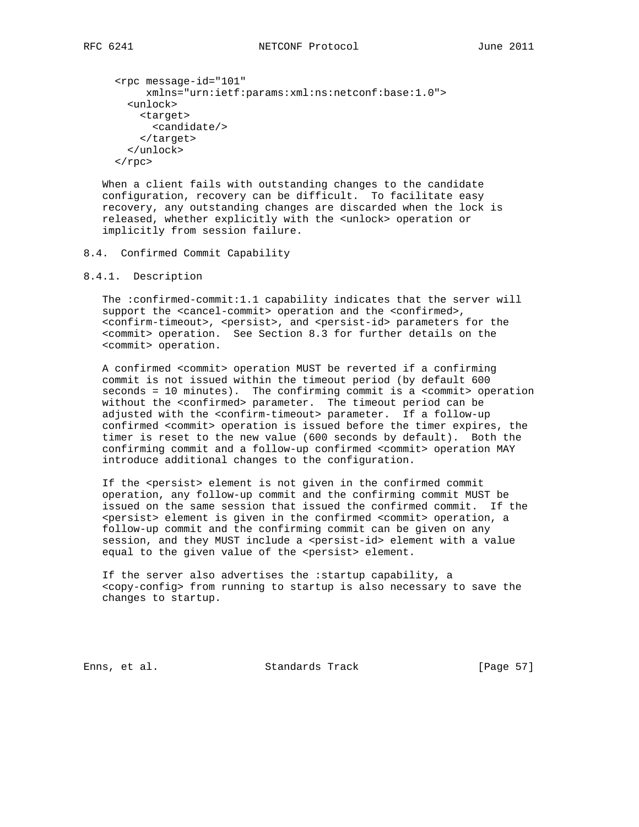```
 <rpc message-id="101"
      xmlns="urn:ietf:params:xml:ns:netconf:base:1.0">
   <unlock>
    <target>
       <candidate/>
     </target>
   </unlock>
\langle rpc>
```
 When a client fails with outstanding changes to the candidate configuration, recovery can be difficult. To facilitate easy recovery, any outstanding changes are discarded when the lock is released, whether explicitly with the <unlock> operation or implicitly from session failure.

# 8.4. Confirmed Commit Capability

## 8.4.1. Description

 The :confirmed-commit:1.1 capability indicates that the server will support the <cancel-commit> operation and the <confirmed>, <confirm-timeout>, <persist>, and <persist-id> parameters for the <commit> operation. See Section 8.3 for further details on the <commit> operation.

 A confirmed <commit> operation MUST be reverted if a confirming commit is not issued within the timeout period (by default 600 seconds = 10 minutes). The confirming commit is a <commit> operation without the <confirmed> parameter. The timeout period can be adjusted with the <confirm-timeout> parameter. If a follow-up confirmed <commit> operation is issued before the timer expires, the timer is reset to the new value (600 seconds by default). Both the confirming commit and a follow-up confirmed <commit> operation MAY introduce additional changes to the configuration.

 If the <persist> element is not given in the confirmed commit operation, any follow-up commit and the confirming commit MUST be issued on the same session that issued the confirmed commit. If the <persist> element is given in the confirmed <commit> operation, a follow-up commit and the confirming commit can be given on any session, and they MUST include a <persist-id> element with a value equal to the given value of the <persist> element.

 If the server also advertises the :startup capability, a <copy-config> from running to startup is also necessary to save the changes to startup.

Enns, et al. Standards Track [Page 57]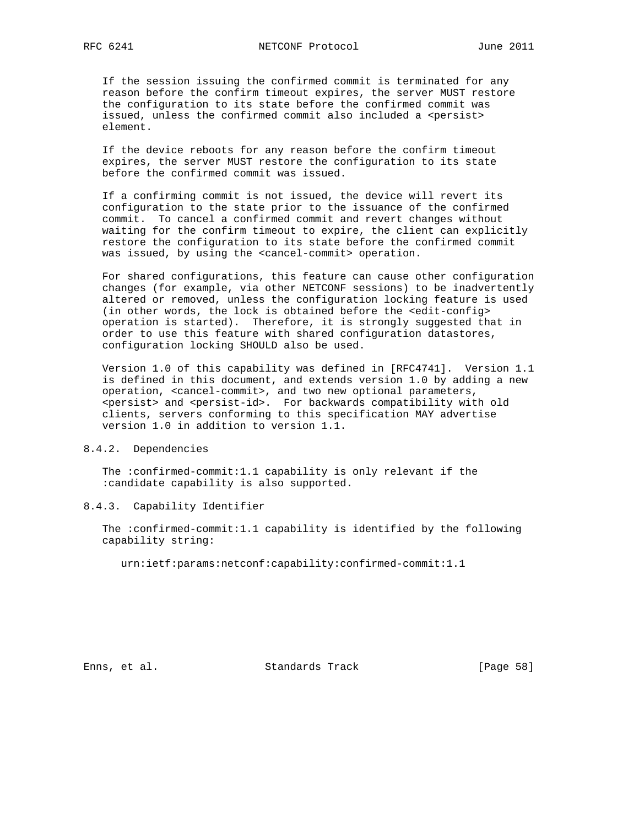If the session issuing the confirmed commit is terminated for any reason before the confirm timeout expires, the server MUST restore the configuration to its state before the confirmed commit was issued, unless the confirmed commit also included a <persist> element.

 If the device reboots for any reason before the confirm timeout expires, the server MUST restore the configuration to its state before the confirmed commit was issued.

 If a confirming commit is not issued, the device will revert its configuration to the state prior to the issuance of the confirmed commit. To cancel a confirmed commit and revert changes without waiting for the confirm timeout to expire, the client can explicitly restore the configuration to its state before the confirmed commit was issued, by using the <cancel-commit> operation.

 For shared configurations, this feature can cause other configuration changes (for example, via other NETCONF sessions) to be inadvertently altered or removed, unless the configuration locking feature is used (in other words, the lock is obtained before the <edit-config> operation is started). Therefore, it is strongly suggested that in order to use this feature with shared configuration datastores, configuration locking SHOULD also be used.

 Version 1.0 of this capability was defined in [RFC4741]. Version 1.1 is defined in this document, and extends version 1.0 by adding a new operation, <cancel-commit>, and two new optional parameters, <persist> and <persist-id>. For backwards compatibility with old clients, servers conforming to this specification MAY advertise version 1.0 in addition to version 1.1.

# 8.4.2. Dependencies

 The :confirmed-commit:1.1 capability is only relevant if the :candidate capability is also supported.

#### 8.4.3. Capability Identifier

 The :confirmed-commit:1.1 capability is identified by the following capability string:

urn:ietf:params:netconf:capability:confirmed-commit:1.1

Enns, et al. Standards Track [Page 58]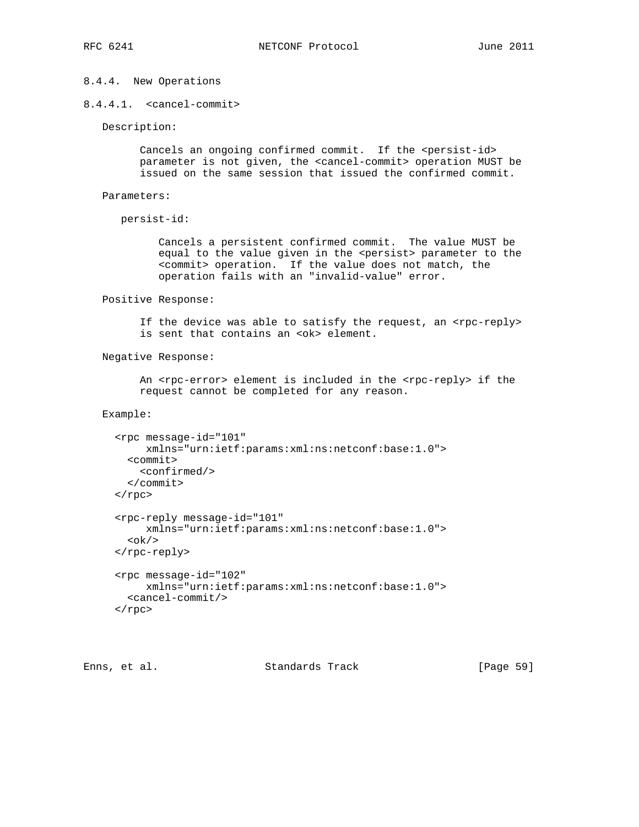# 8.4.4. New Operations

```
8.4.4.1. <cancel-commit>
```
Description:

Cancels an ongoing confirmed commit. If the <persist-id> parameter is not given, the <cancel-commit> operation MUST be issued on the same session that issued the confirmed commit.

```
 Parameters:
```

```
 persist-id:
```
 Cancels a persistent confirmed commit. The value MUST be equal to the value given in the <persist> parameter to the <commit> operation. If the value does not match, the operation fails with an "invalid-value" error.

Positive Response:

If the device was able to satisfy the request, an <rpc-reply> is sent that contains an <ok> element.

Negative Response:

An <rpc-error> element is included in the <rpc-reply> if the request cannot be completed for any reason.

Example:

```
 <rpc message-id="101"
     xmlns="urn:ietf:params:xml:ns:netconf:base:1.0">
   <commit>
     <confirmed/>
   </commit>
\langle rpc>
 <rpc-reply message-id="101"
     xmlns="urn:ietf:params:xml:ns:netconf:base:1.0">

 </rpc-reply>
 <rpc message-id="102"
      xmlns="urn:ietf:params:xml:ns:netconf:base:1.0">
  <cancel-commit/>
\langle rpc>
```
Enns, et al. Standards Track [Page 59]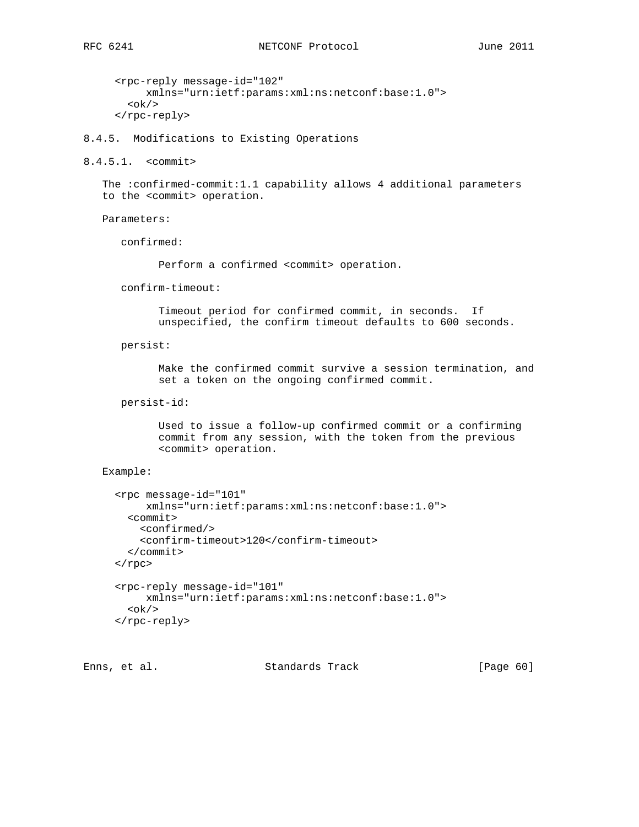```
 <rpc-reply message-id="102"
     xmlns="urn:ietf:params:xml:ns:netconf:base:1.0">

 </rpc-reply>
```
8.4.5. Modifications to Existing Operations

8.4.5.1. <commit>

 The :confirmed-commit:1.1 capability allows 4 additional parameters to the <commit> operation.

Parameters:

confirmed:

Perform a confirmed <commit> operation.

confirm-timeout:

 Timeout period for confirmed commit, in seconds. If unspecified, the confirm timeout defaults to 600 seconds.

persist:

 Make the confirmed commit survive a session termination, and set a token on the ongoing confirmed commit.

persist-id:

 Used to issue a follow-up confirmed commit or a confirming commit from any session, with the token from the previous <commit> operation.

#### Example:

```
 <rpc message-id="101"
      xmlns="urn:ietf:params:xml:ns:netconf:base:1.0">
   <commit>
     <confirmed/>
     <confirm-timeout>120</confirm-timeout>
   </commit>
\langle rpc>
 <rpc-reply message-id="101"
     xmlns="urn:ietf:params:xml:ns:netconf:base:1.0">

 </rpc-reply>
```
Enns, et al. Standards Track [Page 60]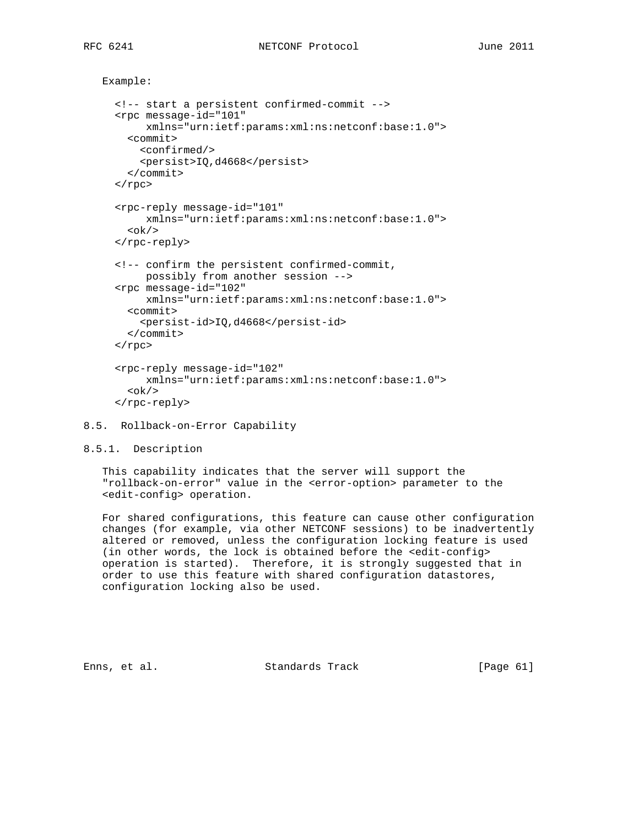```
 Example:
```

```
 <!-- start a persistent confirmed-commit -->
 <rpc message-id="101"
      xmlns="urn:ietf:params:xml:ns:netconf:base:1.0">
  <commit>
    <confirmed/>
     <persist>IQ,d4668</persist>
   </commit>
\langle rpc>
 <rpc-reply message-id="101"
     xmlns="urn:ietf:params:xml:ns:netconf:base:1.0">

 </rpc-reply>
 <!-- confirm the persistent confirmed-commit,
     possibly from another session -->
 <rpc message-id="102"
     xmlns="urn:ietf:params:xml:ns:netconf:base:1.0">
   <commit>
     <persist-id>IQ,d4668</persist-id>
   </commit>
\langle rpc>
 <rpc-reply message-id="102"
      xmlns="urn:ietf:params:xml:ns:netconf:base:1.0">

 </rpc-reply>
```
- 8.5. Rollback-on-Error Capability
- 8.5.1. Description

 This capability indicates that the server will support the "rollback-on-error" value in the <error-option> parameter to the <edit-config> operation.

 For shared configurations, this feature can cause other configuration changes (for example, via other NETCONF sessions) to be inadvertently altered or removed, unless the configuration locking feature is used (in other words, the lock is obtained before the <edit-config> operation is started). Therefore, it is strongly suggested that in order to use this feature with shared configuration datastores, configuration locking also be used.

Enns, et al. Standards Track [Page 61]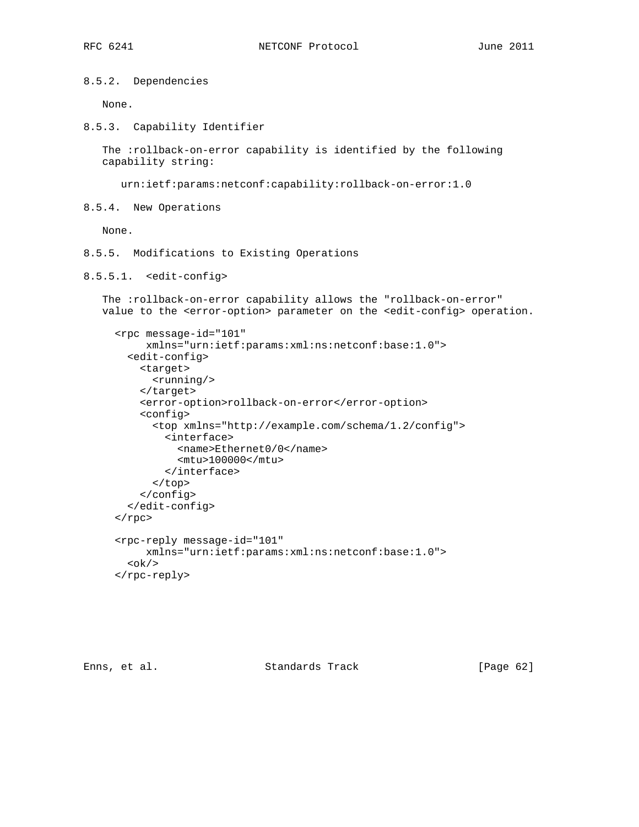8.5.2. Dependencies

None.

8.5.3. Capability Identifier

 The :rollback-on-error capability is identified by the following capability string:

urn:ietf:params:netconf:capability:rollback-on-error:1.0

8.5.4. New Operations

None.

- 8.5.5. Modifications to Existing Operations
- 8.5.5.1. <edit-config>

 The :rollback-on-error capability allows the "rollback-on-error" value to the <error-option> parameter on the <edit-config> operation.

```
 <rpc message-id="101"
     xmlns="urn:ietf:params:xml:ns:netconf:base:1.0">
   <edit-config>
     <target>
       <running/>
     </target>
     <error-option>rollback-on-error</error-option>
     <config>
       <top xmlns="http://example.com/schema/1.2/config">
         <interface>
           <name>Ethernet0/0</name>
           <mtu>100000</mtu>
         </interface>
       </top>
     </config>
   </edit-config>
\langle rpc>
 <rpc-reply message-id="101"
     xmlns="urn:ietf:params:xml:ns:netconf:base:1.0">

 </rpc-reply>
```
Enns, et al. Standards Track [Page 62]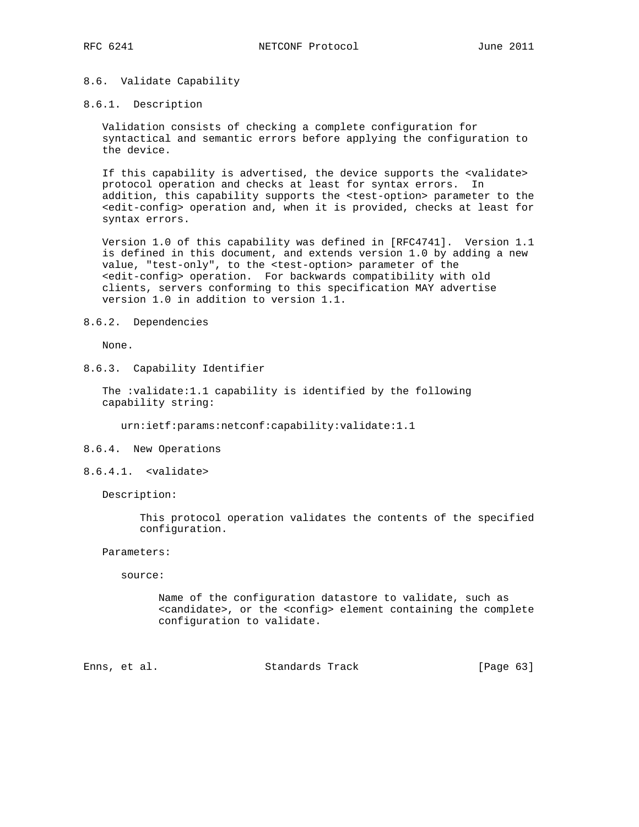# 8.6. Validate Capability

### 8.6.1. Description

 Validation consists of checking a complete configuration for syntactical and semantic errors before applying the configuration to the device.

 If this capability is advertised, the device supports the <validate> protocol operation and checks at least for syntax errors. In addition, this capability supports the <test-option> parameter to the <edit-config> operation and, when it is provided, checks at least for syntax errors.

 Version 1.0 of this capability was defined in [RFC4741]. Version 1.1 is defined in this document, and extends version 1.0 by adding a new value, "test-only", to the <test-option> parameter of the <edit-config> operation. For backwards compatibility with old clients, servers conforming to this specification MAY advertise version 1.0 in addition to version 1.1.

### 8.6.2. Dependencies

None.

8.6.3. Capability Identifier

 The :validate:1.1 capability is identified by the following capability string:

urn:ietf:params:netconf:capability:validate:1.1

- 8.6.4. New Operations
- 8.6.4.1. <validate>

Description:

 This protocol operation validates the contents of the specified configuration.

Parameters:

source:

 Name of the configuration datastore to validate, such as <candidate>, or the <config> element containing the complete configuration to validate.

Enns, et al. Standards Track [Page 63]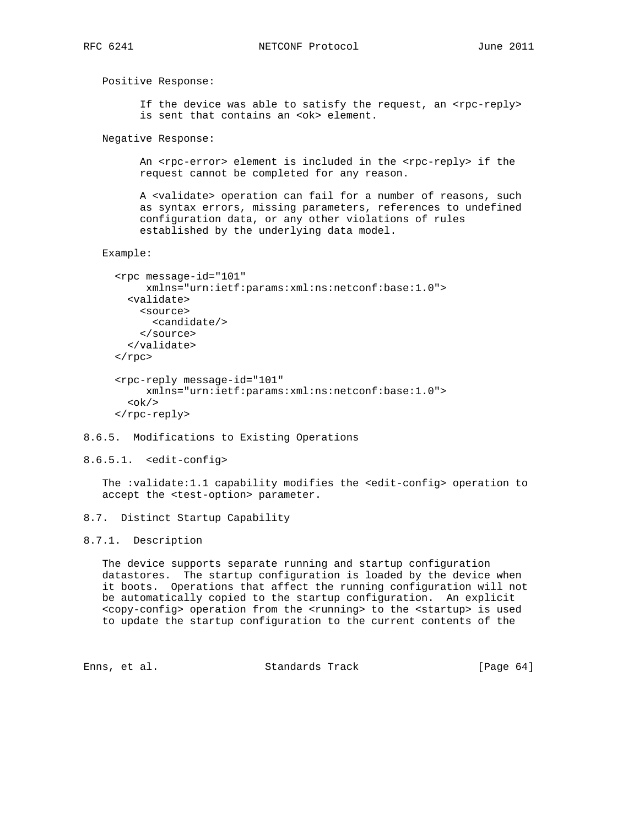Positive Response: If the device was able to satisfy the request, an <rpc-reply> is sent that contains an <ok> element. Negative Response: An <rpc-error> element is included in the <rpc-reply> if the request cannot be completed for any reason. A <validate> operation can fail for a number of reasons, such as syntax errors, missing parameters, references to undefined configuration data, or any other violations of rules established by the underlying data model. Example: <rpc message-id="101" xmlns="urn:ietf:params:xml:ns:netconf:base:1.0"> <validate> <source> <candidate/> </source> </validate>  $\langle$  rpc> <rpc-reply message-id="101" xmlns="urn:ietf:params:xml:ns:netconf:base:1.0">

- $$ </rpc-reply>
- 8.6.5. Modifications to Existing Operations

```
8.6.5.1. <edit-config>
```
The :validate:1.1 capability modifies the <edit-config> operation to accept the <test-option> parameter.

8.7. Distinct Startup Capability

# 8.7.1. Description

 The device supports separate running and startup configuration datastores. The startup configuration is loaded by the device when it boots. Operations that affect the running configuration will not be automatically copied to the startup configuration. An explicit <copy-config> operation from the <running> to the <startup> is used to update the startup configuration to the current contents of the

Enns, et al. Standards Track [Page 64]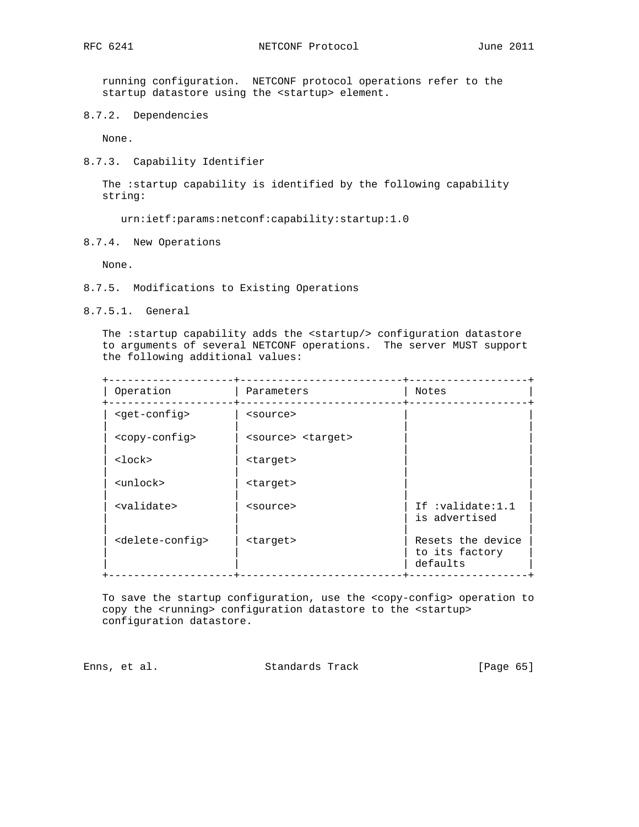running configuration. NETCONF protocol operations refer to the startup datastore using the <startup> element.

8.7.2. Dependencies

None.

8.7.3. Capability Identifier

 The :startup capability is identified by the following capability string:

urn:ietf:params:netconf:capability:startup:1.0

8.7.4. New Operations

None.

- 8.7.5. Modifications to Existing Operations
- 8.7.5.1. General

 The :startup capability adds the <startup/> configuration datastore to arguments of several NETCONF operations. The server MUST support the following additional values:

| Operation                       | Parameters                  | Notes                                           |
|---------------------------------|-----------------------------|-------------------------------------------------|
| <qet-confiq></qet-confiq>       | <source/>                   |                                                 |
| <copy-config></copy-config>     | <source/> <target></target> |                                                 |
| $<$ lock $>$                    | <target></target>           |                                                 |
| <unlock></unlock>               | <target></target>           |                                                 |
| <validate></validate>           | <source/>                   | If :validate:1.1<br>is advertised               |
| <delete-config></delete-config> | <target></target>           | Resets the device<br>to its factory<br>defaults |

 To save the startup configuration, use the <copy-config> operation to copy the <running> configuration datastore to the <startup> configuration datastore.

Enns, et al. Standards Track [Page 65]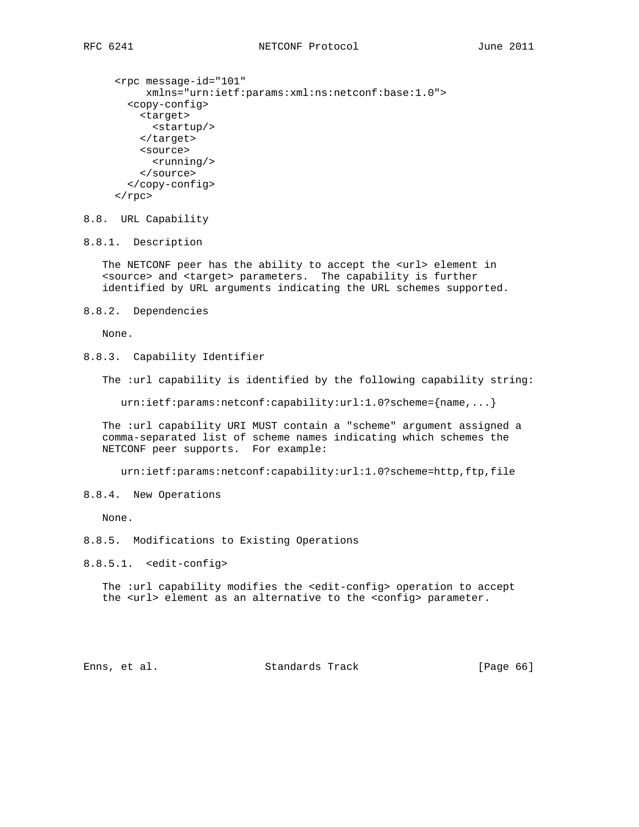```
 <rpc message-id="101"
      xmlns="urn:ietf:params:xml:ns:netconf:base:1.0">
   <copy-config>
     <target>
       <startup/>
     </target>
     <source>
       <running/>
     </source>
   </copy-config>
\langle rpc>
```
# 8.8. URL Capability

8.8.1. Description

 The NETCONF peer has the ability to accept the <url> element in <source> and <target> parameters. The capability is further identified by URL arguments indicating the URL schemes supported.

8.8.2. Dependencies

None.

8.8.3. Capability Identifier

The :url capability is identified by the following capability string:

urn:ietf:params:netconf:capability:url:1.0?scheme={name,...}

 The :url capability URI MUST contain a "scheme" argument assigned a comma-separated list of scheme names indicating which schemes the NETCONF peer supports. For example:

urn:ietf:params:netconf:capability:url:1.0?scheme=http,ftp,file

8.8.4. New Operations

None.

8.8.5. Modifications to Existing Operations

8.8.5.1. <edit-config>

The :url capability modifies the <edit-config> operation to accept the <url> element as an alternative to the <config> parameter.

Enns, et al. Standards Track [Page 66]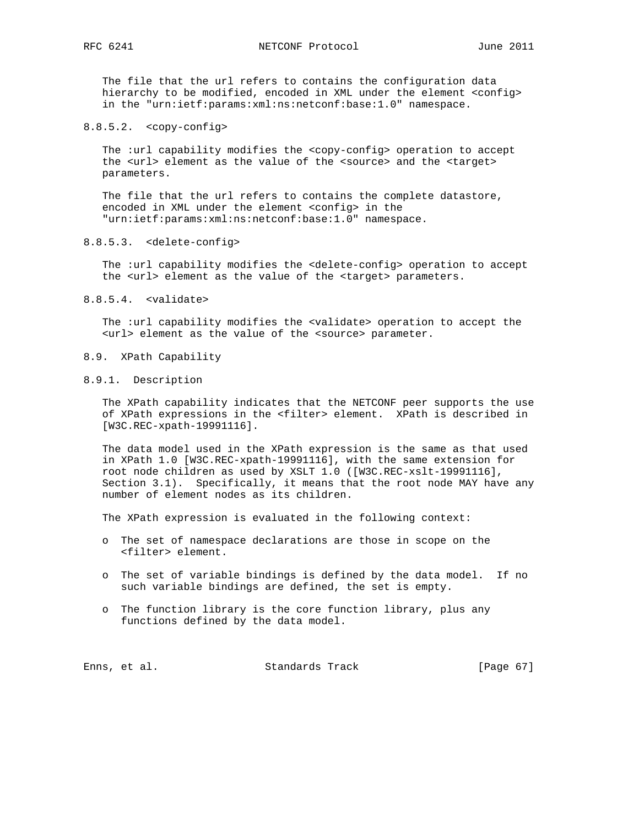The file that the url refers to contains the configuration data hierarchy to be modified, encoded in XML under the element <config> in the "urn:ietf:params:xml:ns:netconf:base:1.0" namespace.

#### 8.8.5.2. <copy-config>

 The :url capability modifies the <copy-config> operation to accept the <url> element as the value of the <source> and the <target> parameters.

 The file that the url refers to contains the complete datastore, encoded in XML under the element <config> in the "urn:ietf:params:xml:ns:netconf:base:1.0" namespace.

## 8.8.5.3. <delete-config>

The :url capability modifies the <delete-config> operation to accept the <url> element as the value of the <target> parameters.

8.8.5.4. <validate>

 The :url capability modifies the <validate> operation to accept the <url> element as the value of the <source> parameter.

- 8.9. XPath Capability
- 8.9.1. Description

 The XPath capability indicates that the NETCONF peer supports the use of XPath expressions in the <filter> element. XPath is described in [W3C.REC-xpath-19991116].

 The data model used in the XPath expression is the same as that used in XPath 1.0 [W3C.REC-xpath-19991116], with the same extension for root node children as used by XSLT 1.0 ([W3C.REC-xslt-19991116], Section 3.1). Specifically, it means that the root node MAY have any number of element nodes as its children.

The XPath expression is evaluated in the following context:

- o The set of namespace declarations are those in scope on the <filter> element.
- o The set of variable bindings is defined by the data model. If no such variable bindings are defined, the set is empty.
- o The function library is the core function library, plus any functions defined by the data model.

| [Page 67] |  |
|-----------|--|
|           |  |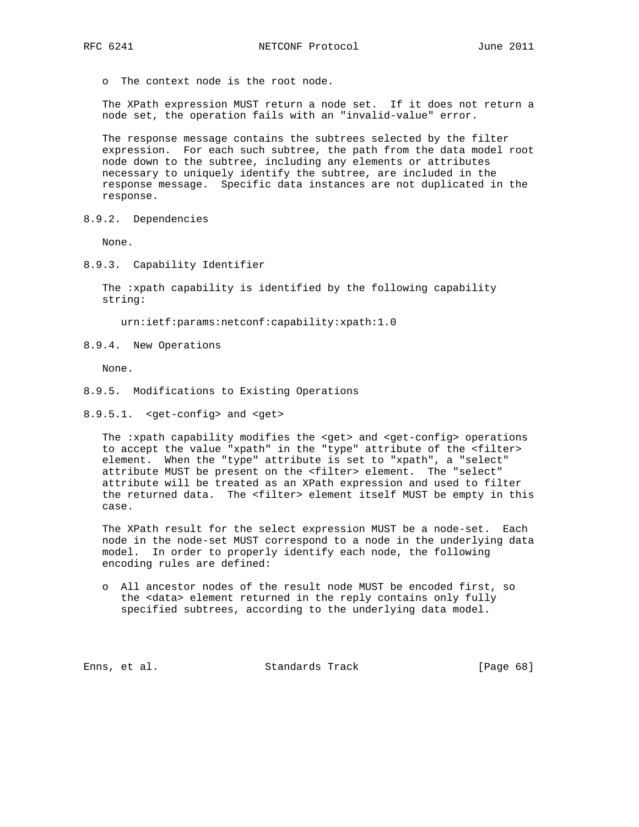o The context node is the root node.

 The XPath expression MUST return a node set. If it does not return a node set, the operation fails with an "invalid-value" error.

 The response message contains the subtrees selected by the filter expression. For each such subtree, the path from the data model root node down to the subtree, including any elements or attributes necessary to uniquely identify the subtree, are included in the response message. Specific data instances are not duplicated in the response.

8.9.2. Dependencies

None.

8.9.3. Capability Identifier

 The :xpath capability is identified by the following capability string:

urn:ietf:params:netconf:capability:xpath:1.0

8.9.4. New Operations

None.

- 8.9.5. Modifications to Existing Operations
- 8.9.5.1. < get-config> and < get>

The : xpath capability modifies the <get> and <get-config> operations to accept the value "xpath" in the "type" attribute of the <filter> element. When the "type" attribute is set to "xpath", a "select" attribute MUST be present on the <filter> element. The "select" attribute will be treated as an XPath expression and used to filter the returned data. The <filter> element itself MUST be empty in this case.

 The XPath result for the select expression MUST be a node-set. Each node in the node-set MUST correspond to a node in the underlying data model. In order to properly identify each node, the following encoding rules are defined:

 o All ancestor nodes of the result node MUST be encoded first, so the <data> element returned in the reply contains only fully specified subtrees, according to the underlying data model.

Enns, et al. Standards Track [Page 68]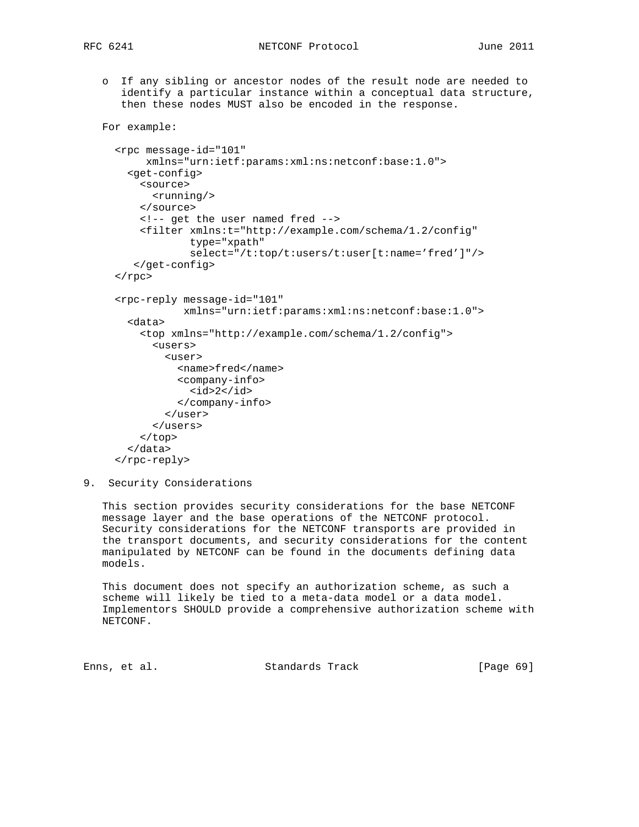For example:

 o If any sibling or ancestor nodes of the result node are needed to identify a particular instance within a conceptual data structure, then these nodes MUST also be encoded in the response.

```
 <rpc message-id="101"
     xmlns="urn:ietf:params:xml:ns:netconf:base:1.0">
   <get-config>
     <source>
       <running/>
     </source>
     <!-- get the user named fred -->
     <filter xmlns:t="http://example.com/schema/1.2/config"
              type="xpath"
              select="/t:top/t:users/t:user[t:name='fred']"/>
    </get-config>
\langle rpc>
 <rpc-reply message-id="101"
            xmlns="urn:ietf:params:xml:ns:netconf:base:1.0">
   <data>
     <top xmlns="http://example.com/schema/1.2/config">
      \langleusers\rangle\langleuser>
           <name>fred</name>
           <company-info>
             <id>2</id>
           </company-info>
         </user>
       </users>
     </top>
   </data>
 </rpc-reply>
```
9. Security Considerations

 This section provides security considerations for the base NETCONF message layer and the base operations of the NETCONF protocol. Security considerations for the NETCONF transports are provided in the transport documents, and security considerations for the content manipulated by NETCONF can be found in the documents defining data models.

 This document does not specify an authorization scheme, as such a scheme will likely be tied to a meta-data model or a data model. Implementors SHOULD provide a comprehensive authorization scheme with NETCONF.

Enns, et al. Standards Track [Page 69]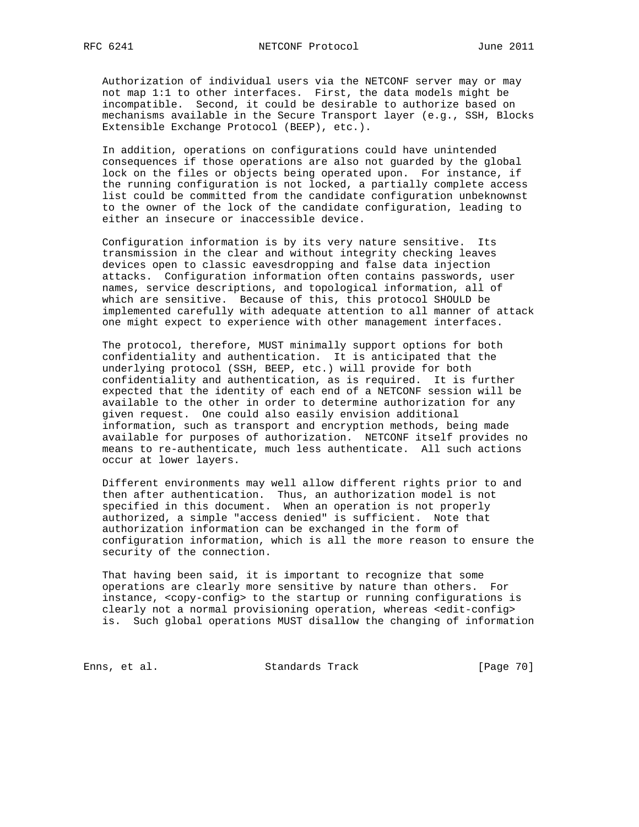Authorization of individual users via the NETCONF server may or may not map 1:1 to other interfaces. First, the data models might be incompatible. Second, it could be desirable to authorize based on mechanisms available in the Secure Transport layer (e.g., SSH, Blocks Extensible Exchange Protocol (BEEP), etc.).

 In addition, operations on configurations could have unintended consequences if those operations are also not guarded by the global lock on the files or objects being operated upon. For instance, if the running configuration is not locked, a partially complete access list could be committed from the candidate configuration unbeknownst to the owner of the lock of the candidate configuration, leading to either an insecure or inaccessible device.

 Configuration information is by its very nature sensitive. Its transmission in the clear and without integrity checking leaves devices open to classic eavesdropping and false data injection attacks. Configuration information often contains passwords, user names, service descriptions, and topological information, all of which are sensitive. Because of this, this protocol SHOULD be implemented carefully with adequate attention to all manner of attack one might expect to experience with other management interfaces.

 The protocol, therefore, MUST minimally support options for both confidentiality and authentication. It is anticipated that the underlying protocol (SSH, BEEP, etc.) will provide for both confidentiality and authentication, as is required. It is further expected that the identity of each end of a NETCONF session will be available to the other in order to determine authorization for any given request. One could also easily envision additional information, such as transport and encryption methods, being made available for purposes of authorization. NETCONF itself provides no means to re-authenticate, much less authenticate. All such actions occur at lower layers.

 Different environments may well allow different rights prior to and then after authentication. Thus, an authorization model is not specified in this document. When an operation is not properly authorized, a simple "access denied" is sufficient. Note that authorization information can be exchanged in the form of configuration information, which is all the more reason to ensure the security of the connection.

 That having been said, it is important to recognize that some operations are clearly more sensitive by nature than others. For instance, <copy-config> to the startup or running configurations is clearly not a normal provisioning operation, whereas <edit-config> is. Such global operations MUST disallow the changing of information

Enns, et al. Standards Track [Page 70]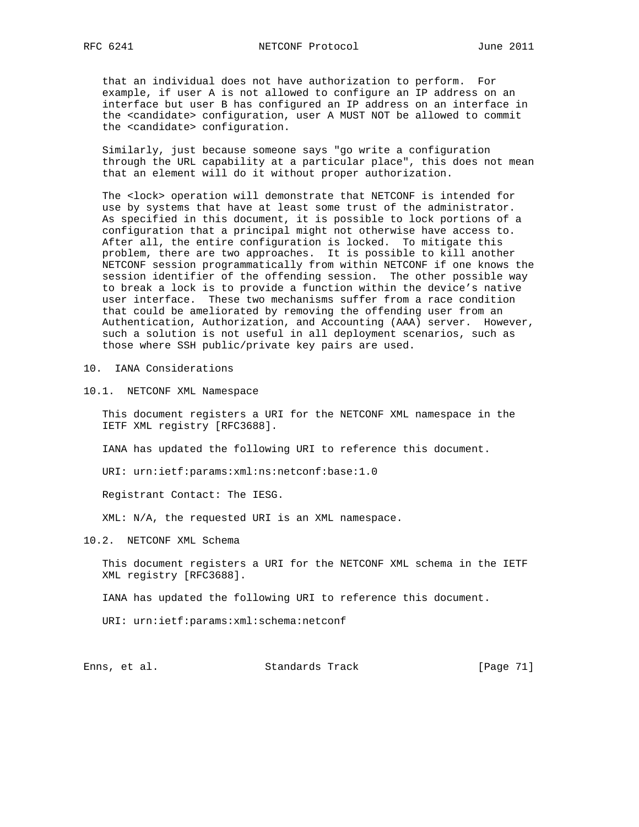that an individual does not have authorization to perform. For example, if user A is not allowed to configure an IP address on an interface but user B has configured an IP address on an interface in the <candidate> configuration, user A MUST NOT be allowed to commit the <candidate> configuration.

 Similarly, just because someone says "go write a configuration through the URL capability at a particular place", this does not mean that an element will do it without proper authorization.

 The <lock> operation will demonstrate that NETCONF is intended for use by systems that have at least some trust of the administrator. As specified in this document, it is possible to lock portions of a configuration that a principal might not otherwise have access to. After all, the entire configuration is locked. To mitigate this problem, there are two approaches. It is possible to kill another NETCONF session programmatically from within NETCONF if one knows the session identifier of the offending session. The other possible way to break a lock is to provide a function within the device's native user interface. These two mechanisms suffer from a race condition that could be ameliorated by removing the offending user from an Authentication, Authorization, and Accounting (AAA) server. However, such a solution is not useful in all deployment scenarios, such as those where SSH public/private key pairs are used.

10. IANA Considerations

10.1. NETCONF XML Namespace

 This document registers a URI for the NETCONF XML namespace in the IETF XML registry [RFC3688].

IANA has updated the following URI to reference this document.

URI: urn:ietf:params:xml:ns:netconf:base:1.0

Registrant Contact: The IESG.

XML: N/A, the requested URI is an XML namespace.

10.2. NETCONF XML Schema

 This document registers a URI for the NETCONF XML schema in the IETF XML registry [RFC3688].

IANA has updated the following URI to reference this document.

URI: urn:ietf:params:xml:schema:netconf

Enns, et al. Standards Track [Page 71]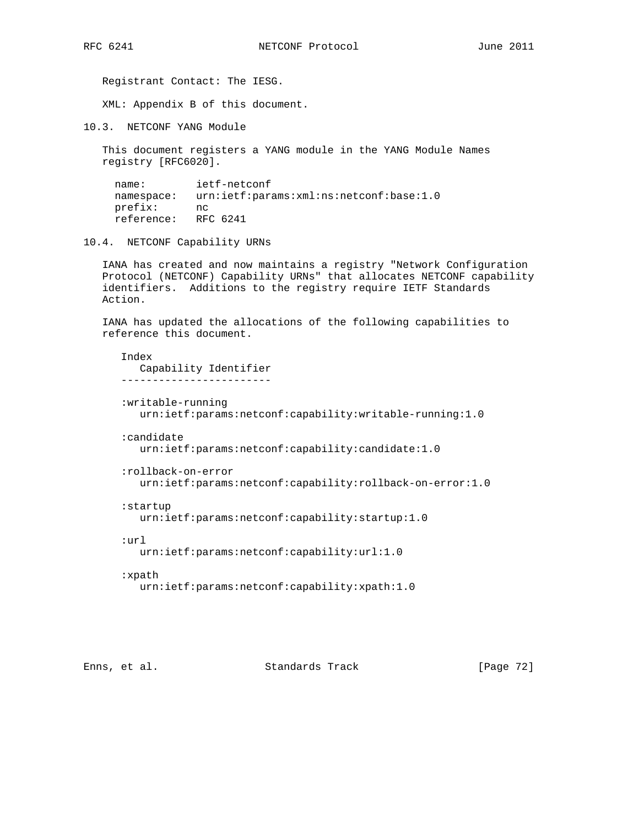Registrant Contact: The IESG.

XML: Appendix B of this document.

10.3. NETCONF YANG Module

 This document registers a YANG module in the YANG Module Names registry [RFC6020].

 name: ietf-netconf namespace: urn:ietf:params:xml:ns:netconf:base:1.0<br>prefix: nc  $prefix:$ reference: RFC 6241

10.4. NETCONF Capability URNs

 IANA has created and now maintains a registry "Network Configuration Protocol (NETCONF) Capability URNs" that allocates NETCONF capability identifiers. Additions to the registry require IETF Standards Action.

 IANA has updated the allocations of the following capabilities to reference this document.

 Index Capability Identifier ------------------------ :writable-running urn:ietf:params:netconf:capability:writable-running:1.0 :candidate urn:ietf:params:netconf:capability:candidate:1.0 :rollback-on-error urn:ietf:params:netconf:capability:rollback-on-error:1.0 :startup urn:ietf:params:netconf:capability:startup:1.0 :url urn:ietf:params:netconf:capability:url:1.0 :xpath

urn:ietf:params:netconf:capability:xpath:1.0

Enns, et al. Standards Track [Page 72]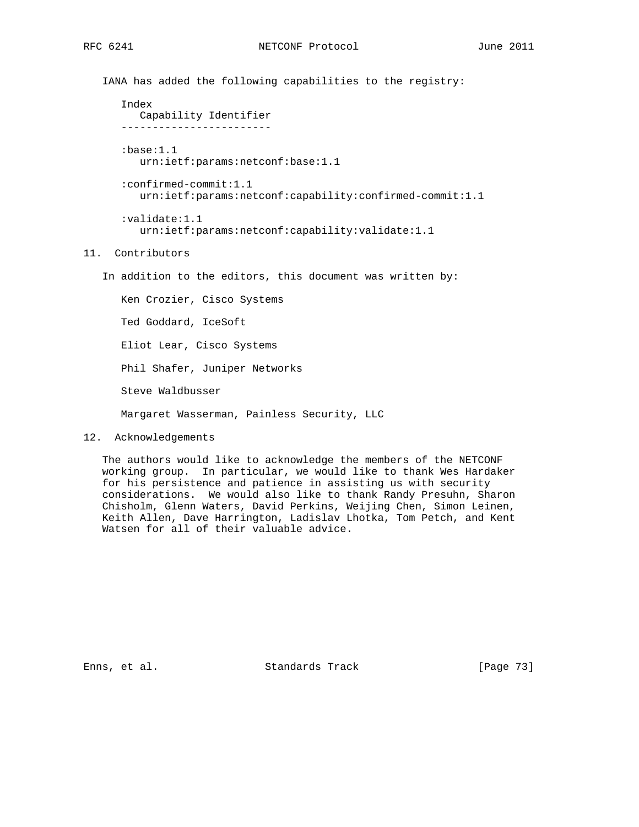IANA has added the following capabilities to the registry:

```
 Index
   Capability Identifier
 ------------------------
 :base:1.1
   urn:ietf:params:netconf:base:1.1
 :confirmed-commit:1.1
    urn:ietf:params:netconf:capability:confirmed-commit:1.1
 :validate:1.1
    urn:ietf:params:netconf:capability:validate:1.1
```
## 11. Contributors

In addition to the editors, this document was written by:

 Ken Crozier, Cisco Systems Ted Goddard, IceSoft Eliot Lear, Cisco Systems Phil Shafer, Juniper Networks Steve Waldbusser Margaret Wasserman, Painless Security, LLC

12. Acknowledgements

 The authors would like to acknowledge the members of the NETCONF working group. In particular, we would like to thank Wes Hardaker for his persistence and patience in assisting us with security considerations. We would also like to thank Randy Presuhn, Sharon Chisholm, Glenn Waters, David Perkins, Weijing Chen, Simon Leinen, Keith Allen, Dave Harrington, Ladislav Lhotka, Tom Petch, and Kent Watsen for all of their valuable advice.

Enns, et al. Standards Track [Page 73]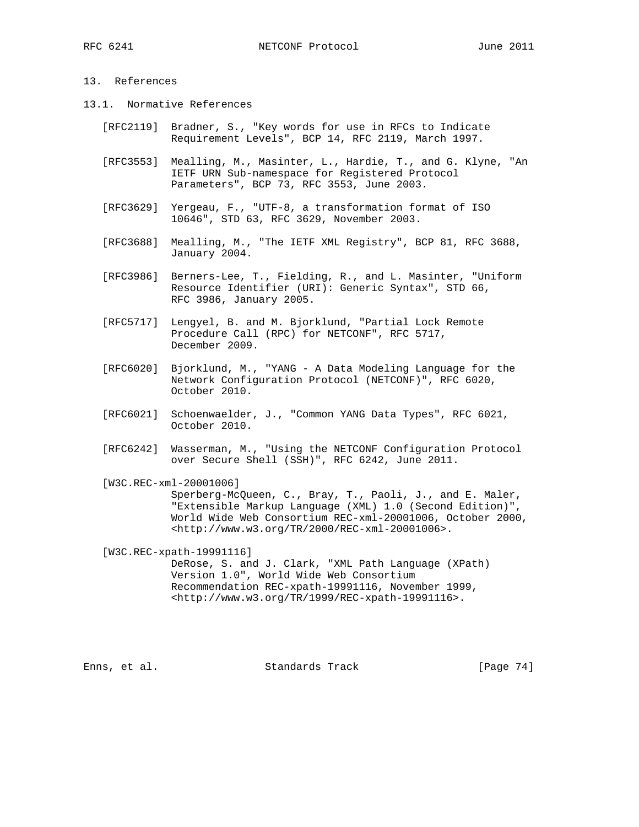## 13. References

- 13.1. Normative References
	- [RFC2119] Bradner, S., "Key words for use in RFCs to Indicate Requirement Levels", BCP 14, RFC 2119, March 1997.
	- [RFC3553] Mealling, M., Masinter, L., Hardie, T., and G. Klyne, "An IETF URN Sub-namespace for Registered Protocol Parameters", BCP 73, RFC 3553, June 2003.
	- [RFC3629] Yergeau, F., "UTF-8, a transformation format of ISO 10646", STD 63, RFC 3629, November 2003.
	- [RFC3688] Mealling, M., "The IETF XML Registry", BCP 81, RFC 3688, January 2004.
	- [RFC3986] Berners-Lee, T., Fielding, R., and L. Masinter, "Uniform Resource Identifier (URI): Generic Syntax", STD 66, RFC 3986, January 2005.
	- [RFC5717] Lengyel, B. and M. Bjorklund, "Partial Lock Remote Procedure Call (RPC) for NETCONF", RFC 5717, December 2009.
	- [RFC6020] Bjorklund, M., "YANG A Data Modeling Language for the Network Configuration Protocol (NETCONF)", RFC 6020, October 2010.
	- [RFC6021] Schoenwaelder, J., "Common YANG Data Types", RFC 6021, October 2010.
	- [RFC6242] Wasserman, M., "Using the NETCONF Configuration Protocol over Secure Shell (SSH)", RFC 6242, June 2011.
	- [W3C.REC-xml-20001006]

 Sperberg-McQueen, C., Bray, T., Paoli, J., and E. Maler, "Extensible Markup Language (XML) 1.0 (Second Edition)", World Wide Web Consortium REC-xml-20001006, October 2000, <http://www.w3.org/TR/2000/REC-xml-20001006>.

[W3C.REC-xpath-19991116]

 DeRose, S. and J. Clark, "XML Path Language (XPath) Version 1.0", World Wide Web Consortium Recommendation REC-xpath-19991116, November 1999, <http://www.w3.org/TR/1999/REC-xpath-19991116>.

Enns, et al. Standards Track [Page 74]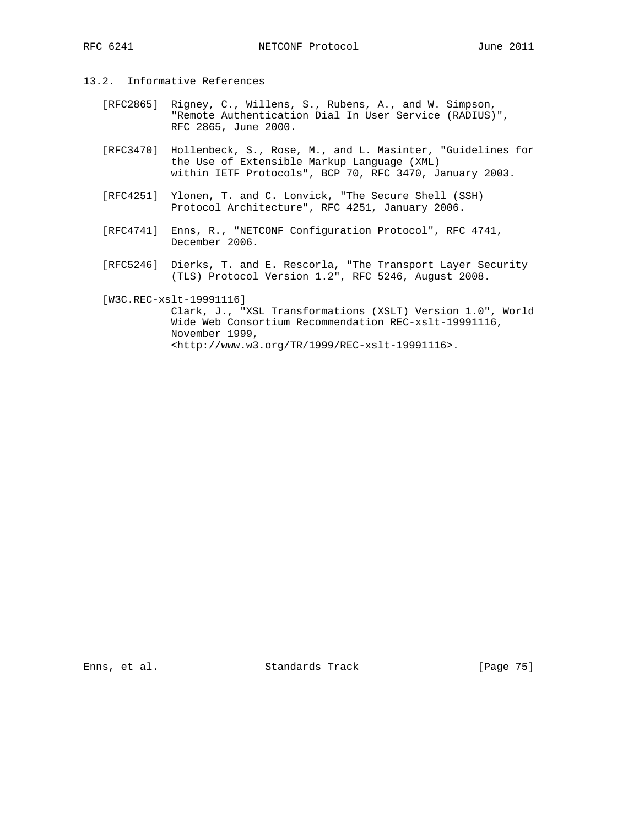- 13.2. Informative References
	- [RFC2865] Rigney, C., Willens, S., Rubens, A., and W. Simpson, "Remote Authentication Dial In User Service (RADIUS)", RFC 2865, June 2000.
	- [RFC3470] Hollenbeck, S., Rose, M., and L. Masinter, "Guidelines for the Use of Extensible Markup Language (XML) within IETF Protocols", BCP 70, RFC 3470, January 2003.
	- [RFC4251] Ylonen, T. and C. Lonvick, "The Secure Shell (SSH) Protocol Architecture", RFC 4251, January 2006.
	- [RFC4741] Enns, R., "NETCONF Configuration Protocol", RFC 4741, December 2006.
- [RFC5246] Dierks, T. and E. Rescorla, "The Transport Layer Security (TLS) Protocol Version 1.2", RFC 5246, August 2008.

[W3C.REC-xslt-19991116]

 Clark, J., "XSL Transformations (XSLT) Version 1.0", World Wide Web Consortium Recommendation REC-xslt-19991116, November 1999, <http://www.w3.org/TR/1999/REC-xslt-19991116>.

Enns, et al. Standards Track [Page 75]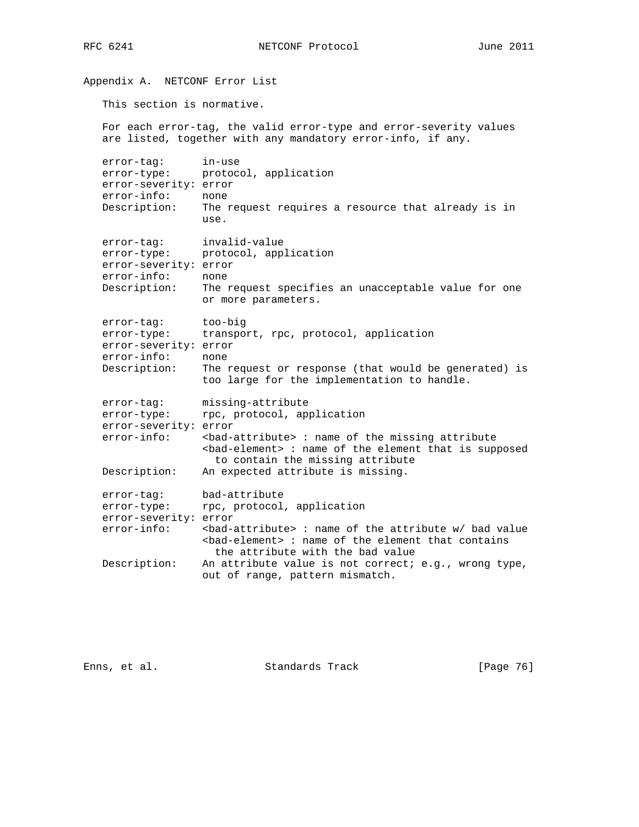RFC 6241 **NETCONF** Protocol June 2011

Appendix A. NETCONF Error List This section is normative. For each error-tag, the valid error-type and error-severity values are listed, together with any mandatory error-info, if any. error-tag: in-use error-type: protocol, application error-severity: error error-info: none Description: The request requires a resource that already is in use. error-tag: invalid-value error-type: protocol, application error-severity: error error-info: none Description: The request specifies an unacceptable value for one or more parameters. error-tag: too-big error-type: transport, rpc, protocol, application error-severity: error error-info: none Description: The request or response (that would be generated) is too large for the implementation to handle. error-tag: missing-attribute error-type: rpc, protocol, application error-severity: error error-info: <br/>>bad-attribute> : name of the missing attribute <bad-element> : name of the element that is supposed to contain the missing attribute Description: An expected attribute is missing. error-tag: bad-attribute error-type: rpc, protocol, application error-severity: error error-info: <br/>>bad-attribute> : name of the attribute w/ bad value <bad-element> : name of the element that contains the attribute with the bad value Description: An attribute value is not correct; e.g., wrong type, out of range, pattern mismatch.

Enns, et al. Standards Track [Page 76]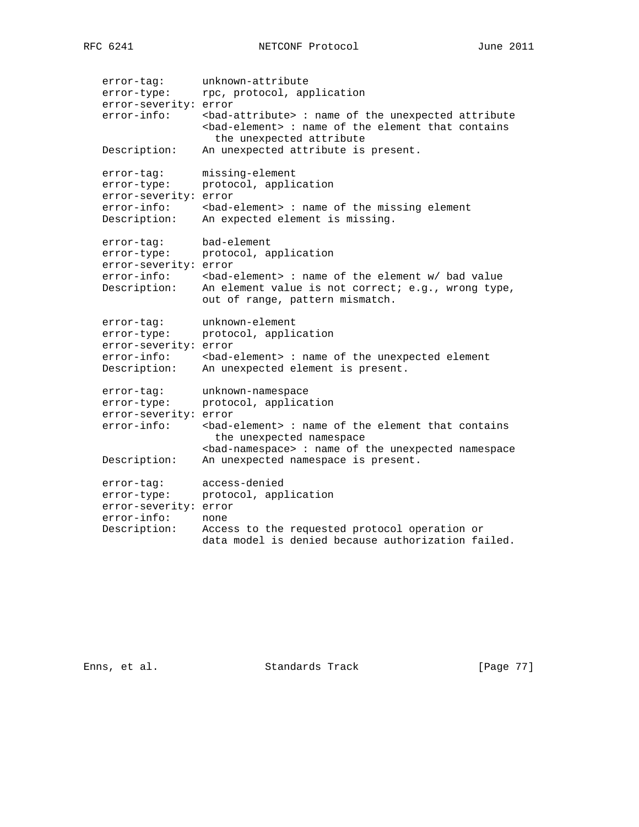```
 error-tag: unknown-attribute
error-type: rpc, protocol, application
   error-severity: error
  error-info: <br/>>bad-attribute> : name of the unexpected attribute
                 <bad-element> : name of the element that contains
                  the unexpected attribute
   Description: An unexpected attribute is present.
 error-tag: missing-element
 error-type: protocol, application
   error-severity: error
 error-info: <bad-element> : name of the missing element
 Description: An expected element is missing.
 error-tag: bad-element
 error-type: protocol, application
   error-severity: error
 error-info: <bad-element> : name of the element w/ bad value
 Description: An element value is not correct; e.g., wrong type,
out of range, pattern mismatch.
 error-tag: unknown-element
 error-type: protocol, application
 error-severity: error
 error-info: <bad-element> : name of the unexpected element
 Description: An unexpected element is present.
 error-tag: unknown-namespace
 error-type: protocol, application
   error-severity: error
  error-info: <br/> <br/>kad-element> : name of the element that contains
                  the unexpected namespace
                 <bad-namespace> : name of the unexpected namespace
   Description: An unexpected namespace is present.
 error-tag: access-denied
 error-type: protocol, application
   error-severity: error
 error-info: none
 Description: Access to the requested protocol operation or
                 data model is denied because authorization failed.
```
Enns, et al. Standards Track [Page 77]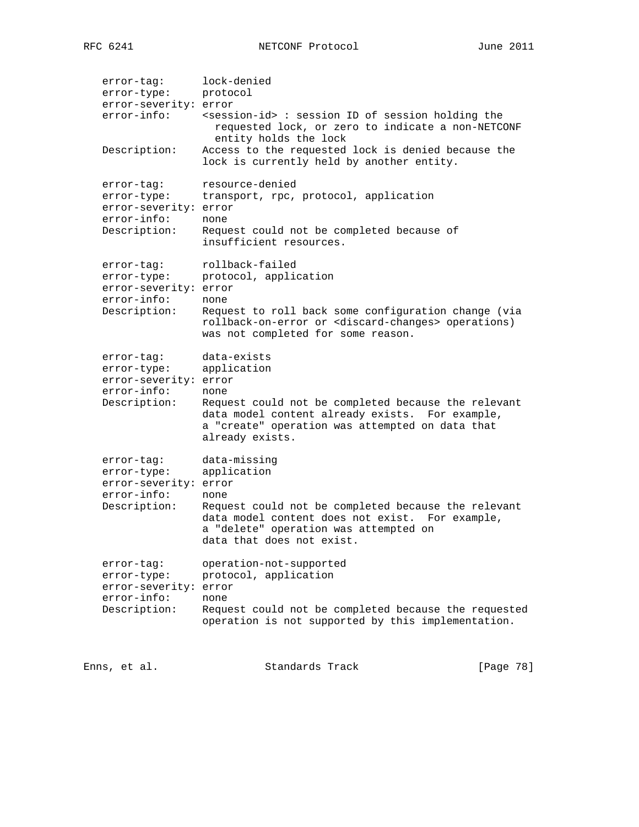| error-tag:<br>error-type:<br>error-severity: error<br>$error\text{-}info:$                 | lock-denied<br>protocol<br><session-id>: session ID of session holding the<br/>requested lock, or zero to indicate a non-NETCONF<br/>entity holds the lock</session-id>                                                |           |
|--------------------------------------------------------------------------------------------|------------------------------------------------------------------------------------------------------------------------------------------------------------------------------------------------------------------------|-----------|
| Description:                                                                               | Access to the requested lock is denied because the<br>lock is currently held by another entity.                                                                                                                        |           |
| error-tag:<br>error-type:<br>error-severity: error<br>error-info:<br>Description:          | resource-denied<br>transport, rpc, protocol, application<br>none<br>Request could not be completed because of<br>insufficient resources.                                                                               |           |
| error-tag:<br>error-type:<br>error-severity: error<br>$error-info:$<br>Description:        | rollback-failed<br>protocol, application<br>none<br>Request to roll back some configuration change (via<br>rollback-on-error or <discard-changes> operations)<br/>was not completed for some reason.</discard-changes> |           |
| error-tag:<br>error-type:<br>error-severity: error<br>error-info:<br>Description:          | data-exists<br>application<br>none<br>Request could not be completed because the relevant<br>data model content already exists. For example,<br>a "create" operation was attempted on data that<br>already exists.     |           |
| error-tag:<br>error-type:<br>error-severity: error<br>error-info:<br>Description:          | data-missing<br>application<br>none<br>Request could not be completed because the relevant<br>data model content does not exist. For example,<br>a "delete" operation was attempted on<br>data that does not exist.    |           |
| error-tag:<br>error-type:<br>error-severity: error<br>$error\text{-}info:$<br>Description: | operation-not-supported<br>protocol, application<br>none<br>Request could not be completed because the requested<br>operation is not supported by this implementation.                                                 |           |
| Enns, et al.                                                                               | Standards Track                                                                                                                                                                                                        | [Page 78] |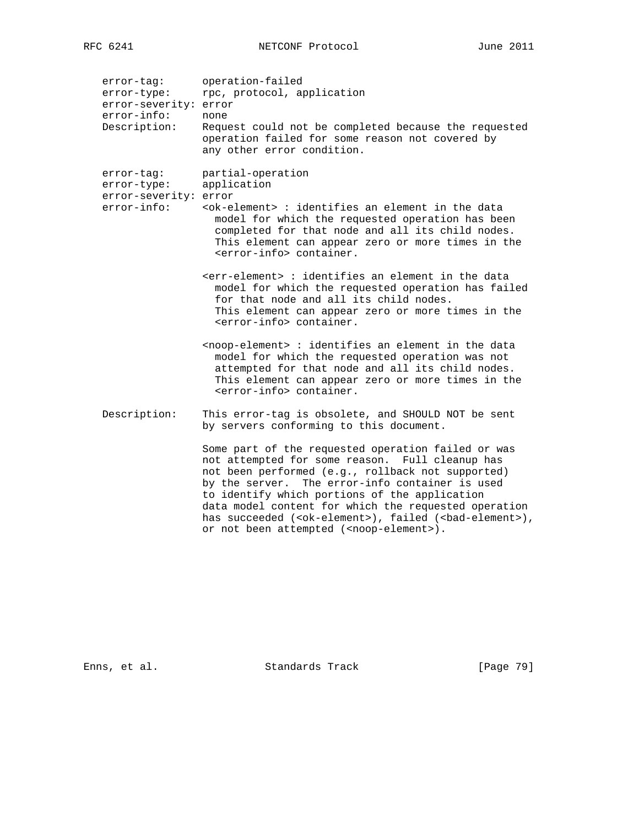| error-tag: | operation-failed |
|------------|------------------|
|------------|------------------|

error-type: rpc, protocol, application error-severity: error

 error-info: none Description: Request could not be completed because the requested operation failed for some reason not covered by any other error condition.

error-tag: partial-operation

| error-type: | application |
|-------------|-------------|
|             |             |

- error-severity: error
- error-info: <ok-element> : identifies an element in the data model for which the requested operation has been completed for that node and all its child nodes. This element can appear zero or more times in the <error-info> container.
	- <err-element> : identifies an element in the data model for which the requested operation has failed for that node and all its child nodes. This element can appear zero or more times in the <error-info> container.
	- <noop-element> : identifies an element in the data model for which the requested operation was not attempted for that node and all its child nodes. This element can appear zero or more times in the <error-info> container.
- Description: This error-tag is obsolete, and SHOULD NOT be sent by servers conforming to this document.

 Some part of the requested operation failed or was not attempted for some reason. Full cleanup has not been performed (e.g., rollback not supported) by the server. The error-info container is used to identify which portions of the application data model content for which the requested operation has succeeded (<ok-element>), failed (<br/>bad-element>), or not been attempted (<noop-element>).

Enns, et al. Standards Track [Page 79]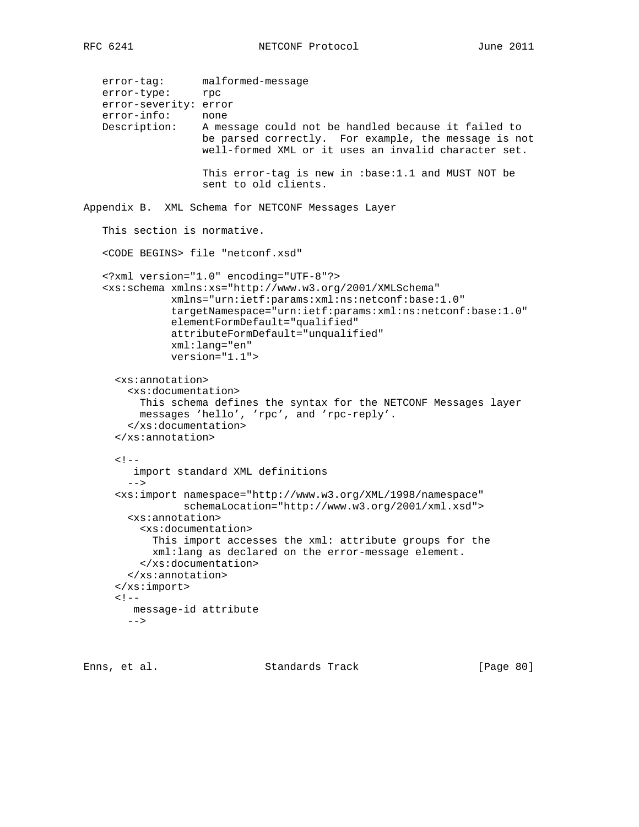```
 error-tag: malformed-message
 error-type: rpc
  error-severity: error<br>error-info: none
  error-info:
   Description: A message could not be handled because it failed to
                    be parsed correctly. For example, the message is not
                    well-formed XML or it uses an invalid character set.
                    This error-tag is new in :base:1.1 and MUST NOT be
                    sent to old clients.
Appendix B. XML Schema for NETCONF Messages Layer
    This section is normative.
    <CODE BEGINS> file "netconf.xsd"
    <?xml version="1.0" encoding="UTF-8"?>
    <xs:schema xmlns:xs="http://www.w3.org/2001/XMLSchema"
               xmlns="urn:ietf:params:xml:ns:netconf:base:1.0"
               targetNamespace="urn:ietf:params:xml:ns:netconf:base:1.0"
               elementFormDefault="qualified"
               attributeFormDefault="unqualified"
               xml:lang="en"
               version="1.1">
      <xs:annotation>
        <xs:documentation>
          This schema defines the syntax for the NETCONF Messages layer
          messages 'hello', 'rpc', and 'rpc-reply'.
        </xs:documentation>
      </xs:annotation>
     <! - import standard XML definitions
       -- <xs:import namespace="http://www.w3.org/XML/1998/namespace"
                 schemaLocation="http://www.w3.org/2001/xml.xsd">
        <xs:annotation>
          <xs:documentation>
            This import accesses the xml: attribute groups for the
            xml:lang as declared on the error-message element.
          </xs:documentation>
        </xs:annotation>
      </xs:import>
     < ! -- message-id attribute
       --&>
```
Enns, et al. Standards Track [Page 80]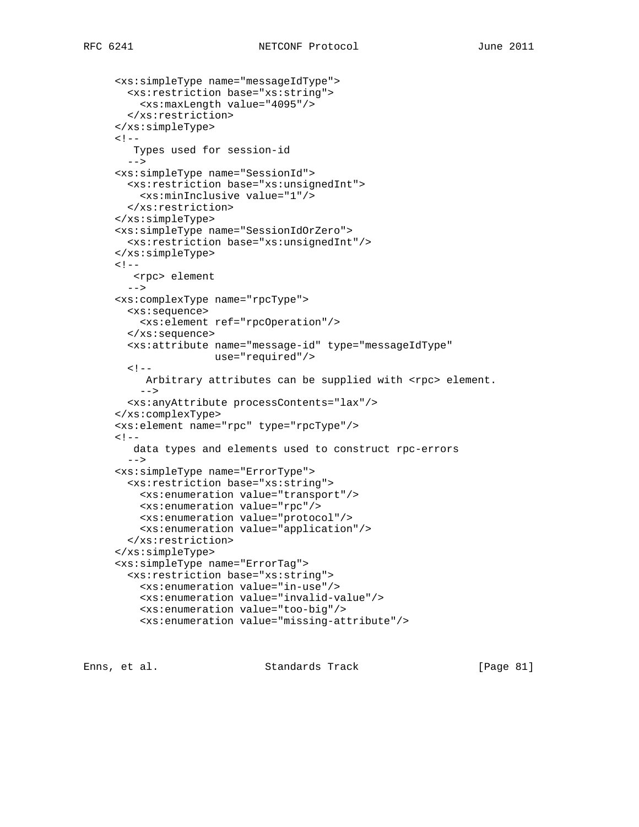```
 <xs:simpleType name="messageIdType">
  <xs:restriction base="xs:string">
    <xs:maxLength value="4095"/>
   </xs:restriction>
 </xs:simpleType>
< ! - - Types used for session-id
  --&> <xs:simpleType name="SessionId">
  <xs:restriction base="xs:unsignedInt">
     <xs:minInclusive value="1"/>
   </xs:restriction>
 </xs:simpleType>
 <xs:simpleType name="SessionIdOrZero">
   <xs:restriction base="xs:unsignedInt"/>
 </xs:simpleType>
< ! -- <rpc> element
  --&> <xs:complexType name="rpcType">
  <xs:sequence>
    <xs:element ref="rpcOperation"/>
  </xs:sequence>
  <xs:attribute name="message-id" type="messageIdType"
                 use="required"/>
  < ! --Arbitrary attributes can be supplied with <rpc> element.
     -->
  <xs:anyAttribute processContents="lax"/>
 </xs:complexType>
 <xs:element name="rpc" type="rpcType"/>
< ! -- data types and elements used to construct rpc-errors
   -->
 <xs:simpleType name="ErrorType">
  <xs:restriction base="xs:string">
     <xs:enumeration value="transport"/>
     <xs:enumeration value="rpc"/>
     <xs:enumeration value="protocol"/>
     <xs:enumeration value="application"/>
   </xs:restriction>
 </xs:simpleType>
 <xs:simpleType name="ErrorTag">
   <xs:restriction base="xs:string">
     <xs:enumeration value="in-use"/>
    <xs:enumeration value="invalid-value"/>
     <xs:enumeration value="too-big"/>
     <xs:enumeration value="missing-attribute"/>
```
Enns, et al. Standards Track [Page 81]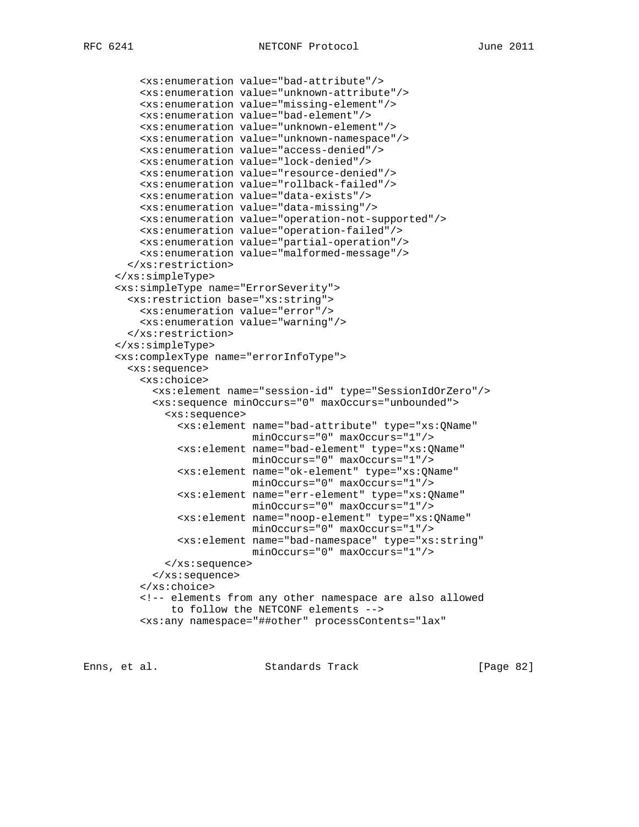```
 <xs:enumeration value="bad-attribute"/>
     <xs:enumeration value="unknown-attribute"/>
     <xs:enumeration value="missing-element"/>
     <xs:enumeration value="bad-element"/>
     <xs:enumeration value="unknown-element"/>
     <xs:enumeration value="unknown-namespace"/>
     <xs:enumeration value="access-denied"/>
     <xs:enumeration value="lock-denied"/>
     <xs:enumeration value="resource-denied"/>
     <xs:enumeration value="rollback-failed"/>
     <xs:enumeration value="data-exists"/>
     <xs:enumeration value="data-missing"/>
     <xs:enumeration value="operation-not-supported"/>
     <xs:enumeration value="operation-failed"/>
     <xs:enumeration value="partial-operation"/>
     <xs:enumeration value="malformed-message"/>
   </xs:restriction>
 </xs:simpleType>
 <xs:simpleType name="ErrorSeverity">
   <xs:restriction base="xs:string">
    <xs:enumeration value="error"/>
    <xs:enumeration value="warning"/>
   </xs:restriction>
 </xs:simpleType>
 <xs:complexType name="errorInfoType">
   <xs:sequence>
     <xs:choice>
       <xs:element name="session-id" type="SessionIdOrZero"/>
       <xs:sequence minOccurs="0" maxOccurs="unbounded">
         <xs:sequence>
           <xs:element name="bad-attribute" type="xs:QName"
                       minOccurs="0" maxOccurs="1"/>
           <xs:element name="bad-element" type="xs:QName"
                       minOccurs="0" maxOccurs="1"/>
           <xs:element name="ok-element" type="xs:QName"
                       minOccurs="0" maxOccurs="1"/>
           <xs:element name="err-element" type="xs:QName"
                       minOccurs="0" maxOccurs="1"/>
           <xs:element name="noop-element" type="xs:QName"
                      minOccurs="0" maxOccurs="1"/>
           <xs:element name="bad-namespace" type="xs:string"
                       minOccurs="0" maxOccurs="1"/>
         </xs:sequence>
       </xs:sequence>
     </xs:choice>
     <!-- elements from any other namespace are also allowed
          to follow the NETCONF elements -->
     <xs:any namespace="##other" processContents="lax"
```
Enns, et al. Standards Track [Page 82]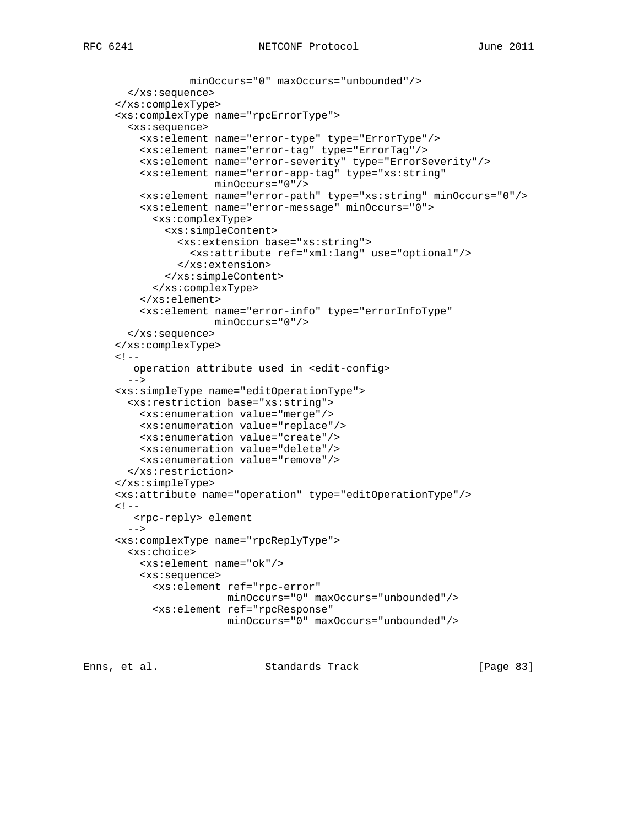```
 minOccurs="0" maxOccurs="unbounded"/>
   </xs:sequence>
 </xs:complexType>
 <xs:complexType name="rpcErrorType">
   <xs:sequence>
     <xs:element name="error-type" type="ErrorType"/>
     <xs:element name="error-tag" type="ErrorTag"/>
     <xs:element name="error-severity" type="ErrorSeverity"/>
     <xs:element name="error-app-tag" type="xs:string"
                 minOccurs="0"/>
     <xs:element name="error-path" type="xs:string" minOccurs="0"/>
     <xs:element name="error-message" minOccurs="0">
       <xs:complexType>
         <xs:simpleContent>
           <xs:extension base="xs:string">
             <xs:attribute ref="xml:lang" use="optional"/>
           </xs:extension>
         </xs:simpleContent>
       </xs:complexType>
     </xs:element>
     <xs:element name="error-info" type="errorInfoType"
                 minOccurs="0"/>
  </xs:sequence>
 </xs:complexType>
2 - 1 - 1 operation attribute used in <edit-config>
   -->
 <xs:simpleType name="editOperationType">
   <xs:restriction base="xs:string">
    <xs:enumeration value="merge"/>
    <xs:enumeration value="replace"/>
    <xs:enumeration value="create"/>
    <xs:enumeration value="delete"/>
     <xs:enumeration value="remove"/>
   </xs:restriction>
 </xs:simpleType>
 <xs:attribute name="operation" type="editOperationType"/>
< ! - - <rpc-reply> element
  --&> <xs:complexType name="rpcReplyType">
  <xs:choice>
    <xs:element name="ok"/>
     <xs:sequence>
       <xs:element ref="rpc-error"
                   minOccurs="0" maxOccurs="unbounded"/>
       <xs:element ref="rpcResponse"
                   minOccurs="0" maxOccurs="unbounded"/>
```
Enns, et al. Standards Track [Page 83]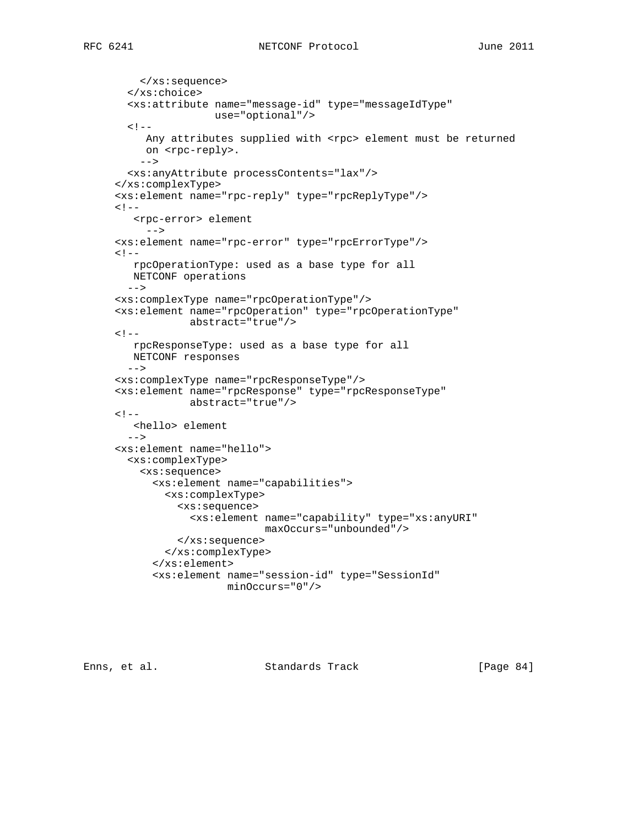```
RFC 6241 NETCONF Protocol June 2011
```

```
 </xs:sequence>
   </xs:choice>
   <xs:attribute name="message-id" type="messageIdType"
                use="optional"/>
  \lt! --
    Any attributes supplied with <rpc> element must be returned
     on <rpc-reply>.
     -->
   <xs:anyAttribute processContents="lax"/>
 </xs:complexType>
 <xs:element name="rpc-reply" type="rpcReplyType"/>
< 1 - - <rpc-error> element
      -->
 <xs:element name="rpc-error" type="rpcErrorType"/>
\lt! --
   rpcOperationType: used as a base type for all
   NETCONF operations
  --& <xs:complexType name="rpcOperationType"/>
 <xs:element name="rpcOperation" type="rpcOperationType"
             abstract="true"/>
\lt! --
   rpcResponseType: used as a base type for all
   NETCONF responses
   -->
 <xs:complexType name="rpcResponseType"/>
 <xs:element name="rpcResponse" type="rpcResponseType"
             abstract="true"/>
< ! - - <hello> element
  --> <xs:element name="hello">
  <xs:complexType>
     <xs:sequence>
       <xs:element name="capabilities">
         <xs:complexType>
           <xs:sequence>
             <xs:element name="capability" type="xs:anyURI"
                          maxOccurs="unbounded"/>
           </xs:sequence>
         </xs:complexType>
       </xs:element>
       <xs:element name="session-id" type="SessionId"
                   minOccurs="0"/>
```
Enns, et al. Standards Track [Page 84]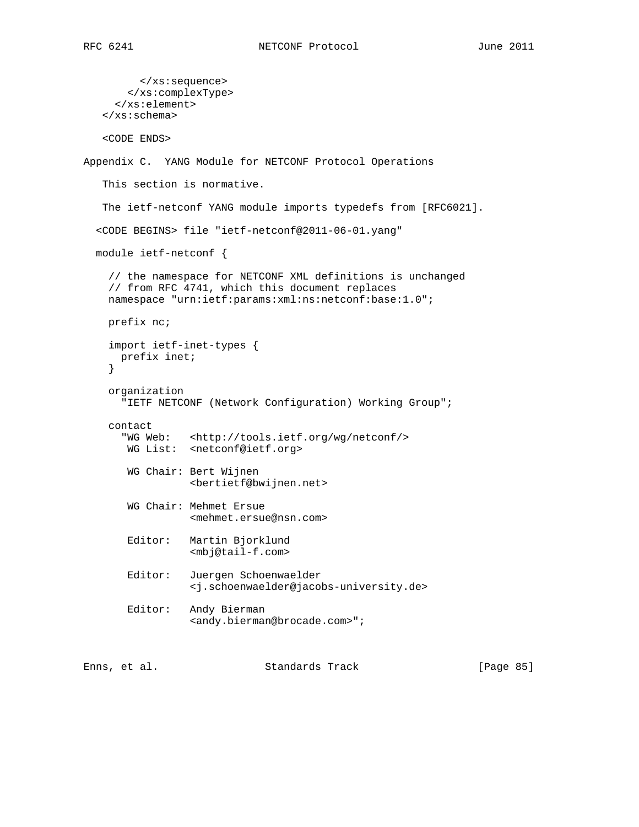```
 </xs:sequence>
        </xs:complexType>
      </xs:element>
    </xs:schema>
    <CODE ENDS>
Appendix C. YANG Module for NETCONF Protocol Operations
    This section is normative.
    The ietf-netconf YANG module imports typedefs from [RFC6021].
   <CODE BEGINS> file "ietf-netconf@2011-06-01.yang"
   module ietf-netconf {
```

```
 // the namespace for NETCONF XML definitions is unchanged
 // from RFC 4741, which this document replaces
 namespace "urn:ietf:params:xml:ns:netconf:base:1.0";
```

```
 prefix nc;
```

```
 import ietf-inet-types {
      prefix inet;
 }
```

```
 organization
   "IETF NETCONF (Network Configuration) Working Group";
```

```
 contact
```

```
 "WG Web: <http://tools.ietf.org/wg/netconf/>
 WG List: <netconf@ietf.org>
```

```
 WG Chair: Bert Wijnen
           <bertietf@bwijnen.net>
```

```
 WG Chair: Mehmet Ersue
           <mehmet.ersue@nsn.com>
```

```
 Editor: Martin Bjorklund
          <mbj@tail-f.com>
```

```
 Editor: Juergen Schoenwaelder
          <j.schoenwaelder@jacobs-university.de>
```

```
 Editor: Andy Bierman
          <andy.bierman@brocade.com>";
```
Enns, et al. Standards Track [Page 85]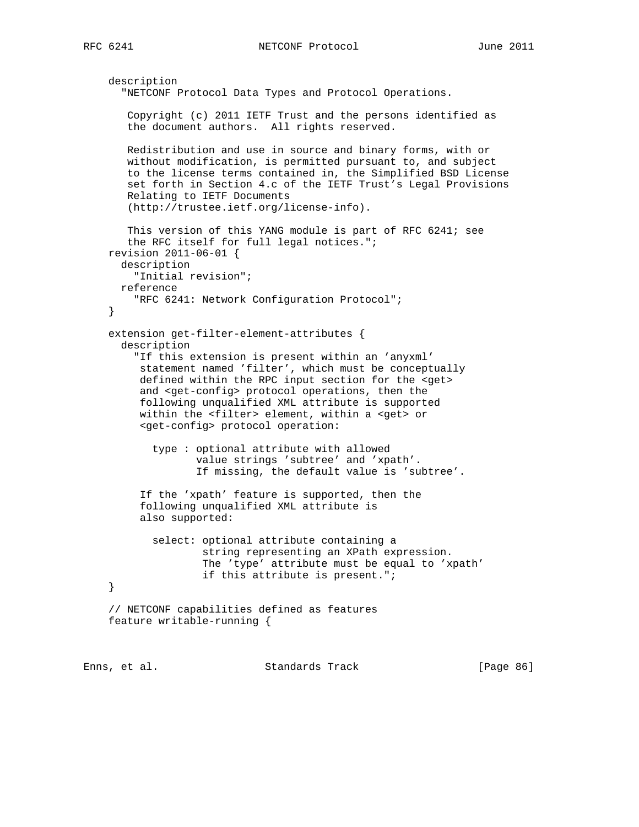RFC 6241 **NETCONF** Protocol June 2011

```
 description
   "NETCONF Protocol Data Types and Protocol Operations.
    Copyright (c) 2011 IETF Trust and the persons identified as
    the document authors. All rights reserved.
   Redistribution and use in source and binary forms, with or
   without modification, is permitted pursuant to, and subject
    to the license terms contained in, the Simplified BSD License
   set forth in Section 4.c of the IETF Trust's Legal Provisions
   Relating to IETF Documents
    (http://trustee.ietf.org/license-info).
    This version of this YANG module is part of RFC 6241; see
    the RFC itself for full legal notices.";
 revision 2011-06-01 {
  description
     "Initial revision";
  reference
     "RFC 6241: Network Configuration Protocol";
 }
 extension get-filter-element-attributes {
   description
     "If this extension is present within an 'anyxml'
      statement named 'filter', which must be conceptually
      defined within the RPC input section for the <get>
      and <get-config> protocol operations, then the
      following unqualified XML attribute is supported
      within the <filter> element, within a <get> or
      <get-config> protocol operation:
        type : optional attribute with allowed
               value strings 'subtree' and 'xpath'.
               If missing, the default value is 'subtree'.
      If the 'xpath' feature is supported, then the
      following unqualified XML attribute is
      also supported:
        select: optional attribute containing a
                string representing an XPath expression.
                The 'type' attribute must be equal to 'xpath'
                if this attribute is present.";
 }
 // NETCONF capabilities defined as features
 feature writable-running {
```
Enns, et al. Standards Track [Page 86]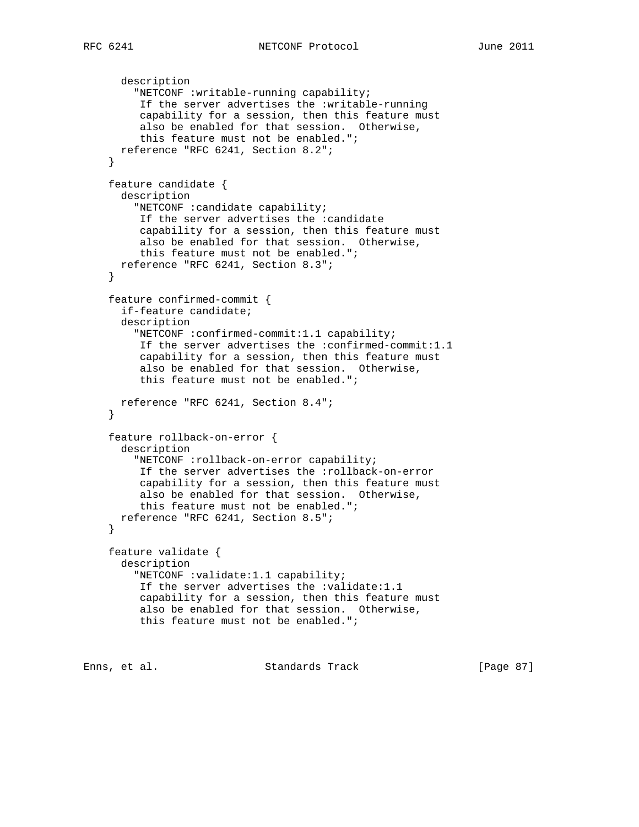```
 description
         "NETCONF :writable-running capability;
          If the server advertises the :writable-running
          capability for a session, then this feature must
          also be enabled for that session. Otherwise,
          this feature must not be enabled.";
       reference "RFC 6241, Section 8.2";
     }
     feature candidate {
       description
         "NETCONF :candidate capability;
          If the server advertises the :candidate
          capability for a session, then this feature must
          also be enabled for that session. Otherwise,
          this feature must not be enabled.";
      reference "RFC 6241, Section 8.3";
     }
     feature confirmed-commit {
       if-feature candidate;
       description
         "NETCONF :confirmed-commit:1.1 capability;
          If the server advertises the :confirmed-commit:1.1
          capability for a session, then this feature must
          also be enabled for that session. Otherwise,
          this feature must not be enabled.";
      reference "RFC 6241, Section 8.4";
 }
     feature rollback-on-error {
       description
         "NETCONF :rollback-on-error capability;
         If the server advertises the :rollback-on-error
          capability for a session, then this feature must
          also be enabled for that session. Otherwise,
          this feature must not be enabled.";
       reference "RFC 6241, Section 8.5";
     }
     feature validate {
       description
         "NETCONF :validate:1.1 capability;
          If the server advertises the :validate:1.1
          capability for a session, then this feature must
          also be enabled for that session. Otherwise,
          this feature must not be enabled.";
Enns, et al.                   Standards Track                 [Paqe 87]
```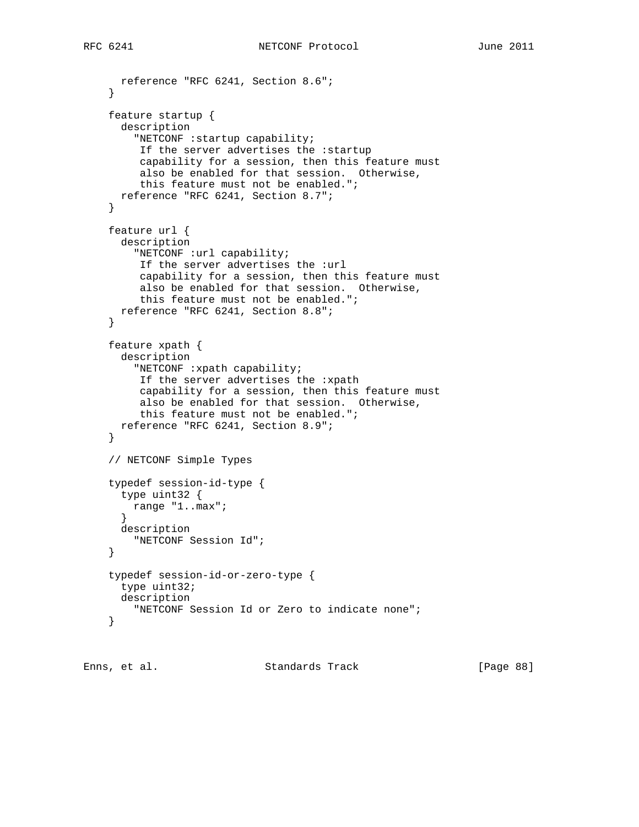```
 reference "RFC 6241, Section 8.6";
     }
    feature startup {
       description
         "NETCONF :startup capability;
         If the server advertises the :startup
          capability for a session, then this feature must
          also be enabled for that session. Otherwise,
          this feature must not be enabled.";
      reference "RFC 6241, Section 8.7";
     }
    feature url {
      description
         "NETCONF :url capability;
          If the server advertises the :url
          capability for a session, then this feature must
          also be enabled for that session. Otherwise,
          this feature must not be enabled.";
      reference "RFC 6241, Section 8.8";
     }
     feature xpath {
       description
         "NETCONF :xpath capability;
         If the server advertises the :xpath
          capability for a session, then this feature must
          also be enabled for that session. Otherwise,
          this feature must not be enabled.";
      reference "RFC 6241, Section 8.9";
     }
     // NETCONF Simple Types
    typedef session-id-type {
      type uint32 {
        range "1..max";
 }
      description
        "NETCONF Session Id";
     }
     typedef session-id-or-zero-type {
      type uint32;
      description
         "NETCONF Session Id or Zero to indicate none";
     }
```
Enns, et al. Standards Track [Page 88]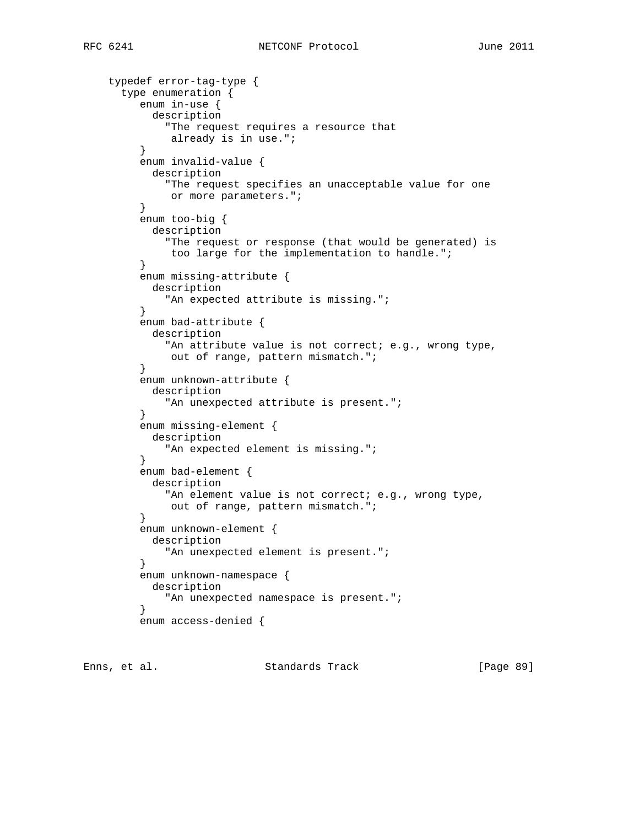```
 typedef error-tag-type {
      type enumeration {
         enum in-use {
           description
             "The request requires a resource that
              already is in use.";
         }
         enum invalid-value {
           description
             "The request specifies an unacceptable value for one
        or more parameters.";<br>}
 }
         enum too-big {
           description
             "The request or response (that would be generated) is
              too large for the implementation to handle.";
 }
         enum missing-attribute {
           description
             "An expected attribute is missing.";
 }
         enum bad-attribute {
           description
            "An attribute value is not correct; e.g., wrong type,
              out of range, pattern mismatch.";
 }
         enum unknown-attribute {
           description
             "An unexpected attribute is present.";
 }
         enum missing-element {
           description
             "An expected element is missing.";
 }
         enum bad-element {
           description
            "An element value is not correct; e.g., wrong type,
        out of range, pattern mismatch.";<br>}
 }
         enum unknown-element {
           description
             "An unexpected element is present.";
 }
         enum unknown-namespace {
           description
             "An unexpected namespace is present.";
 }
         enum access-denied {
```
Enns, et al. Standards Track [Page 89]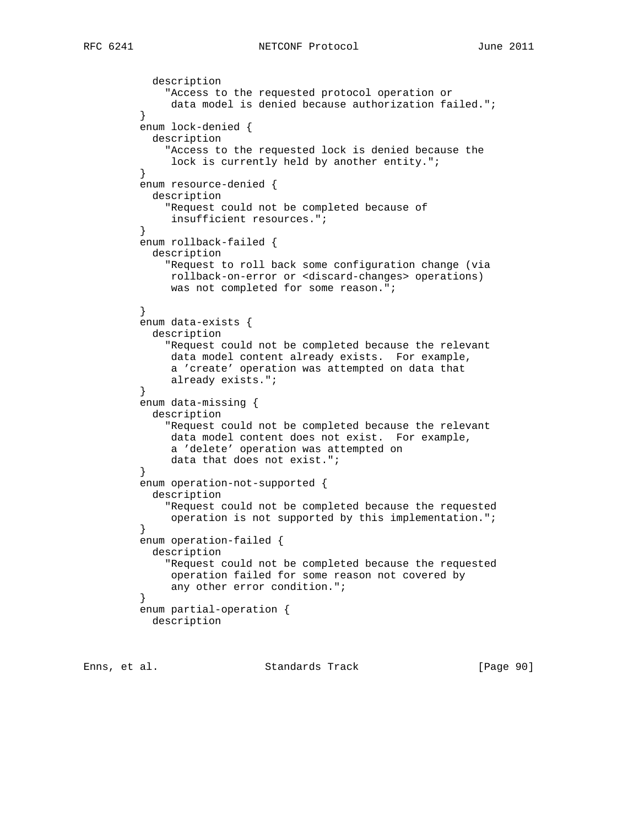```
 description
             "Access to the requested protocol operation or
              data model is denied because authorization failed.";
 }
         enum lock-denied {
           description
             "Access to the requested lock is denied because the
             lock is currently held by another entity.";
         }
         enum resource-denied {
           description
             "Request could not be completed because of
        insufficient resources.";<br>}
 }
         enum rollback-failed {
           description
             "Request to roll back some configuration change (via
              rollback-on-error or <discard-changes> operations)
              was not completed for some reason.";
 }
         enum data-exists {
           description
             "Request could not be completed because the relevant
              data model content already exists. For example,
              a 'create' operation was attempted on data that
              already exists.";
 }
         enum data-missing {
           description
             "Request could not be completed because the relevant
              data model content does not exist. For example,
              a 'delete' operation was attempted on
        data that does not exist.";<br>}
 }
         enum operation-not-supported {
           description
             "Request could not be completed because the requested
              operation is not supported by this implementation.";
 }
         enum operation-failed {
           description
             "Request could not be completed because the requested
              operation failed for some reason not covered by
              any other error condition.";
 }
         enum partial-operation {
           description
```
Enns, et al. Standards Track [Page 90]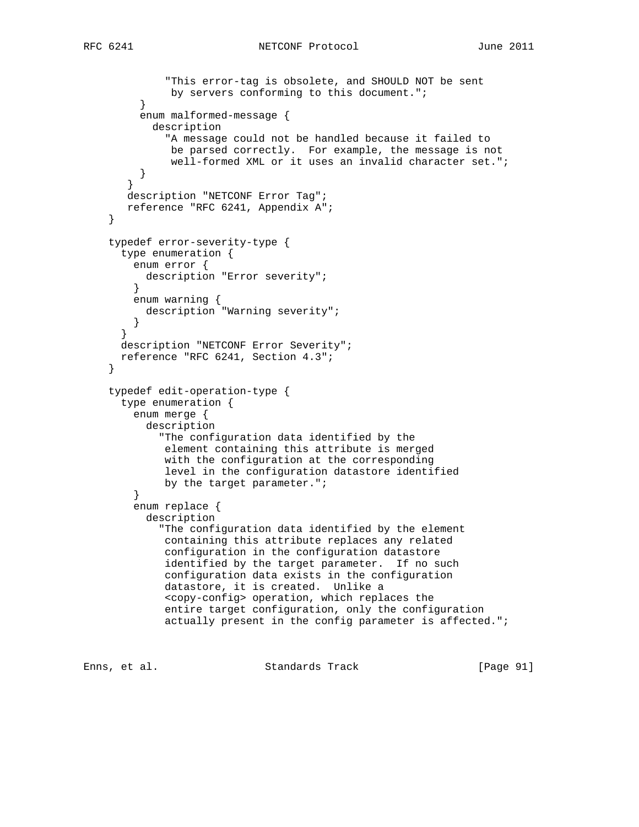```
 "This error-tag is obsolete, and SHOULD NOT be sent
         by servers conforming to this document.";<br>}
 }
         enum malformed-message {
           description
              "A message could not be handled because it failed to
               be parsed correctly. For example, the message is not
               well-formed XML or it uses an invalid character set.";
         }
        }
       description "NETCONF Error Tag";
       reference "RFC 6241, Appendix A";
     }
     typedef error-severity-type {
      type enumeration {
        enum error {
          description "Error severity";
 }
        enum warning {
          description "Warning severity";
         }
       }
      description "NETCONF Error Severity";
      reference "RFC 6241, Section 4.3";
 }
    typedef edit-operation-type {
      type enumeration {
        enum merge {
           description
             "The configuration data identified by the
              element containing this attribute is merged
              with the configuration at the corresponding
              level in the configuration datastore identified
             by the target parameter.";
         }
        enum replace {
          description
             "The configuration data identified by the element
              containing this attribute replaces any related
              configuration in the configuration datastore
              identified by the target parameter. If no such
              configuration data exists in the configuration
              datastore, it is created. Unlike a
              <copy-config> operation, which replaces the
              entire target configuration, only the configuration
              actually present in the config parameter is affected.";
```
Enns, et al. Standards Track [Page 91]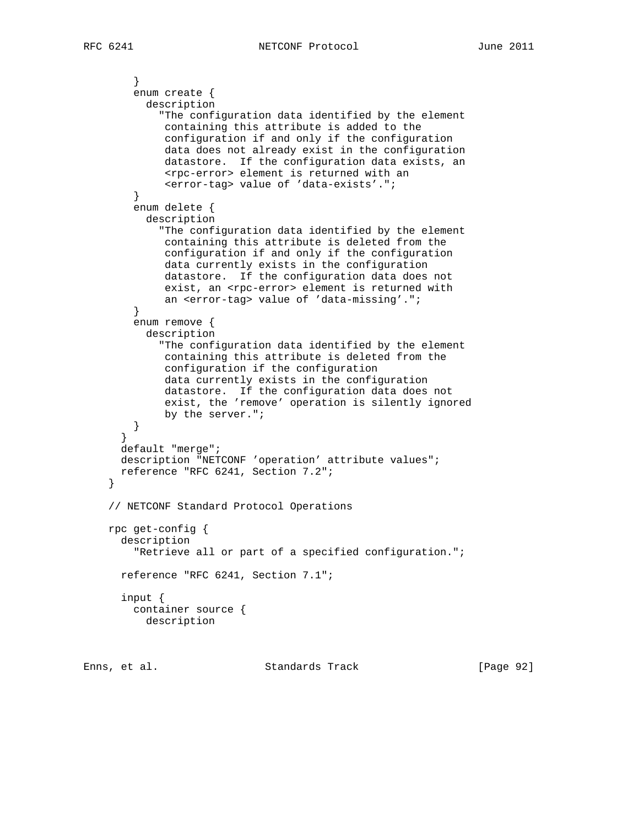```
 }
         enum create {
           description
             "The configuration data identified by the element
              containing this attribute is added to the
              configuration if and only if the configuration
              data does not already exist in the configuration
              datastore. If the configuration data exists, an
              <rpc-error> element is returned with an
              <error-tag> value of 'data-exists'.";
         }
        enum delete {
           description
             "The configuration data identified by the element
              containing this attribute is deleted from the
              configuration if and only if the configuration
              data currently exists in the configuration
              datastore. If the configuration data does not
             exist, an <rpc-error> element is returned with
              an <error-tag> value of 'data-missing'.";
         }
        enum remove {
          description
             "The configuration data identified by the element
              containing this attribute is deleted from the
              configuration if the configuration
              data currently exists in the configuration
              datastore. If the configuration data does not
              exist, the 'remove' operation is silently ignored
              by the server.";
         }
       }
      default "merge";
      description "NETCONF 'operation' attribute values";
      reference "RFC 6241, Section 7.2";
     }
     // NETCONF Standard Protocol Operations
    rpc get-config {
      description
         "Retrieve all or part of a specified configuration.";
      reference "RFC 6241, Section 7.1";
       input {
        container source {
          description
```
Enns, et al. Standards Track [Page 92]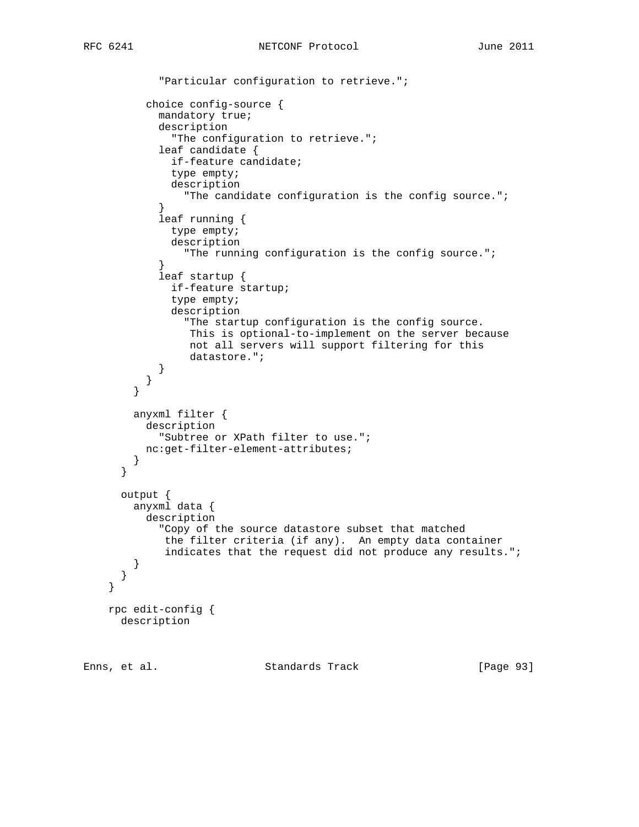```
 "Particular configuration to retrieve.";
          choice config-source {
            mandatory true;
            description
               "The configuration to retrieve.";
            leaf candidate {
              if-feature candidate;
               type empty;
              description
                "The candidate configuration is the config source.";
 }
            leaf running {
               type empty;
               description
                 "The running configuration is the config source.";
 }
            leaf startup {
              if-feature startup;
               type empty;
               description
                 "The startup configuration is the config source.
                 This is optional-to-implement on the server because
                 not all servers will support filtering for this
                 datastore.";
 }
          }
         }
        anyxml filter {
         description
            "Subtree or XPath filter to use.";
          nc:get-filter-element-attributes;
         }
      }
      output {
        anyxml data {
          description
            "Copy of the source datastore subset that matched
             the filter criteria (if any). An empty data container
            indicates that the request did not produce any results.";
        }
      }
    rpc edit-config {
      description
```
}

Enns, et al. Standards Track [Page 93]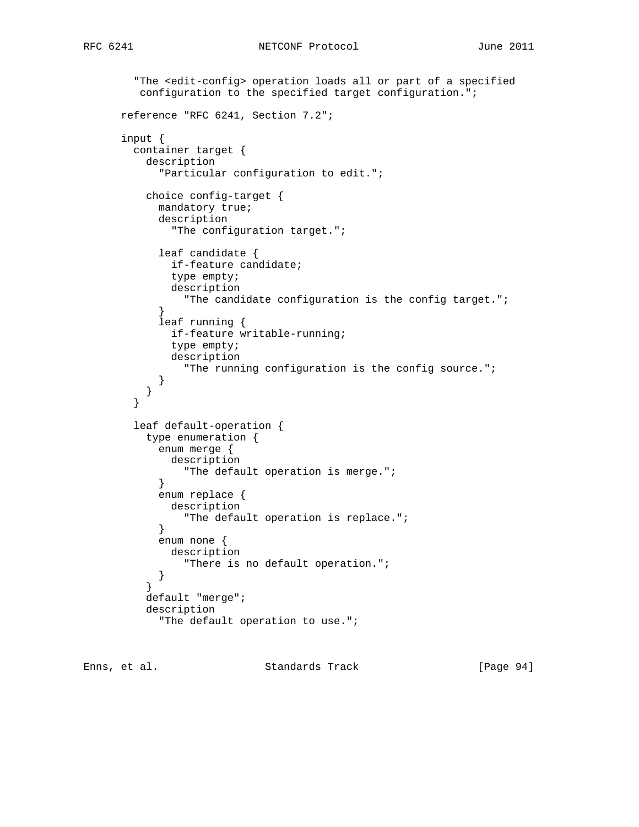```
 "The <edit-config> operation loads all or part of a specified
         configuration to the specified target configuration.";
      reference "RFC 6241, Section 7.2";
      input {
        container target {
          description
             "Particular configuration to edit.";
           choice config-target {
            mandatory true;
            description
               "The configuration target.";
            leaf candidate {
               if-feature candidate;
               type empty;
               description
                 "The candidate configuration is the config target.";
 }
             leaf running {
               if-feature writable-running;
               type empty;
              description
                 "The running configuration is the config source.";
 }
           }
         }
         leaf default-operation {
           type enumeration {
            enum merge {
              description
            "The default operation is merge.";<br>}
 }
             enum replace {
              description
                 "The default operation is replace.";
 }
            enum none {
             description
                 "There is no default operation.";
          \begin{matrix} \end{matrix} }
           default "merge";
           description
             "The default operation to use.";
```
Enns, et al. Standards Track [Page 94]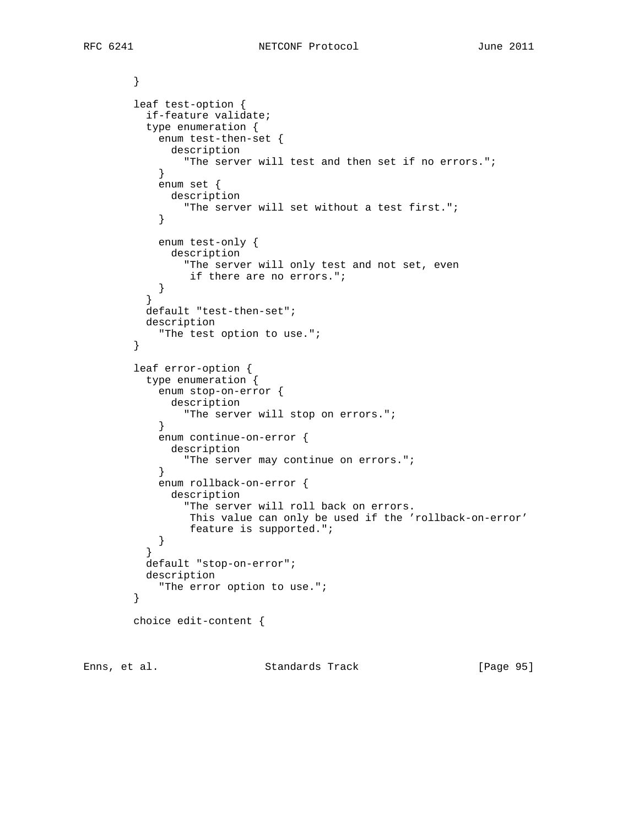} leaf test-option { if-feature validate; type enumeration { enum test-then-set { description "The server will test and then set if no errors."; } enum set { description "The server will set without a test first.";<br>} } enum test-only { description "The server will only test and not set, even if there are no errors.";  $\begin{matrix} \end{matrix}$  } default "test-then-set"; description "The test option to use."; } leaf error-option { type enumeration { enum stop-on-error { description "The server will stop on errors."; } enum continue-on-error { description "The server may continue on errors."; } enum rollback-on-error { description "The server will roll back on errors. This value can only be used if the 'rollback-on-error' feature is supported.";  $\begin{matrix} \end{matrix}$  } default "stop-on-error"; description "The error option to use."; } choice edit-content {

Enns, et al. Standards Track [Page 95]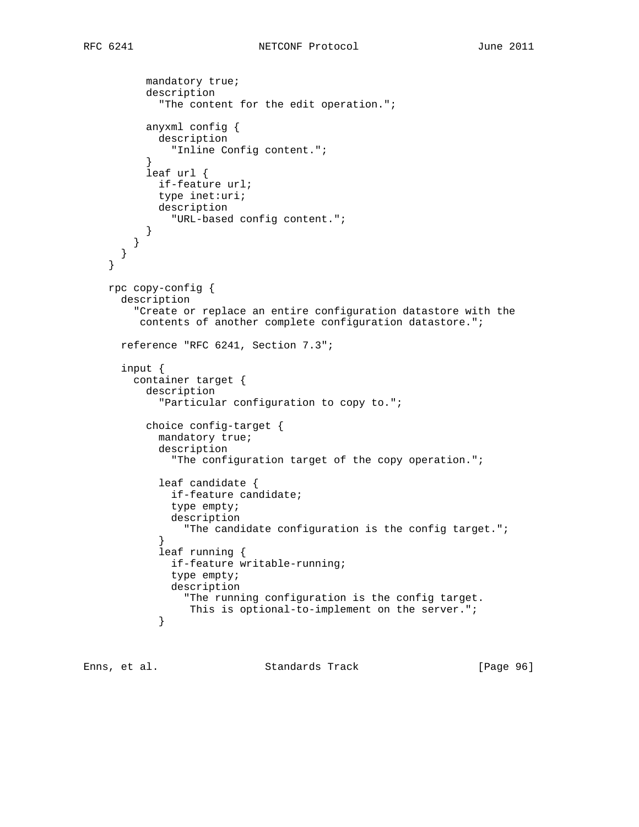```
 mandatory true;
           description
             "The content for the edit operation.";
           anyxml config {
            description
               "Inline Config content.";
 }
           leaf url {
            if-feature url;
            type inet:uri;
            description
               "URL-based config content.";
          }
        }
      }
     }
    rpc copy-config {
      description
         "Create or replace an entire configuration datastore with the
         contents of another complete configuration datastore.";
      reference "RFC 6241, Section 7.3";
      input {
        container target {
           description
             "Particular configuration to copy to.";
           choice config-target {
            mandatory true;
             description
               "The configuration target of the copy operation.";
             leaf candidate {
               if-feature candidate;
               type empty;
               description
                 "The candidate configuration is the config target.";
 }
             leaf running {
               if-feature writable-running;
               type empty;
               description
                 "The running configuration is the config target.
            This is optional-to-implement on the server.";<br>}
 }
```
Enns, et al. Standards Track [Page 96]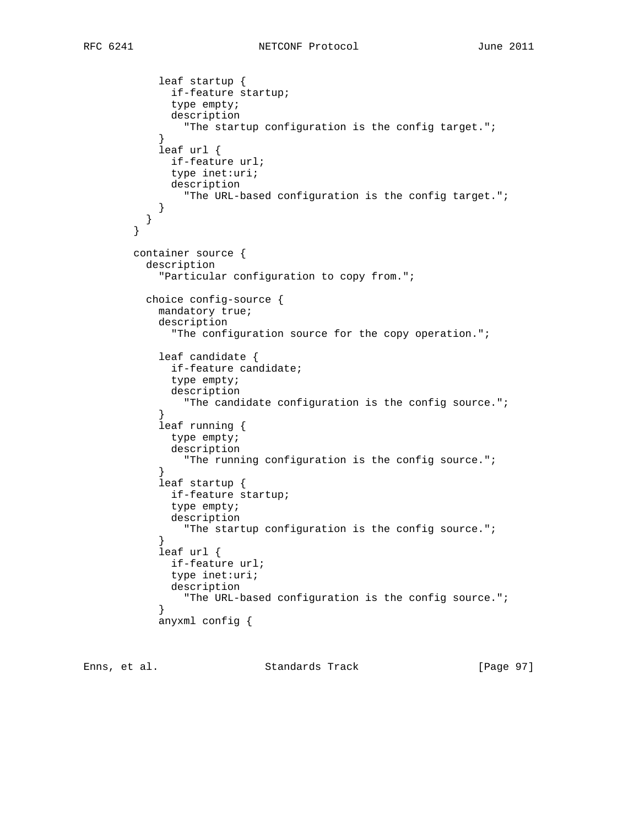```
 leaf startup {
              if-feature startup;
              type empty;
              description
                "The startup configuration is the config target.";
 }
            leaf url {
              if-feature url;
              type inet:uri;
              description
                "The URL-based configuration is the config target.";
 }
          }
        }
        container source {
          description
            "Particular configuration to copy from.";
          choice config-source {
            mandatory true;
            description
              "The configuration source for the copy operation.";
            leaf candidate {
              if-feature candidate;
              type empty;
              description
                "The candidate configuration is the config source.";
 }
            leaf running {
              type empty;
              description
                "The running configuration is the config source.";
 }
            leaf startup {
              if-feature startup;
              type empty;
              description
                "The startup configuration is the config source.";
 }
            leaf url {
              if-feature url;
              type inet:uri;
              description
                "The URL-based configuration is the config source.";
 }
            anyxml config {
```
Enns, et al. Standards Track [Page 97]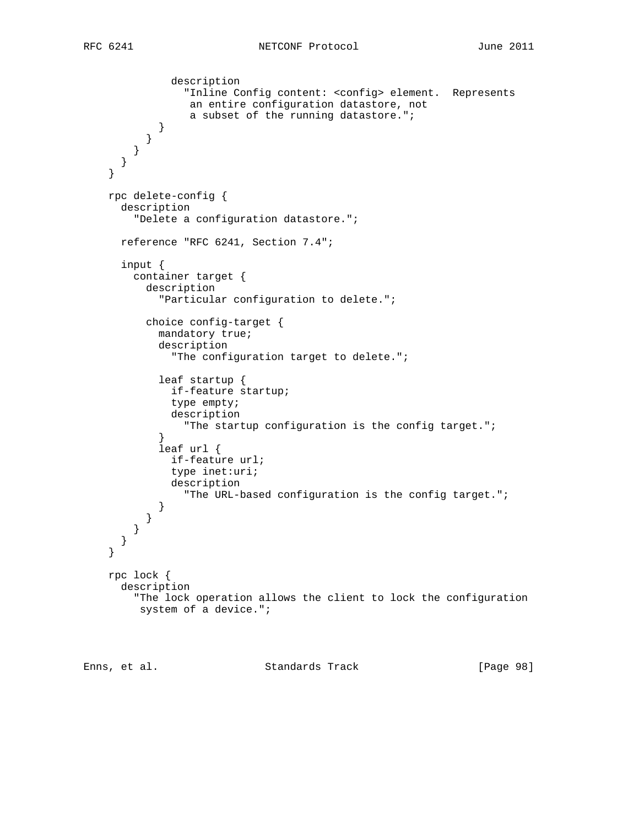```
 description
                 "Inline Config content: <config> element. Represents
                  an entire configuration datastore, not
                  a subset of the running datastore.";
            }
          }
        }
      }
     }
    rpc delete-config {
      description
         "Delete a configuration datastore.";
      reference "RFC 6241, Section 7.4";
      input {
        container target {
          description
            "Particular configuration to delete.";
          choice config-target {
            mandatory true;
            description
               "The configuration target to delete.";
            leaf startup {
              if-feature startup;
              type empty;
              description
                 "The startup configuration is the config target.";
 }
            leaf url {
              if-feature url;
              type inet:uri;
              description
                "The URL-based configuration is the config target.";
 }
 }
 }
      }
    }
    rpc lock {
      description
        "The lock operation allows the client to lock the configuration
         system of a device.";
```
Enns, et al. Standards Track [Page 98]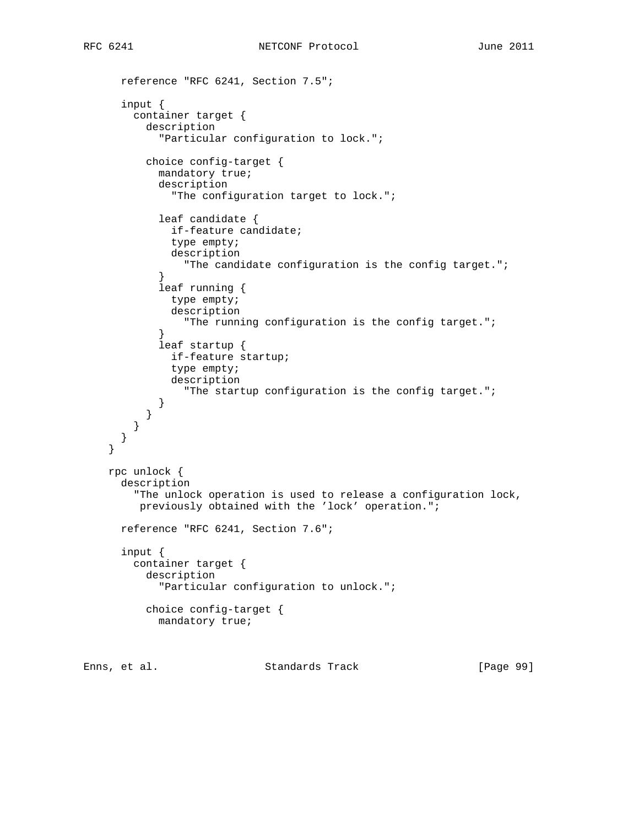```
 reference "RFC 6241, Section 7.5";
       input {
         container target {
           description
             "Particular configuration to lock.";
           choice config-target {
             mandatory true;
             description
               "The configuration target to lock.";
             leaf candidate {
               if-feature candidate;
               type empty;
               description
                 "The candidate configuration is the config target.";
 }
             leaf running {
               type empty;
               description
                 "The running configuration is the config target.";
 }
             leaf startup {
               if-feature startup;
               type empty;
               description
                 "The startup configuration is the config target.";
            }
          }
        }
      }
     }
    rpc unlock {
      description
         "The unlock operation is used to release a configuration lock,
         previously obtained with the 'lock' operation.";
      reference "RFC 6241, Section 7.6";
       input {
        container target {
           description
             "Particular configuration to unlock.";
           choice config-target {
            mandatory true;
```
Enns, et al. Standards Track [Page 99]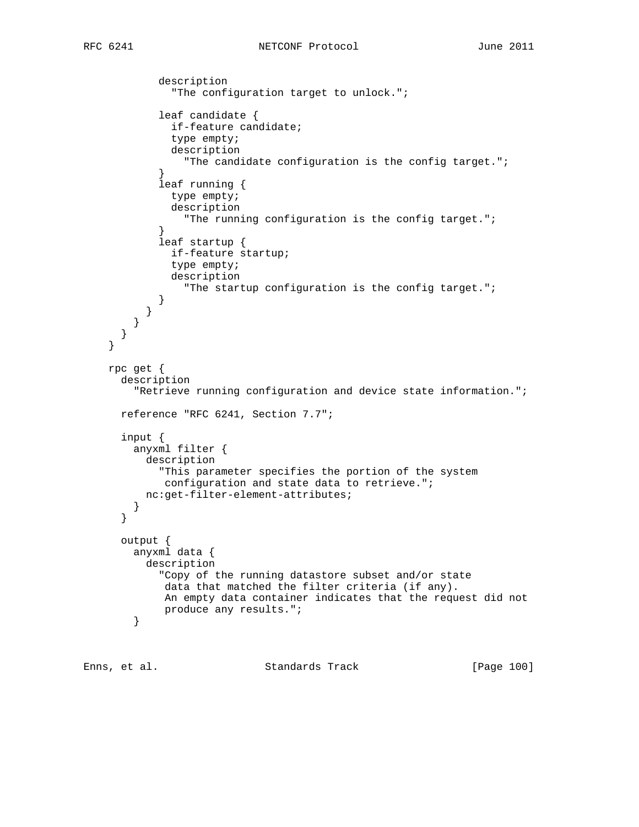```
 description
               "The configuration target to unlock.";
             leaf candidate {
               if-feature candidate;
               type empty;
               description
                 "The candidate configuration is the config target.";
 }
             leaf running {
               type empty;
               description
                 "The running configuration is the config target.";
 }
             leaf startup {
               if-feature startup;
               type empty;
               description
                 "The startup configuration is the config target.";
 }
          }
        }
      }
     }
    rpc get {
      description
         "Retrieve running configuration and device state information.";
      reference "RFC 6241, Section 7.7";
      input {
        anyxml filter {
          description
             "This parameter specifies the portion of the system
             configuration and state data to retrieve.";
          nc:get-filter-element-attributes;
        }
      }
      output {
        anyxml data {
          description
             "Copy of the running datastore subset and/or state
              data that matched the filter criteria (if any).
             An empty data container indicates that the request did not
             produce any results.";
         }
```
Enns, et al. Standards Track [Page 100]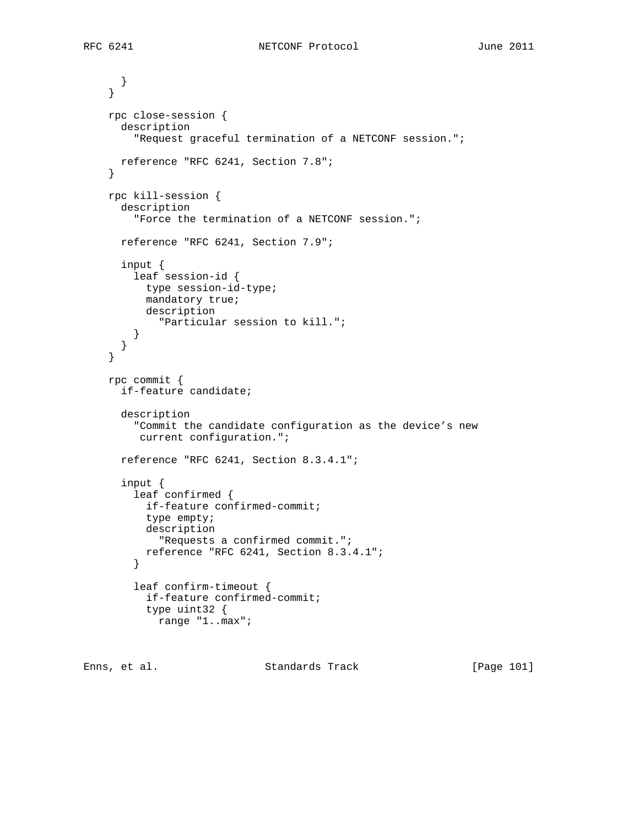```
 }
 }
 rpc close-session {
   description
     "Request graceful termination of a NETCONF session.";
  reference "RFC 6241, Section 7.8";
 }
 rpc kill-session {
   description
     "Force the termination of a NETCONF session.";
   reference "RFC 6241, Section 7.9";
   input {
     leaf session-id {
      type session-id-type;
      mandatory true;
      description
         "Particular session to kill.";
     }
   }
 }
 rpc commit {
   if-feature candidate;
   description
     "Commit the candidate configuration as the device's new
      current configuration.";
   reference "RFC 6241, Section 8.3.4.1";
   input {
     leaf confirmed {
      if-feature confirmed-commit;
       type empty;
       description
         "Requests a confirmed commit.";
       reference "RFC 6241, Section 8.3.4.1";
     }
     leaf confirm-timeout {
       if-feature confirmed-commit;
       type uint32 {
         range "1..max";
```
Enns, et al. Standards Track [Page 101]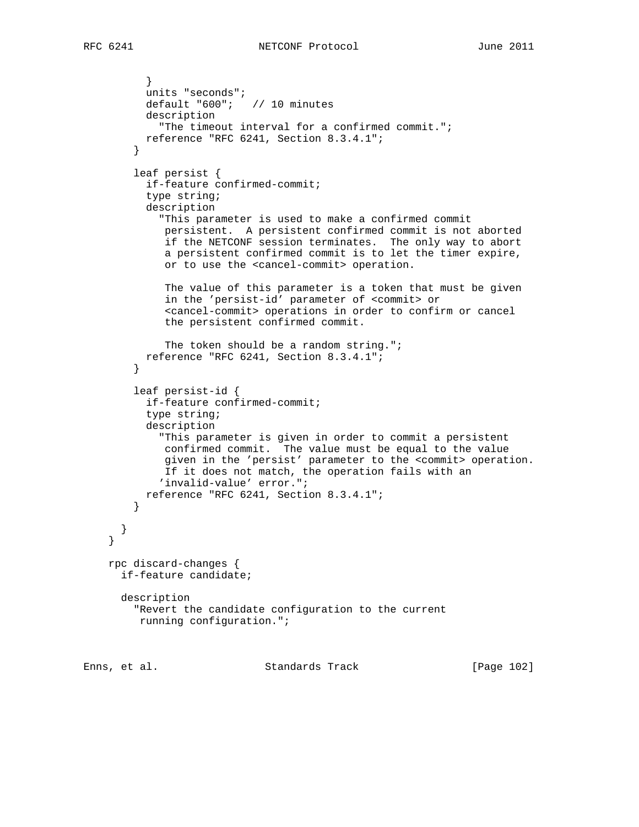```
 }
           units "seconds";
           default "600"; // 10 minutes
           description
             "The timeout interval for a confirmed commit.";
          reference "RFC 6241, Section 8.3.4.1";
         }
         leaf persist {
           if-feature confirmed-commit;
           type string;
           description
             "This parameter is used to make a confirmed commit
              persistent. A persistent confirmed commit is not aborted
              if the NETCONF session terminates. The only way to abort
              a persistent confirmed commit is to let the timer expire,
              or to use the <cancel-commit> operation.
              The value of this parameter is a token that must be given
              in the 'persist-id' parameter of <commit> or
              <cancel-commit> operations in order to confirm or cancel
              the persistent confirmed commit.
              The token should be a random string.";
          reference "RFC 6241, Section 8.3.4.1";
         }
         leaf persist-id {
           if-feature confirmed-commit;
           type string;
           description
             "This parameter is given in order to commit a persistent
             confirmed commit. The value must be equal to the value
              given in the 'persist' parameter to the <commit> operation.
              If it does not match, the operation fails with an
             'invalid-value' error.";
          reference "RFC 6241, Section 8.3.4.1";
        }
       }
     }
    rpc discard-changes {
      if-feature candidate;
      description
         "Revert the candidate configuration to the current
         running configuration.";
```
Enns, et al. Standards Track [Page 102]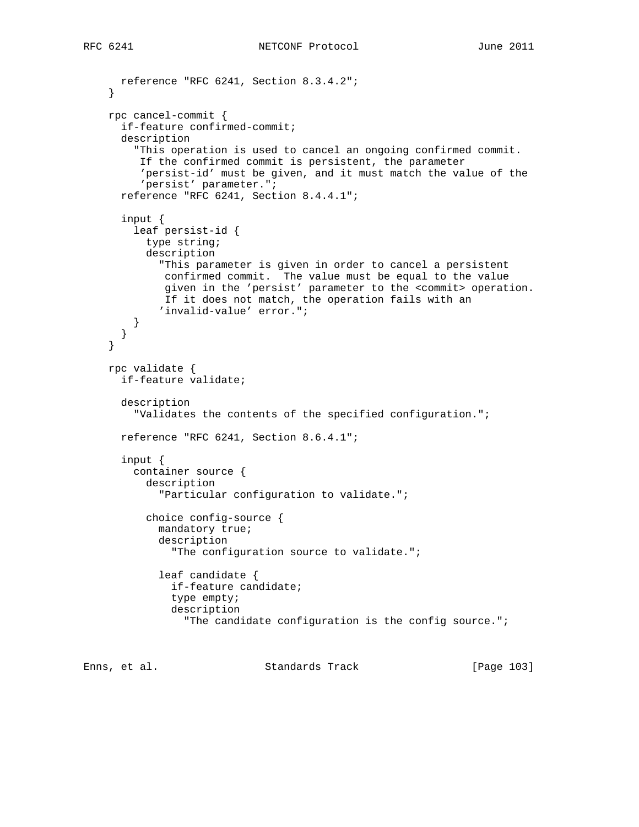```
 reference "RFC 6241, Section 8.3.4.2";
 }
 rpc cancel-commit {
   if-feature confirmed-commit;
   description
     "This operation is used to cancel an ongoing confirmed commit.
      If the confirmed commit is persistent, the parameter
      'persist-id' must be given, and it must match the value of the
      'persist' parameter.";
   reference "RFC 6241, Section 8.4.4.1";
   input {
     leaf persist-id {
       type string;
       description
         "This parameter is given in order to cancel a persistent
          confirmed commit. The value must be equal to the value
          given in the 'persist' parameter to the <commit> operation.
          If it does not match, the operation fails with an
         'invalid-value' error.";
     }
  }
 }
 rpc validate {
   if-feature validate;
   description
     "Validates the contents of the specified configuration.";
   reference "RFC 6241, Section 8.6.4.1";
   input {
     container source {
       description
         "Particular configuration to validate.";
       choice config-source {
         mandatory true;
         description
           "The configuration source to validate.";
         leaf candidate {
           if-feature candidate;
           type empty;
           description
             "The candidate configuration is the config source.";
```
Enns, et al. Standards Track [Page 103]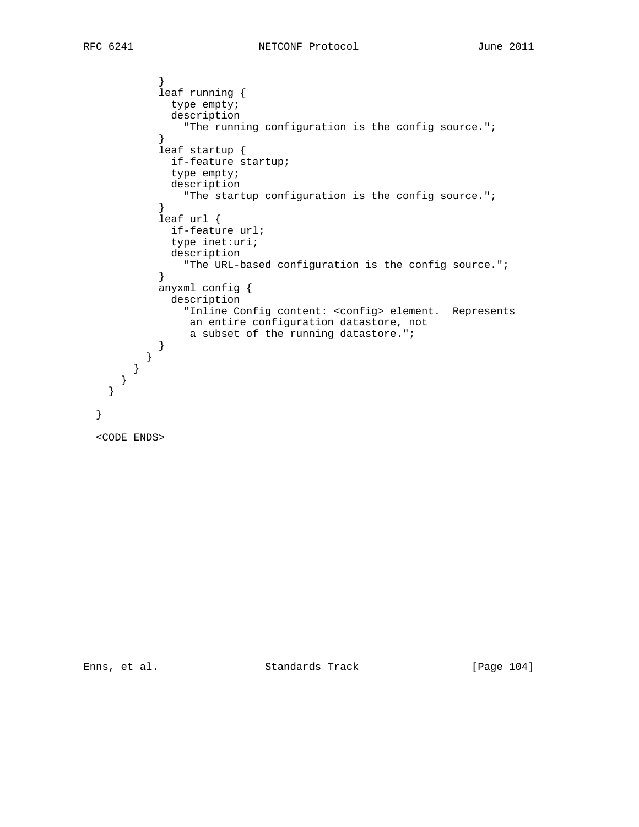} leaf running { type empty; description "The running configuration is the config source."; } leaf startup { if-feature startup; type empty; description "The startup configuration is the config source."; } leaf url { if-feature url; type inet:uri; description "The URL-based configuration is the config source."; } anyxml config { description "Inline Config content: <config> element. Represents an entire configuration datastore, not a subset of the running datastore."; } } } } } }

```
 <CODE ENDS>
```
Enns, et al. Standards Track [Page 104]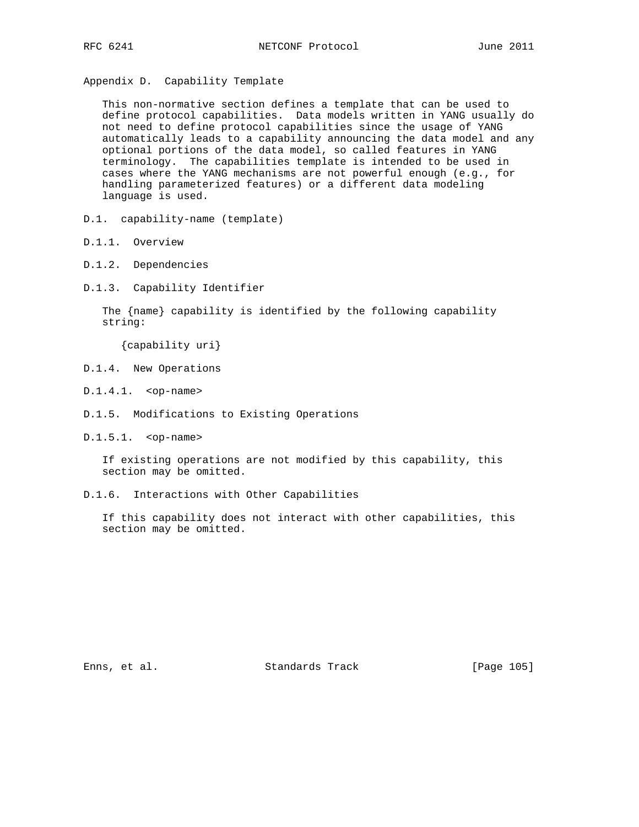Appendix D. Capability Template

 This non-normative section defines a template that can be used to define protocol capabilities. Data models written in YANG usually do not need to define protocol capabilities since the usage of YANG automatically leads to a capability announcing the data model and any optional portions of the data model, so called features in YANG terminology. The capabilities template is intended to be used in cases where the YANG mechanisms are not powerful enough (e.g., for handling parameterized features) or a different data modeling language is used.

- D.1. capability-name (template)
- D.1.1. Overview
- D.1.2. Dependencies
- D.1.3. Capability Identifier

 The {name} capability is identified by the following capability string:

{capability uri}

- D.1.4. New Operations
- D.1.4.1. <op-name>
- D.1.5. Modifications to Existing Operations
- D.1.5.1. <op-name>

 If existing operations are not modified by this capability, this section may be omitted.

D.1.6. Interactions with Other Capabilities

 If this capability does not interact with other capabilities, this section may be omitted.

Enns, et al. Standards Track [Page 105]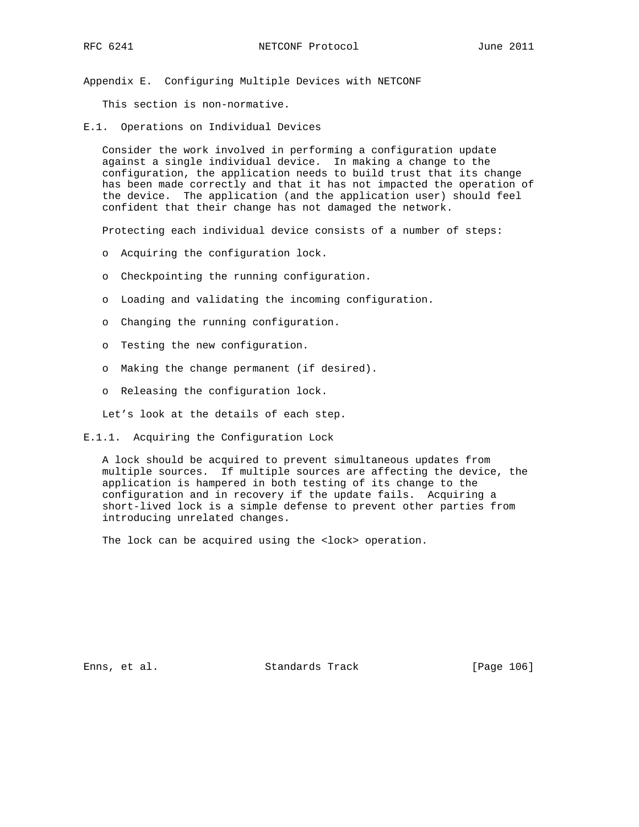Appendix E. Configuring Multiple Devices with NETCONF

This section is non-normative.

E.1. Operations on Individual Devices

 Consider the work involved in performing a configuration update against a single individual device. In making a change to the configuration, the application needs to build trust that its change has been made correctly and that it has not impacted the operation of the device. The application (and the application user) should feel confident that their change has not damaged the network.

Protecting each individual device consists of a number of steps:

- o Acquiring the configuration lock.
- o Checkpointing the running configuration.
- o Loading and validating the incoming configuration.
- o Changing the running configuration.
- o Testing the new configuration.
- o Making the change permanent (if desired).
- o Releasing the configuration lock.

Let's look at the details of each step.

E.1.1. Acquiring the Configuration Lock

 A lock should be acquired to prevent simultaneous updates from multiple sources. If multiple sources are affecting the device, the application is hampered in both testing of its change to the configuration and in recovery if the update fails. Acquiring a short-lived lock is a simple defense to prevent other parties from introducing unrelated changes.

The lock can be acquired using the <lock> operation.

Enns, et al. Standards Track [Page 106]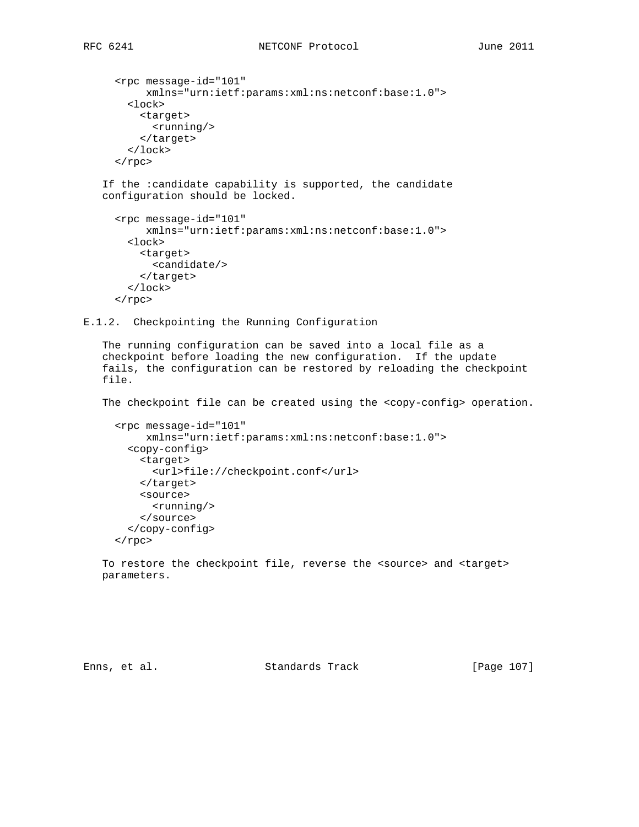```
 <rpc message-id="101"
      xmlns="urn:ietf:params:xml:ns:netconf:base:1.0">
   <lock>
     <target>
       <running/>
     </target>
   </lock>
\langle rpc>
```
 If the :candidate capability is supported, the candidate configuration should be locked.

```
 <rpc message-id="101"
      xmlns="urn:ietf:params:xml:ns:netconf:base:1.0">
  <lock>
     <target>
       <candidate/>
     </target>
  </lock>
\langle rpc>
```
E.1.2. Checkpointing the Running Configuration

 The running configuration can be saved into a local file as a checkpoint before loading the new configuration. If the update fails, the configuration can be restored by reloading the checkpoint file.

The checkpoint file can be created using the <copy-config> operation.

```
 <rpc message-id="101"
     xmlns="urn:ietf:params:xml:ns:netconf:base:1.0">
   <copy-config>
     <target>
       <url>file://checkpoint.conf</url>
     </target>
     <source>
       <running/>
     </source>
   </copy-config>
\langlerpc>
```
To restore the checkpoint file, reverse the <source> and <target> parameters.

Enns, et al. Standards Track [Page 107]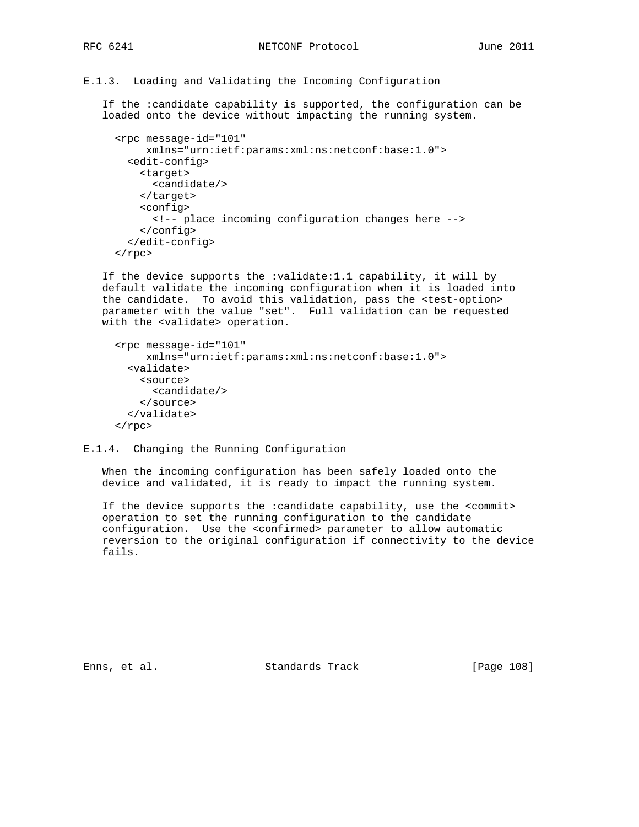## E.1.3. Loading and Validating the Incoming Configuration

 If the :candidate capability is supported, the configuration can be loaded onto the device without impacting the running system.

```
 <rpc message-id="101"
      xmlns="urn:ietf:params:xml:ns:netconf:base:1.0">
   <edit-config>
     <target>
       <candidate/>
     </target>
     <config>
       <!-- place incoming configuration changes here -->
     </config>
   </edit-config>
\langle rpc>
```
 If the device supports the :validate:1.1 capability, it will by default validate the incoming configuration when it is loaded into the candidate. To avoid this validation, pass the <test-option> parameter with the value "set". Full validation can be requested with the <validate> operation.

```
 <rpc message-id="101"
      xmlns="urn:ietf:params:xml:ns:netconf:base:1.0">
   <validate>
     <source>
       <candidate/>
     </source>
   </validate>
\langle rpc>
```
E.1.4. Changing the Running Configuration

 When the incoming configuration has been safely loaded onto the device and validated, it is ready to impact the running system.

 If the device supports the :candidate capability, use the <commit> operation to set the running configuration to the candidate configuration. Use the <confirmed> parameter to allow automatic reversion to the original configuration if connectivity to the device fails.

Enns, et al. Standards Track [Page 108]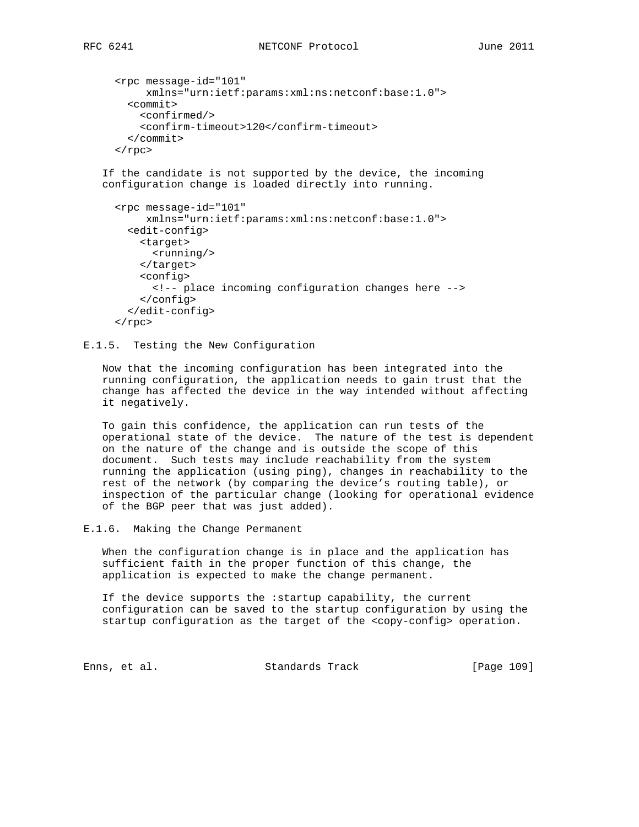```
 <rpc message-id="101"
      xmlns="urn:ietf:params:xml:ns:netconf:base:1.0">
   <commit>
     <confirmed/>
     <confirm-timeout>120</confirm-timeout>
   </commit>
 </rpc>
```
 If the candidate is not supported by the device, the incoming configuration change is loaded directly into running.

```
 <rpc message-id="101"
      xmlns="urn:ietf:params:xml:ns:netconf:base:1.0">
   <edit-config>
     <target>
       <running/>
     </target>
     <config>
       <!-- place incoming configuration changes here -->
     </config>
   </edit-config>
\langle rpc>
```
E.1.5. Testing the New Configuration

 Now that the incoming configuration has been integrated into the running configuration, the application needs to gain trust that the change has affected the device in the way intended without affecting it negatively.

 To gain this confidence, the application can run tests of the operational state of the device. The nature of the test is dependent on the nature of the change and is outside the scope of this document. Such tests may include reachability from the system running the application (using ping), changes in reachability to the rest of the network (by comparing the device's routing table), or inspection of the particular change (looking for operational evidence of the BGP peer that was just added).

E.1.6. Making the Change Permanent

 When the configuration change is in place and the application has sufficient faith in the proper function of this change, the application is expected to make the change permanent.

 If the device supports the :startup capability, the current configuration can be saved to the startup configuration by using the startup configuration as the target of the <copy-config> operation.

Enns, et al. Standards Track [Page 109]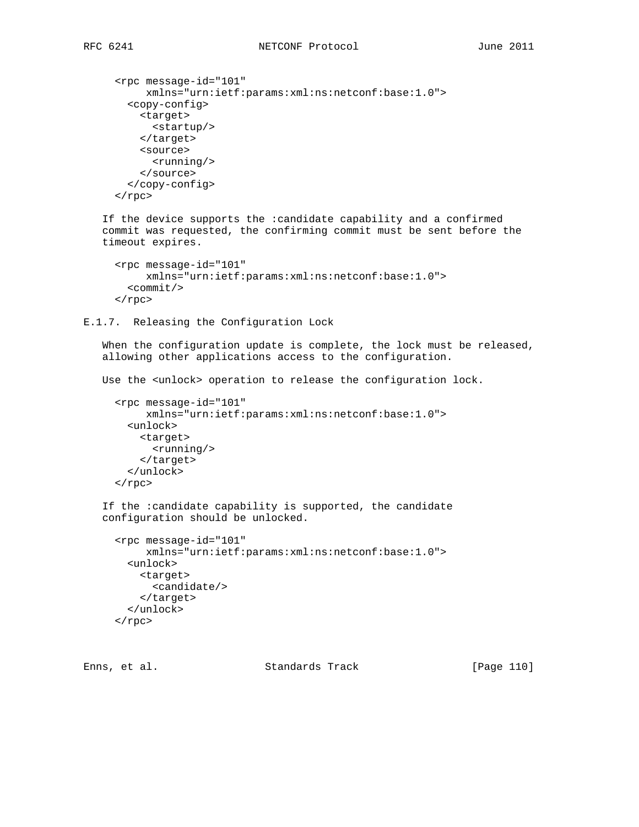```
 <rpc message-id="101"
      xmlns="urn:ietf:params:xml:ns:netconf:base:1.0">
   <copy-config>
     <target>
       <startup/>
     </target>
     <source>
       <running/>
     </source>
   </copy-config>
\langle rpc>
```
 If the device supports the :candidate capability and a confirmed commit was requested, the confirming commit must be sent before the timeout expires.

```
 <rpc message-id="101"
     xmlns="urn:ietf:params:xml:ns:netconf:base:1.0">
  <commit/>
\langle rpc>
```
E.1.7. Releasing the Configuration Lock

 When the configuration update is complete, the lock must be released, allowing other applications access to the configuration.

Use the <unlock> operation to release the configuration lock.

```
 <rpc message-id="101"
      xmlns="urn:ietf:params:xml:ns:netconf:base:1.0">
  <unlock>
     <target>
       <running/>
     </target>
   </unlock>
\langle rpc>
```

```
 If the :candidate capability is supported, the candidate
 configuration should be unlocked.
```

```
 <rpc message-id="101"
      xmlns="urn:ietf:params:xml:ns:netconf:base:1.0">
  <unlock>
    <target>
       <candidate/>
     </target>
   </unlock>
\langle / rpc
```
Enns, et al. Standards Track [Page 110]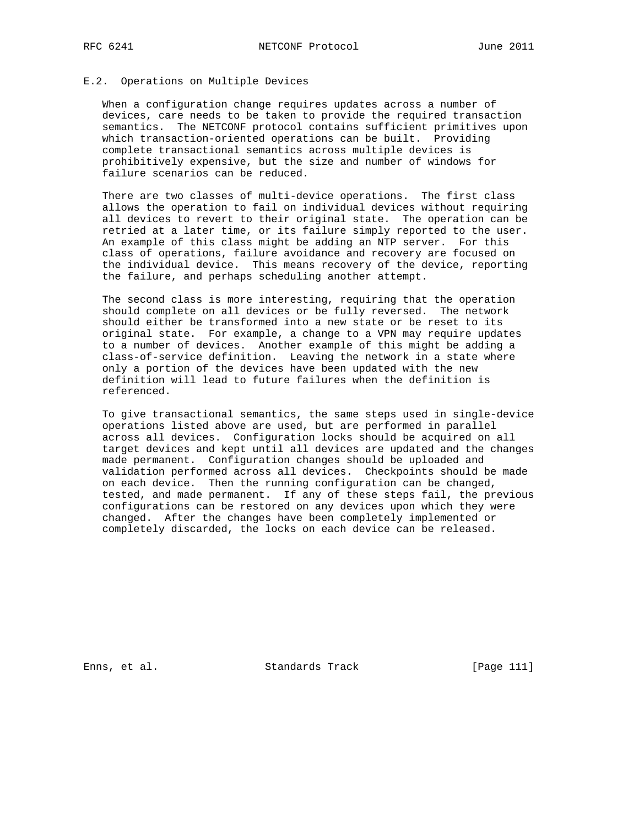## E.2. Operations on Multiple Devices

 When a configuration change requires updates across a number of devices, care needs to be taken to provide the required transaction semantics. The NETCONF protocol contains sufficient primitives upon which transaction-oriented operations can be built. Providing complete transactional semantics across multiple devices is prohibitively expensive, but the size and number of windows for failure scenarios can be reduced.

 There are two classes of multi-device operations. The first class allows the operation to fail on individual devices without requiring all devices to revert to their original state. The operation can be retried at a later time, or its failure simply reported to the user. An example of this class might be adding an NTP server. For this class of operations, failure avoidance and recovery are focused on the individual device. This means recovery of the device, reporting the failure, and perhaps scheduling another attempt.

 The second class is more interesting, requiring that the operation should complete on all devices or be fully reversed. The network should either be transformed into a new state or be reset to its original state. For example, a change to a VPN may require updates to a number of devices. Another example of this might be adding a class-of-service definition. Leaving the network in a state where only a portion of the devices have been updated with the new definition will lead to future failures when the definition is referenced.

 To give transactional semantics, the same steps used in single-device operations listed above are used, but are performed in parallel across all devices. Configuration locks should be acquired on all target devices and kept until all devices are updated and the changes made permanent. Configuration changes should be uploaded and validation performed across all devices. Checkpoints should be made on each device. Then the running configuration can be changed, tested, and made permanent. If any of these steps fail, the previous configurations can be restored on any devices upon which they were changed. After the changes have been completely implemented or completely discarded, the locks on each device can be released.

Enns, et al. Standards Track [Page 111]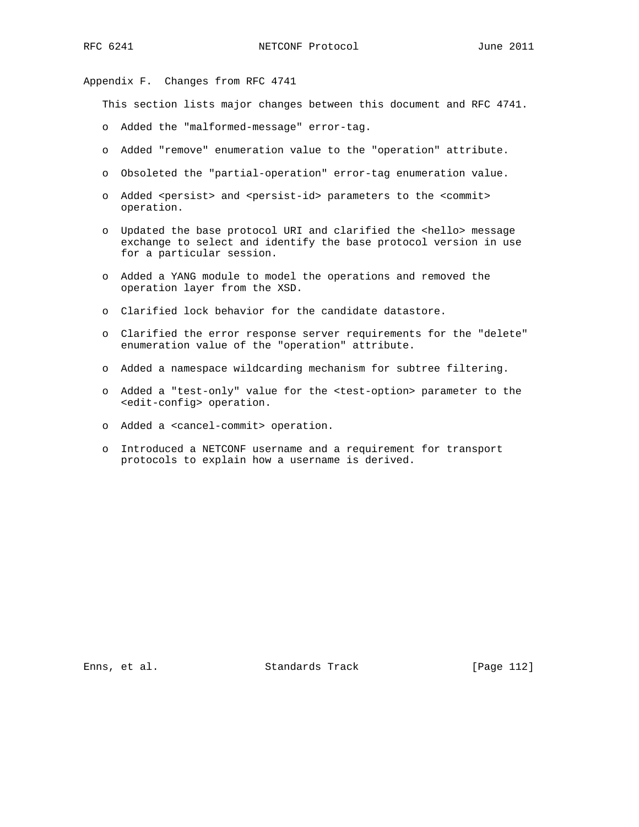Appendix F. Changes from RFC 4741

This section lists major changes between this document and RFC 4741.

- o Added the "malformed-message" error-tag.
- o Added "remove" enumeration value to the "operation" attribute.
- o Obsoleted the "partial-operation" error-tag enumeration value.
- o Added <persist> and <persist-id> parameters to the <commit> operation.
- o Updated the base protocol URI and clarified the <hello> message exchange to select and identify the base protocol version in use for a particular session.
- o Added a YANG module to model the operations and removed the operation layer from the XSD.
- o Clarified lock behavior for the candidate datastore.
- o Clarified the error response server requirements for the "delete" enumeration value of the "operation" attribute.
- o Added a namespace wildcarding mechanism for subtree filtering.
- o Added a "test-only" value for the <test-option> parameter to the <edit-config> operation.
- o Added a <cancel-commit> operation.
- o Introduced a NETCONF username and a requirement for transport protocols to explain how a username is derived.

Enns, et al. Standards Track [Page 112]